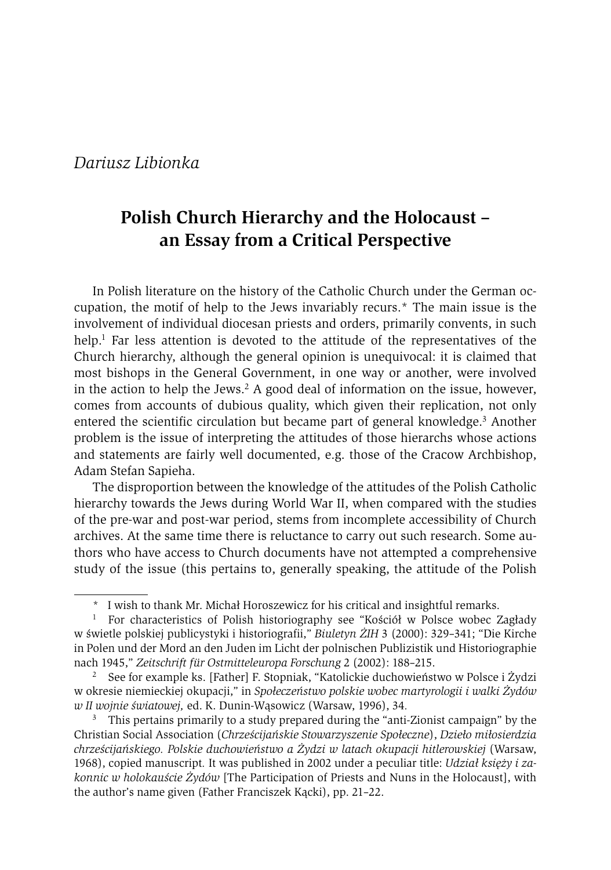# **Polish Church Hierarchy and the Holocaust – an Essay from a Critical Perspective**

In Polish literature on the history of the Catholic Church under the German occupation, the motif of help to the Jews invariably recurs.\* The main issue is the involvement of individual diocesan priests and orders, primarily convents, in such help.<sup>1</sup> Far less attention is devoted to the attitude of the representatives of the Church hierarchy, although the general opinion is unequivocal: it is claimed that most bishops in the General Government, in one way or another, were involved in the action to help the Jews.<sup>2</sup> A good deal of information on the issue, however, comes from accounts of dubious quality, which given their replication, not only entered the scientific circulation but became part of general knowledge.<sup>3</sup> Another problem is the issue of interpreting the attitudes of those hierarchs whose actions and statements are fairly well documented, e.g. those of the Cracow Archbishop, Adam Stefan Sapieha.

The disproportion between the knowledge of the attitudes of the Polish Catholic hierarchy towards the Jews during World War II, when compared with the studies of the pre-war and post-war period, stems from incomplete accessibility of Church archives. At the same time there is reluctance to carry out such research. Some authors who have access to Church documents have not attempted a comprehensive study of the issue (this pertains to, generally speaking, the attitude of the Polish

<sup>\*</sup> I wish to thank Mr. Michał Horoszewicz for his critical and insightful remarks.

<sup>&</sup>lt;sup>1</sup> For characteristics of Polish historiography see "Kościół w Polsce wobec Zagłady w świetle polskiej publicystyki i historiografii," *Biuletyn ŻIH* 3 (2000): 329–341; "Die Kirche in Polen und der Mord an den Juden im Licht der polnischen Publizistik und Historiographie nach 1945," *Zeitschrift für Ostmitteleuropa Forschung* 2 (2002): 188–215.

<sup>2</sup> See for example ks. [Father] F. Stopniak, "Katolickie duchowieństwo w Polsce i Żydzi w okresie niemieckiej okupacji," in *Społeczeństwo polskie wobec martyrologii i walki Żydów w II wojnie światowej,* ed. K. Dunin-Wąsowicz (Warsaw, 1996), 34*.*

<sup>&</sup>lt;sup>3</sup> This pertains primarily to a study prepared during the "anti-Zionist campaign" by the Christian Social Association (*Chrześcijańskie Stowarzyszenie Społeczne*), *Dzieło miłosierdzia chrześcijańskiego. Polskie duchowieństwo a Żydzi w latach okupacji hitlerowskiej* (Warsaw, 1968), copied manuscript*.* It was published in 2002 under a peculiar title: *Udział księży i zakonnic w holokauście Żydów* [The Participation of Priests and Nuns in the Holocaust], with the author's name given (Father Franciszek Kącki), pp. 21–22.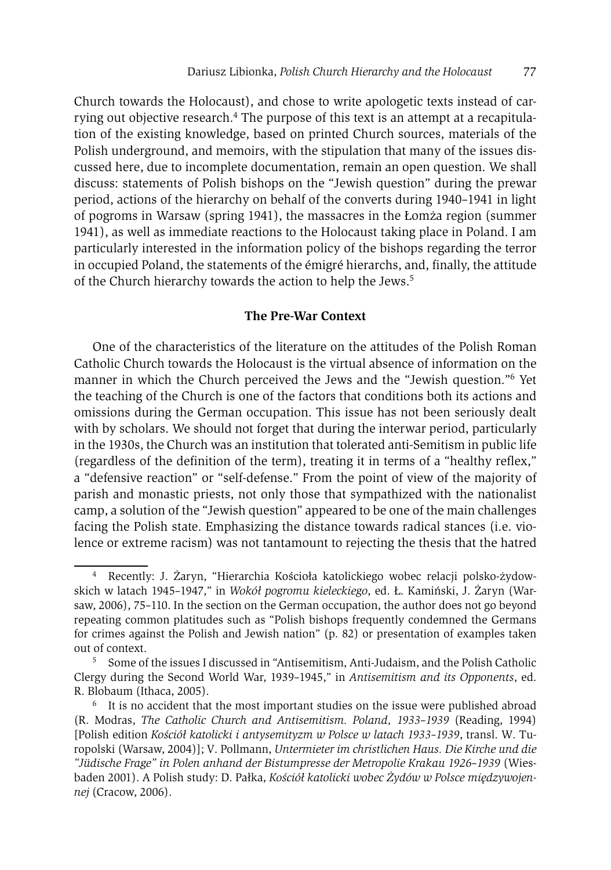Church towards the Holocaust), and chose to write apologetic texts instead of carrying out objective research.4 The purpose of this text is an attempt at a recapitulation of the existing knowledge, based on printed Church sources, materials of the Polish underground, and memoirs, with the stipulation that many of the issues discussed here, due to incomplete documentation, remain an open question. We shall discuss: statements of Polish bishops on the "Jewish question" during the prewar period, actions of the hierarchy on behalf of the converts during 1940–1941 in light of pogroms in Warsaw (spring 1941), the massacres in the Łomża region (summer 1941), as well as immediate reactions to the Holocaust taking place in Poland. I am particularly interested in the information policy of the bishops regarding the terror in occupied Poland, the statements of the émigré hierarchs, and, finally, the attitude of the Church hierarchy towards the action to help the Jews.<sup>5</sup>

#### **The Pre-War Context**

One of the characteristics of the literature on the attitudes of the Polish Roman Catholic Church towards the Holocaust is the virtual absence of information on the manner in which the Church perceived the Jews and the "Jewish question."6 Yet the teaching of the Church is one of the factors that conditions both its actions and omissions during the German occupation. This issue has not been seriously dealt with by scholars. We should not forget that during the interwar period, particularly in the 1930s, the Church was an institution that tolerated anti-Semitism in public life (regardless of the definition of the term), treating it in terms of a "healthy reflex," a "defensive reaction" or "self-defense." From the point of view of the majority of parish and monastic priests, not only those that sympathized with the nationalist camp, a solution of the "Jewish question" appeared to be one of the main challenges facing the Polish state. Emphasizing the distance towards radical stances (i.e. violence or extreme racism) was not tantamount to rejecting the thesis that the hatred

<sup>4</sup> Recently: J. Żaryn, "Hierarchia Kościoła katolickiego wobec relacji polsko-żydowskich w latach 1945–1947," in *Wokół pogromu kieleckiego*, ed. Ł. Kamiński, J. Żaryn (Warsaw, 2006), 75–110. In the section on the German occupation, the author does not go beyond repeating common platitudes such as "Polish bishops frequently condemned the Germans for crimes against the Polish and Jewish nation" (p. 82) or presentation of examples taken out of context.<br><sup>5</sup> Some of the issues I discussed in "Antisemitism, Anti-Judaism, and the Polish Catholic

Clergy during the Second World War, 1939–1945," in *Antisemitism and its Opponents*, ed. R. Blobaum (Ithaca, 2005).<br><sup>6</sup> It is no accident that the most important studies on the issue were published abroad

<sup>(</sup>R. Modras, *The Catholic Church and Antisemitism. Poland, 1933*–*1939* (Reading, 1994) [Polish edition *Kościół katolicki i antysemityzm w Polsce w latach 1933–1939*, transl. W. Turopolski (Warsaw, 2004)]; V. Pollmann, *Untermieter im christlichen Haus. Die Kirche und die "Jüdische Frage" in Polen anhand der Bistumpresse der Metropolie Krakau 1926*–*1939* (Wiesbaden 2001). A Polish study: D. Pałka, *Kościół katolicki wobec Żydów w Polsce międzywojennej* (Cracow, 2006).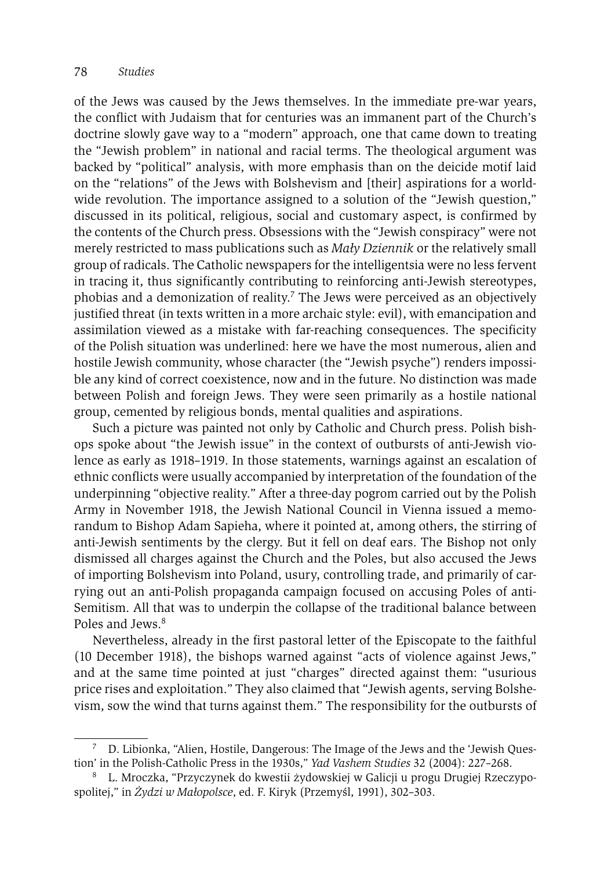of the Jews was caused by the Jews themselves. In the immediate pre-war years, the conflict with Judaism that for centuries was an immanent part of the Church's doctrine slowly gave way to a "modern" approach, one that came down to treating the "Jewish problem" in national and racial terms. The theological argument was backed by "political" analysis, with more emphasis than on the deicide motif laid on the "relations" of the Jews with Bolshevism and [their] aspirations for a worldwide revolution. The importance assigned to a solution of the "Jewish question," discussed in its political, religious, social and customary aspect, is confirmed by the contents of the Church press. Obsessions with the "Jewish conspiracy" were not merely restricted to mass publications such as *Mały Dziennik* or the relatively small group of radicals. The Catholic newspapers for the intelligentsia were no less fervent in tracing it, thus significantly contributing to reinforcing anti-Jewish stereotypes, phobias and a demonization of reality.7 The Jews were perceived as an objectively justified threat (in texts written in a more archaic style: evil), with emancipation and assimilation viewed as a mistake with far-reaching consequences. The specificity of the Polish situation was underlined: here we have the most numerous, alien and hostile Jewish community, whose character (the "Jewish psyche") renders impossible any kind of correct coexistence, now and in the future. No distinction was made between Polish and foreign Jews. They were seen primarily as a hostile national group, cemented by religious bonds, mental qualities and aspirations.

Such a picture was painted not only by Catholic and Church press. Polish bishops spoke about "the Jewish issue" in the context of outbursts of anti-Jewish violence as early as 1918–1919. In those statements, warnings against an escalation of ethnic conflicts were usually accompanied by interpretation of the foundation of the underpinning "objective reality." After a three-day pogrom carried out by the Polish Army in November 1918, the Jewish National Council in Vienna issued a memorandum to Bishop Adam Sapieha, where it pointed at, among others, the stirring of anti-Jewish sentiments by the clergy. But it fell on deaf ears. The Bishop not only dismissed all charges against the Church and the Poles, but also accused the Jews of importing Bolshevism into Poland, usury, controlling trade, and primarily of carrying out an anti-Polish propaganda campaign focused on accusing Poles of anti-Semitism. All that was to underpin the collapse of the traditional balance between Poles and Jews.8

Nevertheless, already in the first pastoral letter of the Episcopate to the faithful (10 December 1918), the bishops warned against "acts of violence against Jews," and at the same time pointed at just "charges" directed against them: "usurious price rises and exploitation." They also claimed that "Jewish agents, serving Bolshevism, sow the wind that turns against them." The responsibility for the outbursts of

<sup>7</sup> D. Libionka, "Alien, Hostile, Dangerous: The Image of the Jews and the 'Jewish Question' in the Polish-Catholic Press in the 1930s," *Yad Vashem Studies* 32 (2004): 227–268.

<sup>8</sup> L. Mroczka, "Przyczynek do kwestii żydowskiej w Galicji u progu Drugiej Rzeczypospolitej," in *Żydzi w Małopolsce*, ed. F. Kiryk (Przemyśl, 1991), 302–303.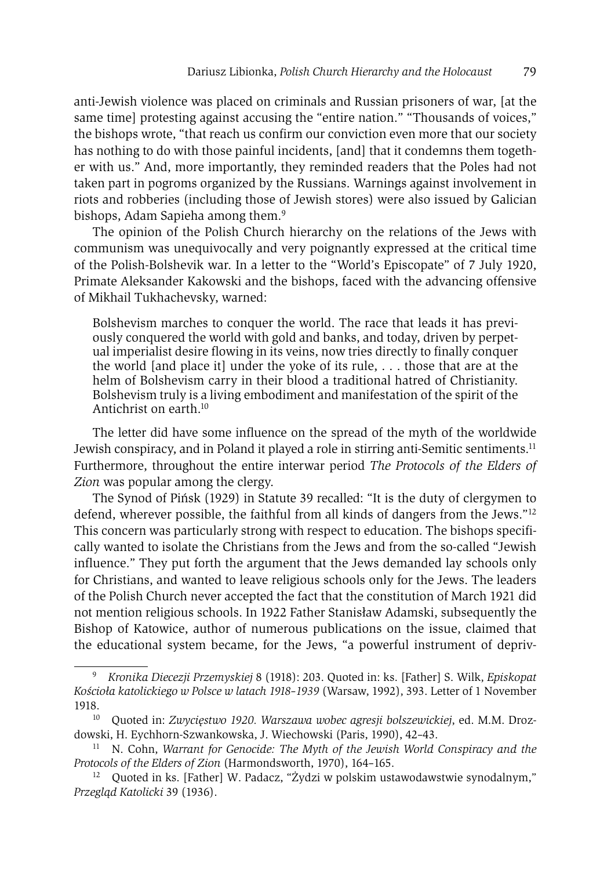anti-Jewish violence was placed on criminals and Russian prisoners of war, [at the same time] protesting against accusing the "entire nation." "Thousands of voices," the bishops wrote, "that reach us confirm our conviction even more that our society has nothing to do with those painful incidents, [and] that it condemns them together with us." And, more importantly, they reminded readers that the Poles had not taken part in pogroms organized by the Russians. Warnings against involvement in riots and robberies (including those of Jewish stores) were also issued by Galician bishops, Adam Sapieha among them.<sup>9</sup>

The opinion of the Polish Church hierarchy on the relations of the Jews with communism was unequivocally and very poignantly expressed at the critical time of the Polish-Bolshevik war. In a letter to the "World's Episcopate" of 7 July 1920, Primate Aleksander Kakowski and the bishops, faced with the advancing offensive of Mikhail Tukhachevsky, warned:

Bolshevism marches to conquer the world. The race that leads it has previously conquered the world with gold and banks, and today, driven by perpetual imperialist desire flowing in its veins, now tries directly to finally conquer the world [and place it] under the yoke of its rule, . . . those that are at the helm of Bolshevism carry in their blood a traditional hatred of Christianity. Bolshevism truly is a living embodiment and manifestation of the spirit of the Antichrist on earth.10

The letter did have some influence on the spread of the myth of the worldwide Jewish conspiracy, and in Poland it played a role in stirring anti-Semitic sentiments.<sup>11</sup> Furthermore, throughout the entire interwar period *The Protocols of the Elders of Zion* was popular among the clergy.

The Synod of Pińsk (1929) in Statute 39 recalled: "It is the duty of clergymen to defend, wherever possible, the faithful from all kinds of dangers from the Jews."12 This concern was particularly strong with respect to education. The bishops specifically wanted to isolate the Christians from the Jews and from the so-called "Jewish influence." They put forth the argument that the Jews demanded lay schools only for Christians, and wanted to leave religious schools only for the Jews. The leaders of the Polish Church never accepted the fact that the constitution of March 1921 did not mention religious schools. In 1922 Father Stanisław Adamski, subsequently the Bishop of Katowice, author of numerous publications on the issue, claimed that the educational system became, for the Jews, "a powerful instrument of depriv-

<sup>9</sup> *Kronika Diecezji Przemyskiej* 8 (1918): 203. Quoted in: ks. [Father] S. Wilk, *Episkopat Kościoła katolickiego w Polsce w latach 1918–1939* (Warsaw, 1992), 393. Letter of 1 November 1918. 10 Quoted in: *Zwycięstwo 1920. Warszawa wobec agresji bolszewickiej*, ed. M.M. Droz-

dowski, H. Eychhorn-Szwankowska, J. Wiechowski (Paris, 1990), 42–43.

<sup>11</sup> N. Cohn, *Warrant for Genocide: The Myth of the Jewish World Conspiracy and the Protocols of the Elders of Zion* (Harmondsworth, 1970), 164–165.<br><sup>12</sup> Quoted in ks. [Father] W. Padacz, "Żydzi w polskim ustawodawstwie synodalnym,"

*Przegląd Katolicki* 39 (1936).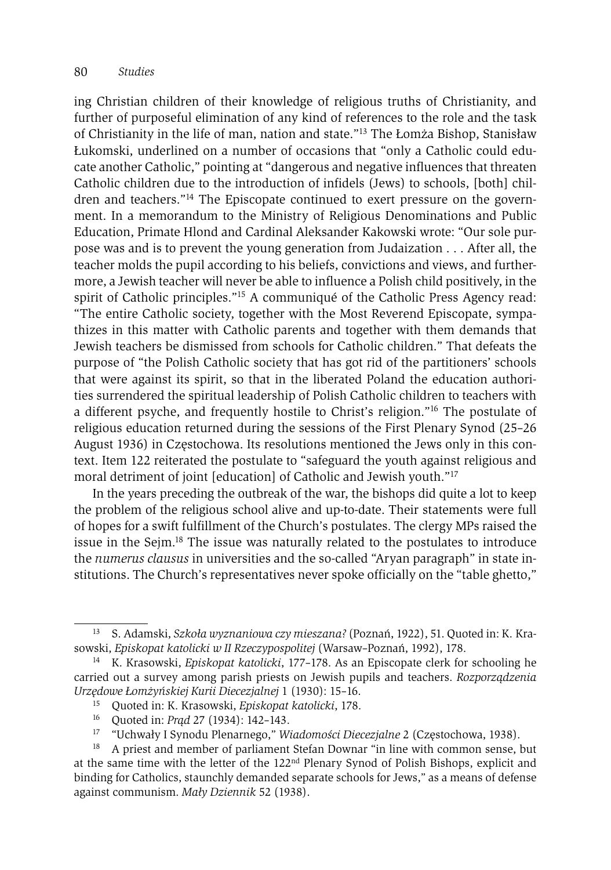ing Christian children of their knowledge of religious truths of Christianity, and further of purposeful elimination of any kind of references to the role and the task of Christianity in the life of man, nation and state."13 The Łomża Bishop, Stanisław Łukomski, underlined on a number of occasions that "only a Catholic could educate another Catholic," pointing at "dangerous and negative influences that threaten Catholic children due to the introduction of infidels (Jews) to schools, [both] children and teachers."14 The Episcopate continued to exert pressure on the government. In a memorandum to the Ministry of Religious Denominations and Public Education, Primate Hlond and Cardinal Aleksander Kakowski wrote: "Our sole purpose was and is to prevent the young generation from Judaization . . . After all, the teacher molds the pupil according to his beliefs, convictions and views, and furthermore, a Jewish teacher will never be able to influence a Polish child positively, in the spirit of Catholic principles."15 A communiqué of the Catholic Press Agency read: "The entire Catholic society, together with the Most Reverend Episcopate, sympathizes in this matter with Catholic parents and together with them demands that Jewish teachers be dismissed from schools for Catholic children." That defeats the purpose of "the Polish Catholic society that has got rid of the partitioners' schools that were against its spirit, so that in the liberated Poland the education authorities surrendered the spiritual leadership of Polish Catholic children to teachers with a different psyche, and frequently hostile to Christ's religion."16 The postulate of religious education returned during the sessions of the First Plenary Synod (25–26 August 1936) in Częstochowa. Its resolutions mentioned the Jews only in this context. Item 122 reiterated the postulate to "safeguard the youth against religious and moral detriment of joint [education] of Catholic and Jewish youth."17

In the years preceding the outbreak of the war, the bishops did quite a lot to keep the problem of the religious school alive and up-to-date. Their statements were full of hopes for a swift fulfillment of the Church's postulates. The clergy MPs raised the issue in the Sejm.18 The issue was naturally related to the postulates to introduce the *numerus clausus* in universities and the so-called "Aryan paragraph" in state institutions. The Church's representatives never spoke officially on the "table ghetto,"

- 16 Quoted in: *Prąd* 27 (1934): 142–143.
- 17 "Uchwały I Synodu Plenarnego," *Wiadomości Diecezjalne* 2 (Częstochowa, 1938).

<sup>13</sup> S. Adamski, *Szkoła wyznaniowa czy mieszana?* (Poznań, 1922), 51. Quoted in: K. Krasowski, *Episkopat katolicki w II Rzeczypospolitej* (Warsaw–Poznań, 1992), 178. 14 K. Krasowski, *Episkopat katolicki*, 177–178. As an Episcopate clerk for schooling he

carried out a survey among parish priests on Jewish pupils and teachers. *Rozporządzenia Urzędowe Łomżyńskiej Kurii Diecezjalnej* 1 (1930): 15–16.

<sup>15</sup> Quoted in: K. Krasowski, *Episkopat katolicki*, 178.

<sup>&</sup>lt;sup>18</sup> A priest and member of parliament Stefan Downar "in line with common sense, but at the same time with the letter of the 122nd Plenary Synod of Polish Bishops, explicit and binding for Catholics, staunchly demanded separate schools for Jews," as a means of defense against communism. *Mały Dziennik* 52 (1938).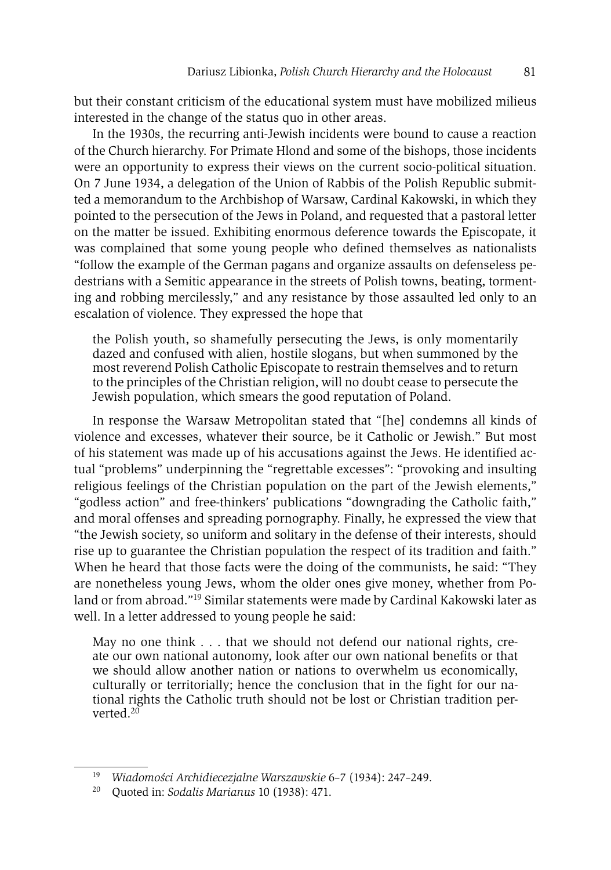but their constant criticism of the educational system must have mobilized milieus interested in the change of the status quo in other areas.

In the 1930s, the recurring anti-Jewish incidents were bound to cause a reaction of the Church hierarchy. For Primate Hlond and some of the bishops, those incidents were an opportunity to express their views on the current socio-political situation. On 7 June 1934, a delegation of the Union of Rabbis of the Polish Republic submitted a memorandum to the Archbishop of Warsaw, Cardinal Kakowski, in which they pointed to the persecution of the Jews in Poland, and requested that a pastoral letter on the matter be issued. Exhibiting enormous deference towards the Episcopate, it was complained that some young people who defined themselves as nationalists "follow the example of the German pagans and organize assaults on defenseless pedestrians with a Semitic appearance in the streets of Polish towns, beating, tormenting and robbing mercilessly," and any resistance by those assaulted led only to an escalation of violence. They expressed the hope that

the Polish youth, so shamefully persecuting the Jews, is only momentarily dazed and confused with alien, hostile slogans, but when summoned by the most reverend Polish Catholic Episcopate to restrain themselves and to return to the principles of the Christian religion, will no doubt cease to persecute the Jewish population, which smears the good reputation of Poland.

In response the Warsaw Metropolitan stated that "[he] condemns all kinds of violence and excesses, whatever their source, be it Catholic or Jewish." But most of his statement was made up of his accusations against the Jews. He identified actual "problems" underpinning the "regrettable excesses": "provoking and insulting religious feelings of the Christian population on the part of the Jewish elements," "godless action" and free-thinkers' publications "downgrading the Catholic faith," and moral offenses and spreading pornography. Finally, he expressed the view that "the Jewish society, so uniform and solitary in the defense of their interests, should rise up to guarantee the Christian population the respect of its tradition and faith." When he heard that those facts were the doing of the communists, he said: "They are nonetheless young Jews, whom the older ones give money, whether from Poland or from abroad."<sup>19</sup> Similar statements were made by Cardinal Kakowski later as well. In a letter addressed to young people he said:

May no one think . . . that we should not defend our national rights, create our own national autonomy, look after our own national benefits or that we should allow another nation or nations to overwhelm us economically, culturally or territorially; hence the conclusion that in the fight for our national rights the Catholic truth should not be lost or Christian tradition perverted.20

<sup>19</sup> *Wiadomości Archidiecezjalne Warszawskie* 6–7 (1934): 247–249. 20 Quoted in: *Sodalis Marianus* 10 (1938): 471.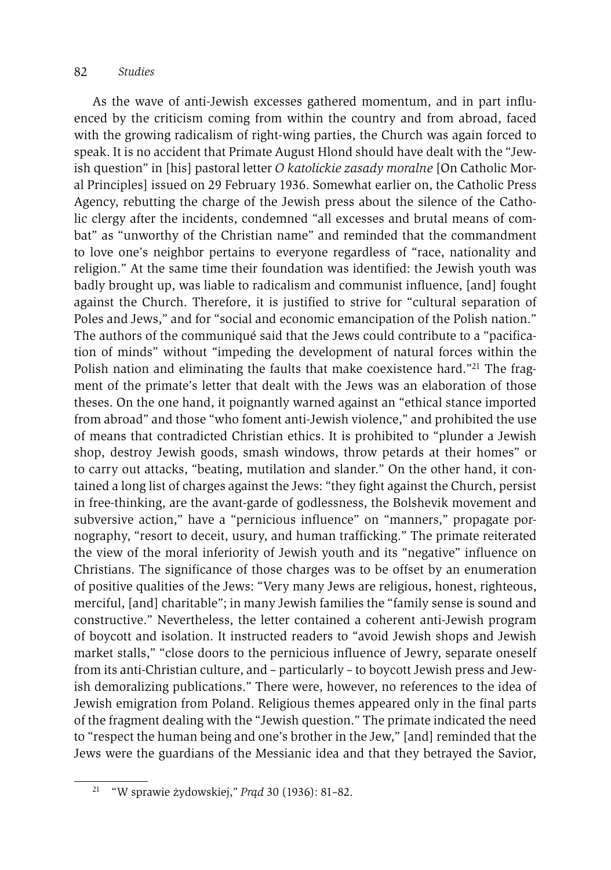As the wave of anti-Jewish excesses gathered momentum, and in part influenced by the criticism coming from within the country and from abroad, faced with the growing radicalism of right-wing parties, the Church was again forced to speak. It is no accident that Primate August Hlond should have dealt with the "Jewish question" in [his] pastoral letter *O katolickie zasady moralne* [On Catholic Moral Principles] issued on 29 February 1936. Somewhat earlier on, the Catholic Press Agency, rebutting the charge of the Jewish press about the silence of the Catholic clergy after the incidents, condemned "all excesses and brutal means of combat" as "unworthy of the Christian name" and reminded that the commandment to love one's neighbor pertains to everyone regardless of "race, nationality and religion." At the same time their foundation was identified: the Jewish youth was badly brought up, was liable to radicalism and communist influence, [and] fought against the Church. Therefore, it is justified to strive for "cultural separation of Poles and Jews," and for "social and economic emancipation of the Polish nation." The authors of the communiqué said that the Jews could contribute to a "pacification of minds" without "impeding the development of natural forces within the Polish nation and eliminating the faults that make coexistence hard."<sup>21</sup> The fragment of the primate's letter that dealt with the Jews was an elaboration of those theses. On the one hand, it poignantly warned against an "ethical stance imported from abroad" and those "who foment anti-Jewish violence," and prohibited the use of means that contradicted Christian ethics. It is prohibited to "plunder a Jewish shop, destroy Jewish goods, smash windows, throw petards at their homes" or to carry out attacks, "beating, mutilation and slander." On the other hand, it contained a long list of charges against the Jews: "they fight against the Church, persist in free-thinking, are the avant-garde of godlessness, the Bolshevik movement and subversive action," have a "pernicious influence" on "manners," propagate pornography, "resort to deceit, usury, and human trafficking." The primate reiterated the view of the moral inferiority of Jewish youth and its "negative" influence on Christians. The significance of those charges was to be offset by an enumeration of positive qualities of the Jews: "Very many Jews are religious, honest, righteous, merciful, [and] charitable"; in many Jewish families the "family sense is sound and constructive." Nevertheless, the letter contained a coherent anti-Jewish program of boycott and isolation. It instructed readers to "avoid Jewish shops and Jewish market stalls," "close doors to the pernicious influence of Jewry, separate oneself from its anti-Christian culture, and – particularly – to boycott Jewish press and Jewish demoralizing publications." There were, however, no references to the idea of Jewish emigration from Poland. Religious themes appeared only in the final parts of the fragment dealing with the "Jewish question." The primate indicated the need to "respect the human being and one's brother in the Jew," [and] reminded that the Jews were the guardians of the Messianic idea and that they betrayed the Savior,

<sup>21 &</sup>quot;W sprawie żydowskiej," *Prąd* 30 (1936): 81–82.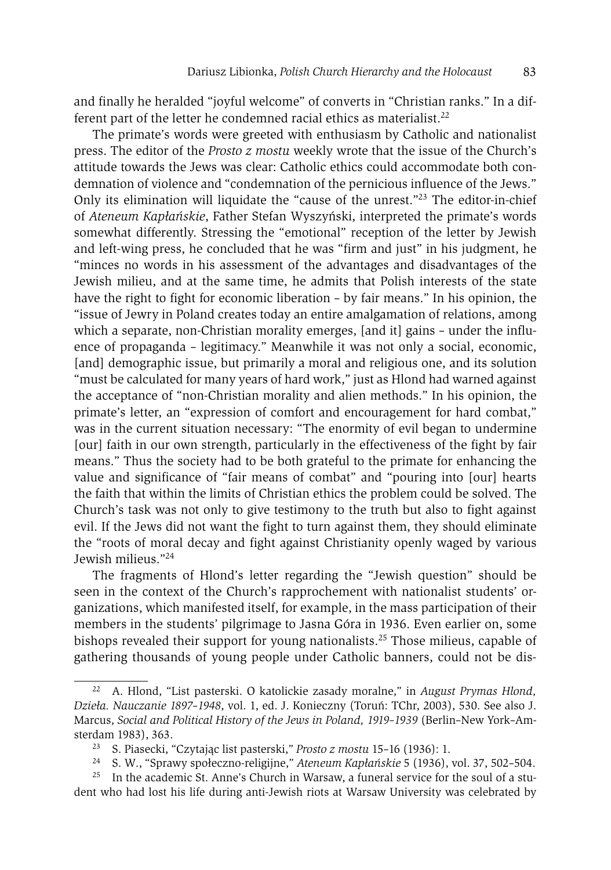and finally he heralded "joyful welcome" of converts in "Christian ranks." In a different part of the letter he condemned racial ethics as materialist.<sup>22</sup>

The primate's words were greeted with enthusiasm by Catholic and nationalist press. The editor of the *Prosto z mostu* weekly wrote that the issue of the Church's attitude towards the Jews was clear: Catholic ethics could accommodate both condemnation of violence and "condemnation of the pernicious influence of the Jews." Only its elimination will liquidate the "cause of the unrest."23 The editor-in-chief of *Ateneum Kapłańskie*, Father Stefan Wyszyński, interpreted the primate's words somewhat differently. Stressing the "emotional" reception of the letter by Jewish and left-wing press, he concluded that he was "firm and just" in his judgment, he "minces no words in his assessment of the advantages and disadvantages of the Jewish milieu, and at the same time, he admits that Polish interests of the state have the right to fight for economic liberation – by fair means." In his opinion, the "issue of Jewry in Poland creates today an entire amalgamation of relations, among which a separate, non-Christian morality emerges, [and it] gains – under the influence of propaganda – legitimacy." Meanwhile it was not only a social, economic, [and] demographic issue, but primarily a moral and religious one, and its solution "must be calculated for many years of hard work," just as Hlond had warned against the acceptance of "non-Christian morality and alien methods." In his opinion, the primate's letter, an "expression of comfort and encouragement for hard combat," was in the current situation necessary: "The enormity of evil began to undermine [our] faith in our own strength, particularly in the effectiveness of the fight by fair means." Thus the society had to be both grateful to the primate for enhancing the value and significance of "fair means of combat" and "pouring into [our] hearts the faith that within the limits of Christian ethics the problem could be solved. The Church's task was not only to give testimony to the truth but also to fight against evil. If the Jews did not want the fight to turn against them, they should eliminate the "roots of moral decay and fight against Christianity openly waged by various Jewish milieus."24

The fragments of Hlond's letter regarding the "Jewish question" should be seen in the context of the Church's rapprochement with nationalist students' organizations, which manifested itself, for example, in the mass participation of their members in the students' pilgrimage to Jasna Góra in 1936. Even earlier on, some bishops revealed their support for young nationalists.<sup>25</sup> Those milieus, capable of gathering thousands of young people under Catholic banners, could not be dis-

<sup>22</sup> A. Hlond, "List pasterski. O katolickie zasady moralne," in *August Prymas Hlond, Dzieła. Nauczanie 1897–1948*, vol. 1, ed. J. Konieczny (Toruń: TChr, 2003), 530. See also J. Marcus, *Social and Political History of the Jews in Poland, 1919–1939* (Berlin–New York–Amsterdam 1983), 363.

<sup>23</sup> S. Piasecki, "Czytając list pasterski," *Prosto z mostu* 15–16 (1936): 1.

<sup>24</sup> S. W., "Sprawy społeczno-religijne," *Ateneum Kapłańskie* 5 (1936), vol. 37, 502–504.

<sup>&</sup>lt;sup>25</sup> In the academic St. Anne's Church in Warsaw, a funeral service for the soul of a student who had lost his life during anti-Jewish riots at Warsaw University was celebrated by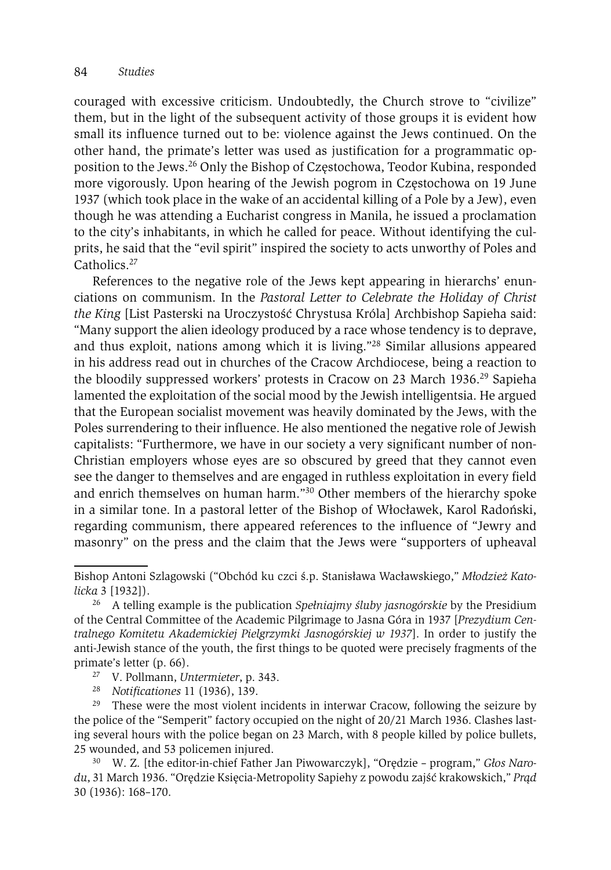couraged with excessive criticism. Undoubtedly, the Church strove to "civilize" them, but in the light of the subsequent activity of those groups it is evident how small its influence turned out to be: violence against the Jews continued. On the other hand, the primate's letter was used as justification for a programmatic opposition to the Jews.26 Only the Bishop of Częstochowa, Teodor Kubina, responded more vigorously. Upon hearing of the Jewish pogrom in Częstochowa on 19 June 1937 (which took place in the wake of an accidental killing of a Pole by a Jew), even though he was attending a Eucharist congress in Manila, he issued a proclamation to the city's inhabitants, in which he called for peace. Without identifying the culprits, he said that the "evil spirit" inspired the society to acts unworthy of Poles and Catholics<sup>27</sup>

References to the negative role of the Jews kept appearing in hierarchs' enunciations on communism. In the *Pastoral Letter to Celebrate the Holiday of Christ the King* [List Pasterski na Uroczystość Chrystusa Króla] Archbishop Sapieha said: "Many support the alien ideology produced by a race whose tendency is to deprave, and thus exploit, nations among which it is living."28 Similar allusions appeared in his address read out in churches of the Cracow Archdiocese, being a reaction to the bloodily suppressed workers' protests in Cracow on 23 March 1936.<sup>29</sup> Sapieha lamented the exploitation of the social mood by the Jewish intelligentsia. He argued that the European socialist movement was heavily dominated by the Jews, with the Poles surrendering to their influence. He also mentioned the negative role of Jewish capitalists: "Furthermore, we have in our society a very significant number of non-Christian employers whose eyes are so obscured by greed that they cannot even see the danger to themselves and are engaged in ruthless exploitation in every field and enrich themselves on human harm."30 Other members of the hierarchy spoke in a similar tone. In a pastoral letter of the Bishop of Włocławek, Karol Radoński, regarding communism, there appeared references to the influence of "Jewry and masonry" on the press and the claim that the Jews were "supporters of upheaval

- 
- <sup>28</sup> *Notificationes* 11 (1936), 139.

<sup>29</sup> These were the most violent incidents in interwar Cracow, following the seizure by the police of the "Semperit" factory occupied on the night of 20/21 March 1936. Clashes lasting several hours with the police began on 23 March, with 8 people killed by police bullets, 25 wounded, and 53 policemen injured. 30 W. Z. [the editor-in-chief Father Jan Piwowarczyk], "Orędzie – program," *Głos Naro-*

*du*, 31 March 1936. "Orędzie Księcia-Metropolity Sapiehy z powodu zajść krakowskich," *Prąd* 30 (1936): 168–170.

Bishop Antoni Szlagowski ("Obchód ku czci ś.p. Stanisława Wacławskiego," *Młodzież Katolicka* 3 [1932]).

<sup>26</sup> A telling example is the publication *Spełniajmy śluby jasnogórskie* by the Presidium of the Central Committee of the Academic Pilgrimage to Jasna Góra in 1937 [*Prezydium Centralnego Komitetu Akademickiej Pielgrzymki Jasnogórskiej w 1937*]. In order to justify the anti-Jewish stance of the youth, the first things to be quoted were precisely fragments of the primate's letter (p. 66).<br><sup>27</sup> V. Pollmann, *Untermieter*, p. 343.<br><sup>28</sup> Notificationes 11 (1936) 139.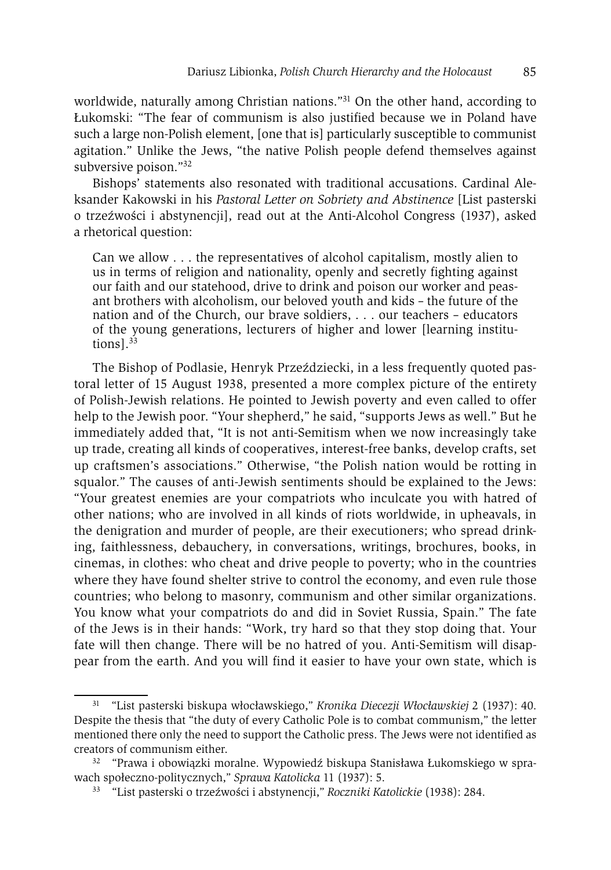worldwide, naturally among Christian nations."<sup>31</sup> On the other hand, according to Łukomski: "The fear of communism is also justified because we in Poland have such a large non-Polish element, [one that is] particularly susceptible to communist agitation." Unlike the Jews, "the native Polish people defend themselves against subversive poison."32

Bishops' statements also resonated with traditional accusations. Cardinal Aleksander Kakowski in his *Pastoral Letter on Sobriety and Abstinence* [List pasterski o trzeźwości i abstynencji], read out at the Anti-Alcohol Congress (1937), asked a rhetorical question:

Can we allow . . . the representatives of alcohol capitalism, mostly alien to us in terms of religion and nationality, openly and secretly fighting against our faith and our statehood, drive to drink and poison our worker and peasant brothers with alcoholism, our beloved youth and kids – the future of the nation and of the Church, our brave soldiers, . . . our teachers – educators of the young generations, lecturers of higher and lower [learning institutions $l^{33}$ 

The Bishop of Podlasie, Henryk Przeździecki, in a less frequently quoted pastoral letter of 15 August 1938, presented a more complex picture of the entirety of Polish-Jewish relations. He pointed to Jewish poverty and even called to offer help to the Jewish poor. "Your shepherd," he said, "supports Jews as well." But he immediately added that, "It is not anti-Semitism when we now increasingly take up trade, creating all kinds of cooperatives, interest-free banks, develop crafts, set up craftsmen's associations." Otherwise, "the Polish nation would be rotting in squalor." The causes of anti-Jewish sentiments should be explained to the Jews: "Your greatest enemies are your compatriots who inculcate you with hatred of other nations; who are involved in all kinds of riots worldwide, in upheavals, in the denigration and murder of people, are their executioners; who spread drinking, faithlessness, debauchery, in conversations, writings, brochures, books, in cinemas, in clothes: who cheat and drive people to poverty; who in the countries where they have found shelter strive to control the economy, and even rule those countries; who belong to masonry, communism and other similar organizations. You know what your compatriots do and did in Soviet Russia, Spain." The fate of the Jews is in their hands: "Work, try hard so that they stop doing that. Your fate will then change. There will be no hatred of you. Anti-Semitism will disappear from the earth. And you will find it easier to have your own state, which is

<sup>31 &</sup>quot;List pasterski biskupa włocławskiego," *Kronika Diecezji Włocławskiej* 2 (1937): 40. Despite the thesis that "the duty of every Catholic Pole is to combat communism," the letter mentioned there only the need to support the Catholic press. The Jews were not identified as creators of communism either. 32 "Prawa i obowiązki moralne. Wypowiedź biskupa Stanisława Łukomskiego w spra-

wach społeczno-politycznych," *Sprawa Katolicka* 11 (1937): 5.

<sup>33 &</sup>quot;List pasterski o trzeźwości i abstynencji," *Roczniki Katolickie* (1938): 284.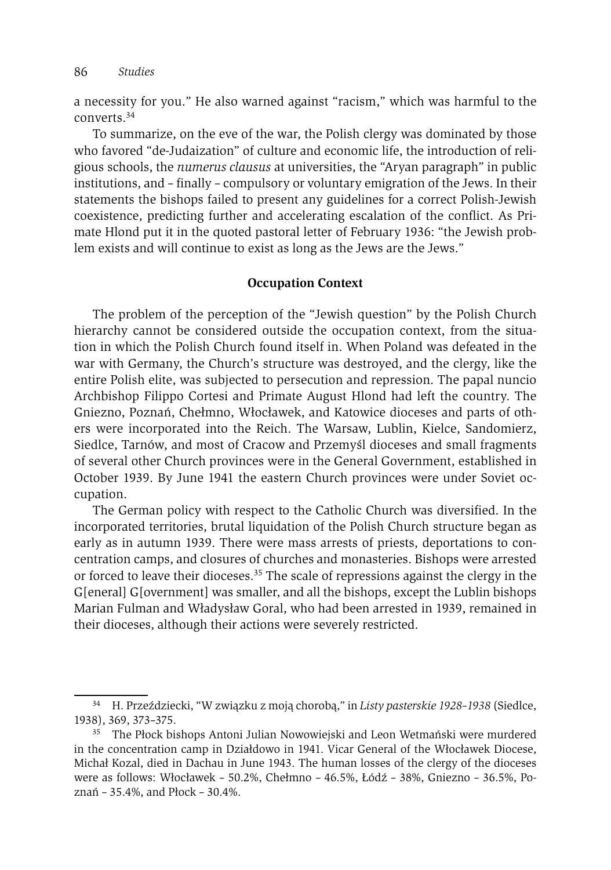a necessity for you." He also warned against "racism," which was harmful to the converts.34

To summarize, on the eve of the war, the Polish clergy was dominated by those who favored "de-Judaization" of culture and economic life, the introduction of religious schools, the *numerus clausus* at universities, the "Aryan paragraph" in public institutions, and – finally – compulsory or voluntary emigration of the Jews. In their statements the bishops failed to present any guidelines for a correct Polish-Jewish coexistence, predicting further and accelerating escalation of the conflict. As Primate Hlond put it in the quoted pastoral letter of February 1936: "the Jewish problem exists and will continue to exist as long as the Jews are the Jews."

#### **Occupation Context**

The problem of the perception of the "Jewish question" by the Polish Church hierarchy cannot be considered outside the occupation context, from the situation in which the Polish Church found itself in. When Poland was defeated in the war with Germany, the Church's structure was destroyed, and the clergy, like the entire Polish elite, was subjected to persecution and repression. The papal nuncio Archbishop Filippo Cortesi and Primate August Hlond had left the country. The Gniezno, Poznań, Chełmno, Włocławek, and Katowice dioceses and parts of others were incorporated into the Reich. The Warsaw, Lublin, Kielce, Sandomierz, Siedlce, Tarnów, and most of Cracow and Przemyśl dioceses and small fragments of several other Church provinces were in the General Government, established in October 1939. By June 1941 the eastern Church provinces were under Soviet occupation.

The German policy with respect to the Catholic Church was diversified. In the incorporated territories, brutal liquidation of the Polish Church structure began as early as in autumn 1939. There were mass arrests of priests, deportations to concentration camps, and closures of churches and monasteries. Bishops were arrested or forced to leave their dioceses.<sup>35</sup> The scale of repressions against the clergy in the G[eneral] G[overnment] was smaller, and all the bishops, except the Lublin bishops Marian Fulman and Władysław Goral, who had been arrested in 1939, remained in their dioceses, although their actions were severely restricted.

<sup>34</sup> H. Przeździecki, "W związku z moją chorobą," in *Listy pasterskie 1928–1938* (Siedlce, 1938), 369, 373–375. 35 The Płock bishops Antoni Julian Nowowiejski and Leon Wetmański were murdered

in the concentration camp in Działdowo in 1941. Vicar General of the Włocławek Diocese, Michał Kozal, died in Dachau in June 1943. The human losses of the clergy of the dioceses were as follows: Włocławek – 50.2%, Chełmno – 46.5%, Łódź – 38%, Gniezno – 36.5%, Poznań – 35.4%, and Płock – 30.4%.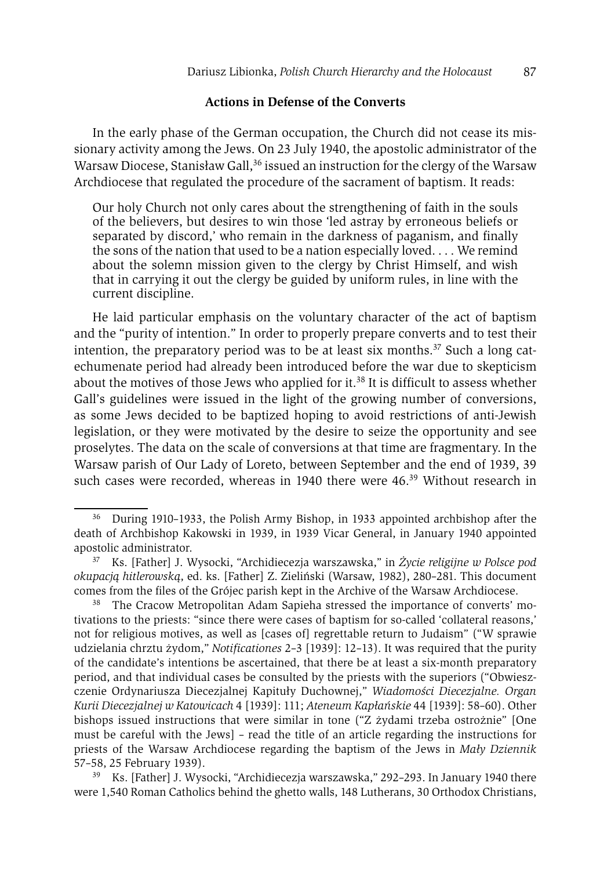#### **Actions in Defense of the Converts**

In the early phase of the German occupation, the Church did not cease its missionary activity among the Jews. On 23 July 1940, the apostolic administrator of the Warsaw Diocese, Stanisław Gall,<sup>36</sup> issued an instruction for the clergy of the Warsaw Archdiocese that regulated the procedure of the sacrament of baptism. It reads:

Our holy Church not only cares about the strengthening of faith in the souls of the believers, but desires to win those 'led astray by erroneous beliefs or separated by discord,' who remain in the darkness of paganism, and finally the sons of the nation that used to be a nation especially loved. . . . We remind about the solemn mission given to the clergy by Christ Himself, and wish that in carrying it out the clergy be guided by uniform rules, in line with the current discipline.

He laid particular emphasis on the voluntary character of the act of baptism and the "purity of intention." In order to properly prepare converts and to test their intention, the preparatory period was to be at least six months.<sup>37</sup> Such a long catechumenate period had already been introduced before the war due to skepticism about the motives of those Jews who applied for it.<sup>38</sup> It is difficult to assess whether Gall's guidelines were issued in the light of the growing number of conversions, as some Jews decided to be baptized hoping to avoid restrictions of anti-Jewish legislation, or they were motivated by the desire to seize the opportunity and see proselytes. The data on the scale of conversions at that time are fragmentary. In the Warsaw parish of Our Lady of Loreto, between September and the end of 1939, 39 such cases were recorded, whereas in 1940 there were 46.<sup>39</sup> Without research in

<sup>36</sup> During 1910–1933, the Polish Army Bishop, in 1933 appointed archbishop after the death of Archbishop Kakowski in 1939, in 1939 Vicar General, in January 1940 appointed apostolic administrator. 37 Ks. [Father] J. Wysocki, "Archidiecezja warszawska," in *Życie religijne w Polsce pod* 

*okupacją hitlerowską*, ed. ks. [Father] Z. Zieliński (Warsaw, 1982), 280–281. This document

<sup>&</sup>lt;sup>38</sup> The Cracow Metropolitan Adam Sapieha stressed the importance of converts' motivations to the priests: "since there were cases of baptism for so-called 'collateral reasons,' not for religious motives, as well as [cases of] regrettable return to Judaism" ("W sprawie udzielania chrztu żydom," *Notificationes* 2–3 [1939]: 12–13). It was required that the purity of the candidate's intentions be ascertained, that there be at least a six-month preparatory period, and that individual cases be consulted by the priests with the superiors ("Obwieszczenie Ordynariusza Diecezjalnej Kapituły Duchownej," *Wiadomości Diecezjalne. Organ Kurii Diecezjalnej w Katowicach* 4 [1939]: 111; *Ateneum Kapłańskie* 44 [1939]: 58–60). Other bishops issued instructions that were similar in tone ("Z żydami trzeba ostrożnie" [One must be careful with the Jews] – read the title of an article regarding the instructions for priests of the Warsaw Archdiocese regarding the baptism of the Jews in *Mały Dziennik*  57–58, 25 February 1939).

<sup>39</sup> Ks. [Father] J. Wysocki, "Archidiecezja warszawska," 292–293. In January 1940 there were 1,540 Roman Catholics behind the ghetto walls, 148 Lutherans, 30 Orthodox Christians,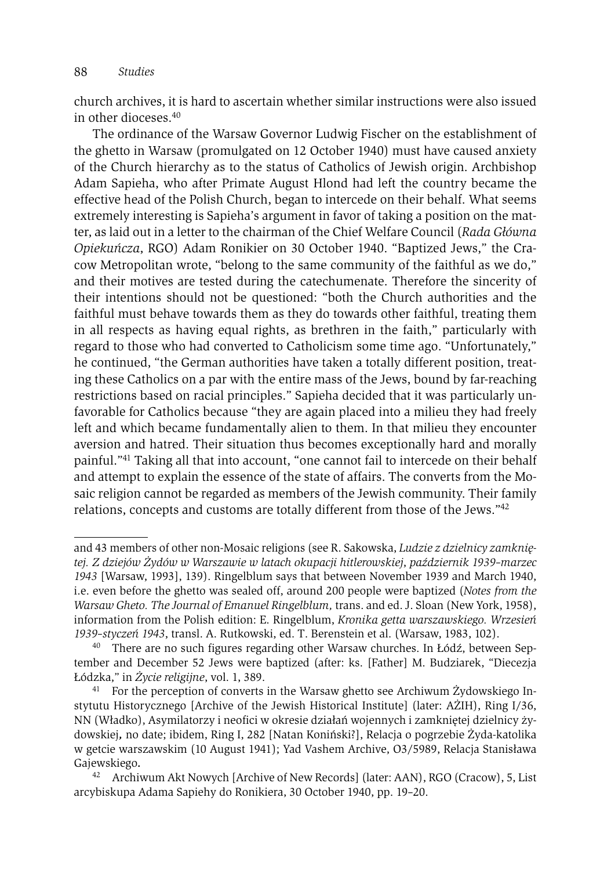church archives, it is hard to ascertain whether similar instructions were also issued in other dioceses.40

The ordinance of the Warsaw Governor Ludwig Fischer on the establishment of the ghetto in Warsaw (promulgated on 12 October 1940) must have caused anxiety of the Church hierarchy as to the status of Catholics of Jewish origin. Archbishop Adam Sapieha, who after Primate August Hlond had left the country became the effective head of the Polish Church, began to intercede on their behalf. What seems extremely interesting is Sapieha's argument in favor of taking a position on the matter, as laid out in a letter to the chairman of the Chief Welfare Council (*Rada Główna Opiekuńcza*, RGO) Adam Ronikier on 30 October 1940. "Baptized Jews," the Cracow Metropolitan wrote, "belong to the same community of the faithful as we do," and their motives are tested during the catechumenate. Therefore the sincerity of their intentions should not be questioned: "both the Church authorities and the faithful must behave towards them as they do towards other faithful, treating them in all respects as having equal rights, as brethren in the faith," particularly with regard to those who had converted to Catholicism some time ago. "Unfortunately," he continued, "the German authorities have taken a totally different position, treating these Catholics on a par with the entire mass of the Jews, bound by far-reaching restrictions based on racial principles." Sapieha decided that it was particularly unfavorable for Catholics because "they are again placed into a milieu they had freely left and which became fundamentally alien to them. In that milieu they encounter aversion and hatred. Their situation thus becomes exceptionally hard and morally painful."41 Taking all that into account, "one cannot fail to intercede on their behalf and attempt to explain the essence of the state of affairs. The converts from the Mosaic religion cannot be regarded as members of the Jewish community. Their family relations, concepts and customs are totally different from those of the Jews."42

and 43 members of other non-Mosaic religions (see R. Sakowska, *Ludzie z dzielnicy zamkniętej. Z dziejów Żydów w Warszawie w latach okupacji hitlerowskiej*, *październik 1939–marzec 1943* [Warsaw, 1993], 139). Ringelblum says that between November 1939 and March 1940, i.e. even before the ghetto was sealed off, around 200 people were baptized (*Notes from the Warsaw Gheto. The Journal of Emanuel Ringelblum,* trans. and ed. J. Sloan (New York, 1958), information from the Polish edition: E. Ringelblum, *Kronika getta warszawskiego. Wrzesień 1939–styczeń 1943*, transl. A. Rutkowski, ed. T. Berenstein et al. (Warsaw, 1983, 102).

<sup>40</sup> There are no such figures regarding other Warsaw churches. In Łódź, between September and December 52 Jews were baptized (after: ks. [Father] M. Budziarek, "Diecezja Łódzka," in *Życie religijne*, vol. 1, 389. 41 For the perception of converts in the Warsaw ghetto see Archiwum Żydowskiego In-

stytutu Historycznego [Archive of the Jewish Historical Institute] (later: AŻIH), Ring I/36, NN (Władko), Asymilatorzy i neofici w okresie działań wojennych i zamkniętej dzielnicy żydowskiej*,* no date; ibidem, Ring I, 282 [Natan Koniński?], Relacja o pogrzebie Żyda-katolika w getcie warszawskim (10 August 1941); Yad Vashem Archive, O3/5989, Relacja Stanisława Gajewskiego*.* 

<sup>42</sup> Archiwum Akt Nowych [Archive of New Records] (later: AAN), RGO (Cracow), 5, List arcybiskupa Adama Sapiehy do Ronikiera, 30 October 1940, pp. 19–20.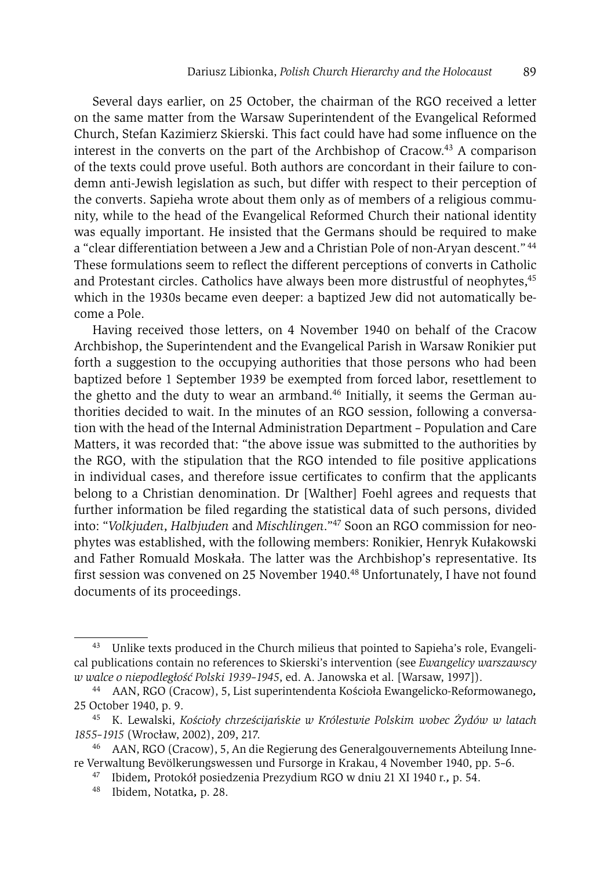Several days earlier, on 25 October, the chairman of the RGO received a letter on the same matter from the Warsaw Superintendent of the Evangelical Reformed Church, Stefan Kazimierz Skierski. This fact could have had some influence on the interest in the converts on the part of the Archbishop of Cracow.43 A comparison of the texts could prove useful. Both authors are concordant in their failure to condemn anti-Jewish legislation as such, but differ with respect to their perception of the converts. Sapieha wrote about them only as of members of a religious community, while to the head of the Evangelical Reformed Church their national identity was equally important. He insisted that the Germans should be required to make a "clear differentiation between a Jew and a Christian Pole of non-Aryan descent." 44 These formulations seem to reflect the different perceptions of converts in Catholic and Protestant circles. Catholics have always been more distrustful of neophytes,<sup>45</sup> which in the 1930s became even deeper: a baptized Jew did not automatically become a Pole.

Having received those letters, on 4 November 1940 on behalf of the Cracow Archbishop, the Superintendent and the Evangelical Parish in Warsaw Ronikier put forth a suggestion to the occupying authorities that those persons who had been baptized before 1 September 1939 be exempted from forced labor, resettlement to the ghetto and the duty to wear an armband.<sup>46</sup> Initially, it seems the German authorities decided to wait. In the minutes of an RGO session, following a conversation with the head of the Internal Administration Department – Population and Care Matters, it was recorded that: "the above issue was submitted to the authorities by the RGO, with the stipulation that the RGO intended to file positive applications in individual cases, and therefore issue certificates to confirm that the applicants belong to a Christian denomination. Dr [Walther] Foehl agrees and requests that further information be filed regarding the statistical data of such persons, divided into: "*Volkjuden*, *Halbjuden* and *Mischlingen*."47 Soon an RGO commission for neophytes was established, with the following members: Ronikier, Henryk Kułakowski and Father Romuald Moskała. The latter was the Archbishop's representative. Its first session was convened on 25 November 1940.48 Unfortunately, I have not found documents of its proceedings.

<sup>&</sup>lt;sup>43</sup> Unlike texts produced in the Church milieus that pointed to Sapieha's role, Evangelical publications contain no references to Skierski's intervention (see *Ewangelicy warszawscy w walce o niepodległość Polski 1939–1945*, ed. A. Janowska et al. [Warsaw, 1997]). 44 AAN, RGO (Cracow), 5, List superintendenta Kościoła Ewangelicko-Reformowanego*,* 

<sup>25</sup> October 1940, p. 9.

<sup>45</sup> K. Lewalski, *Kościoły chrześcijańskie w Królestwie Polskim wobec Żydów w latach 1855–1915* (Wrocław, 2002), 209, 217.

<sup>46</sup> AAN, RGO (Cracow), 5, An die Regierung des Generalgouvernements Abteilung Innere Verwaltung Bevölkerungswessen und Fursorge in Krakau, 4 November 1940, pp. 5–6.

<sup>47</sup> Ibidem*,* Protokół posiedzenia Prezydium RGO w dniu 21 XI 1940 r.*,* p. 54.

<sup>48</sup> Ibidem, Notatka*,* p. 28.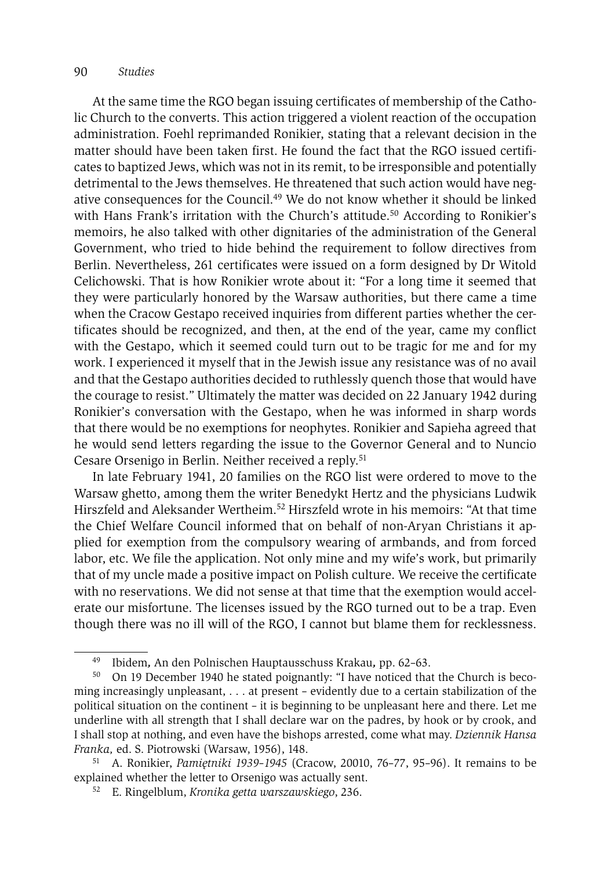#### 90 *Studies*

At the same time the RGO began issuing certificates of membership of the Catholic Church to the converts. This action triggered a violent reaction of the occupation administration. Foehl reprimanded Ronikier, stating that a relevant decision in the matter should have been taken first. He found the fact that the RGO issued certificates to baptized Jews, which was not in its remit, to be irresponsible and potentially detrimental to the Jews themselves. He threatened that such action would have negative consequences for the Council.49 We do not know whether it should be linked with Hans Frank's irritation with the Church's attitude.<sup>50</sup> According to Ronikier's memoirs, he also talked with other dignitaries of the administration of the General Government, who tried to hide behind the requirement to follow directives from Berlin. Nevertheless, 261 certificates were issued on a form designed by Dr Witold Celichowski. That is how Ronikier wrote about it: "For a long time it seemed that they were particularly honored by the Warsaw authorities, but there came a time when the Cracow Gestapo received inquiries from different parties whether the certificates should be recognized, and then, at the end of the year, came my conflict with the Gestapo, which it seemed could turn out to be tragic for me and for my work. I experienced it myself that in the Jewish issue any resistance was of no avail and that the Gestapo authorities decided to ruthlessly quench those that would have the courage to resist." Ultimately the matter was decided on 22 January 1942 during Ronikier's conversation with the Gestapo, when he was informed in sharp words that there would be no exemptions for neophytes. Ronikier and Sapieha agreed that he would send letters regarding the issue to the Governor General and to Nuncio Cesare Orsenigo in Berlin. Neither received a reply.51

In late February 1941, 20 families on the RGO list were ordered to move to the Warsaw ghetto, among them the writer Benedykt Hertz and the physicians Ludwik Hirszfeld and Aleksander Wertheim.52 Hirszfeld wrote in his memoirs: "At that time the Chief Welfare Council informed that on behalf of non-Aryan Christians it applied for exemption from the compulsory wearing of armbands, and from forced labor, etc. We file the application. Not only mine and my wife's work, but primarily that of my uncle made a positive impact on Polish culture. We receive the certificate with no reservations. We did not sense at that time that the exemption would accelerate our misfortune. The licenses issued by the RGO turned out to be a trap. Even though there was no ill will of the RGO, I cannot but blame them for recklessness.

<sup>49</sup> Ibidem*,* An den Polnischen Hauptausschuss Krakau*,* pp. 62–63.

<sup>50</sup> On 19 December 1940 he stated poignantly: "I have noticed that the Church is becoming increasingly unpleasant, . . . at present – evidently due to a certain stabilization of the political situation on the continent – it is beginning to be unpleasant here and there. Let me underline with all strength that I shall declare war on the padres, by hook or by crook, and I shall stop at nothing, and even have the bishops arrested, come what may. *Dziennik Hansa Franka, ed. S. Piotrowski (Warsaw, 1956), 148. Franka, ed. S. Piotrowski (Warsaw, 1956), 76–77, 95–96).* It remains to be *F*<sup>1</sup> A. Ronikier, *Pamiętniki 1939–1945* (Cracow, 20010, 76–77, 95–96). It remains to be

explained whether the letter to Orsenigo was actually sent. 52 E. Ringelblum, *Kronika getta warszawskiego*, 236.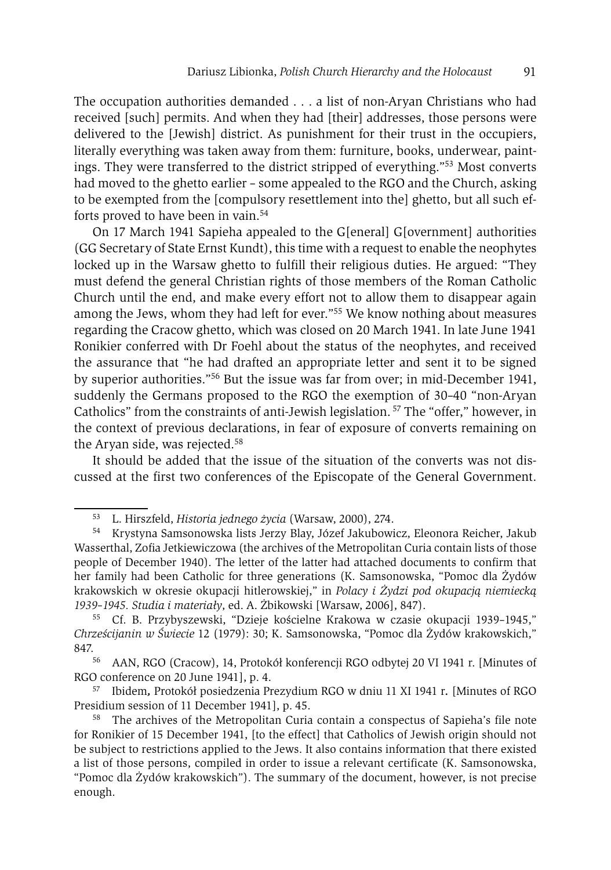The occupation authorities demanded . . . a list of non-Aryan Christians who had received [such] permits. And when they had [their] addresses, those persons were delivered to the [Jewish] district. As punishment for their trust in the occupiers, literally everything was taken away from them: furniture, books, underwear, paintings. They were transferred to the district stripped of everything."53 Most converts had moved to the ghetto earlier – some appealed to the RGO and the Church, asking to be exempted from the [compulsory resettlement into the] ghetto, but all such efforts proved to have been in vain.<sup>54</sup>

On 17 March 1941 Sapieha appealed to the G[eneral] G[overnment] authorities (GG Secretary of State Ernst Kundt), this time with a request to enable the neophytes locked up in the Warsaw ghetto to fulfill their religious duties. He argued: "They must defend the general Christian rights of those members of the Roman Catholic Church until the end, and make every effort not to allow them to disappear again among the Jews, whom they had left for ever."55 We know nothing about measures regarding the Cracow ghetto, which was closed on 20 March 1941. In late June 1941 Ronikier conferred with Dr Foehl about the status of the neophytes, and received the assurance that "he had drafted an appropriate letter and sent it to be signed by superior authorities."56 But the issue was far from over; in mid-December 1941, suddenly the Germans proposed to the RGO the exemption of 30–40 "non-Aryan Catholics" from the constraints of anti-Jewish legislation. 57 The "offer," however, in the context of previous declarations, in fear of exposure of converts remaining on the Aryan side, was rejected.<sup>58</sup>

It should be added that the issue of the situation of the converts was not discussed at the first two conferences of the Episcopate of the General Government.

<sup>&</sup>lt;sup>53</sup> L. Hirszfeld, *Historia jednego życia* (Warsaw, 2000), 274.<br><sup>54</sup> Krystyna Samsonowska lists Jerzy Blay, Józef Jakubowicz, Eleonora Reicher, Jakub Wasserthal, Zofia Jetkiewiczowa (the archives of the Metropolitan Curia contain lists of those people of December 1940). The letter of the latter had attached documents to confirm that her family had been Catholic for three generations (K. Samsonowska, "Pomoc dla Żydów krakowskich w okresie okupacji hitlerowskiej," in *Polacy i Żydzi pod okupacją niemiecką* 

*<sup>1939–1945.</sup> Studia i materiały*, ed. A. Żbikowski [Warsaw, 2006], 847). 55 Cf. B. Przybyszewski, "Dzieje kościelne Krakowa w czasie okupacji 1939–1945," *Chrześcijanin w Świecie* 12 (1979): 30; K. Samsonowska, "Pomoc dla Żydów krakowskich," 847. 56 AAN, RGO (Cracow), 14, Protokół konferencji RGO odbytej 20 VI 1941 r. [Minutes of

RGO conference on 20 June 1941], p. 4. 57 Ibidem*,* Protokół posiedzenia Prezydium RGO w dniu 11 XI 1941 r*.* [Minutes of RGO

Presidium session of 11 December 1941], p. 45.

<sup>&</sup>lt;sup>58</sup> The archives of the Metropolitan Curia contain a conspectus of Sapieha's file note for Ronikier of 15 December 1941, [to the effect] that Catholics of Jewish origin should not be subject to restrictions applied to the Jews. It also contains information that there existed a list of those persons, compiled in order to issue a relevant certificate (K. Samsonowska, "Pomoc dla Żydów krakowskich"). The summary of the document, however, is not precise enough.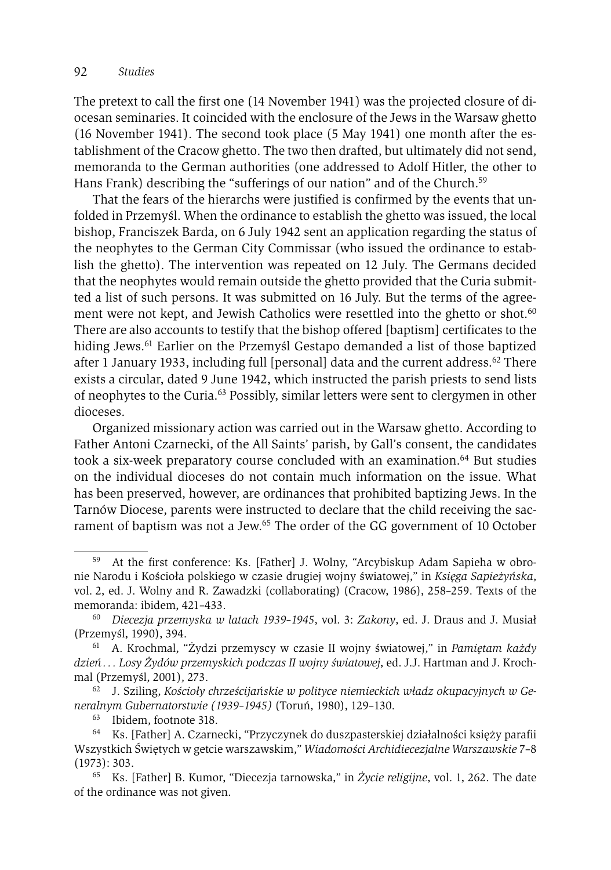The pretext to call the first one (14 November 1941) was the projected closure of diocesan seminaries. It coincided with the enclosure of the Jews in the Warsaw ghetto (16 November 1941). The second took place (5 May 1941) one month after the establishment of the Cracow ghetto. The two then drafted, but ultimately did not send, memoranda to the German authorities (one addressed to Adolf Hitler, the other to Hans Frank) describing the "sufferings of our nation" and of the Church.<sup>59</sup>

That the fears of the hierarchs were justified is confirmed by the events that unfolded in Przemyśl. When the ordinance to establish the ghetto was issued, the local bishop, Franciszek Barda, on 6 July 1942 sent an application regarding the status of the neophytes to the German City Commissar (who issued the ordinance to establish the ghetto). The intervention was repeated on 12 July. The Germans decided that the neophytes would remain outside the ghetto provided that the Curia submitted a list of such persons. It was submitted on 16 July. But the terms of the agreement were not kept, and Jewish Catholics were resettled into the ghetto or shot.<sup>60</sup> There are also accounts to testify that the bishop offered [baptism] certificates to the hiding Jews.<sup>61</sup> Earlier on the Przemyśl Gestapo demanded a list of those baptized after 1 January 1933, including full [personal] data and the current address.<sup>62</sup> There exists a circular, dated 9 June 1942, which instructed the parish priests to send lists of neophytes to the Curia.63 Possibly, similar letters were sent to clergymen in other dioceses.

Organized missionary action was carried out in the Warsaw ghetto. According to Father Antoni Czarnecki, of the All Saints' parish, by Gall's consent, the candidates took a six-week preparatory course concluded with an examination.<sup>64</sup> But studies on the individual dioceses do not contain much information on the issue. What has been preserved, however, are ordinances that prohibited baptizing Jews. In the Tarnów Diocese, parents were instructed to declare that the child receiving the sacrament of baptism was not a Jew.65 The order of the GG government of 10 October

At the first conference: Ks. [Father] J. Wolny, "Arcybiskup Adam Sapieha w obronie Narodu i Kościoła polskiego w czasie drugiej wojny światowej," in *Księga Sapieżyńska*, vol. 2, ed. J. Wolny and R. Zawadzki (collaborating) (Cracow, 1986), 258–259. Texts of the

memoranda: ibidem, 421–433. 60 *Diecezja przemyska w latach 1939–1945*, vol. 3: *Zakony*, ed. J. Draus and J. Musiał (Przemyśl, 1990), 394. 61 A. Krochmal, "Żydzi przemyscy w czasie II wojny światowej," in *Pamiętam każdy* 

*dzień . . . Losy Żydów przemyskich podczas II wojny światowej*, ed. J.J. Hartman and J. Krochmal (Przemyśl, 2001), 273. 62 J. Sziling, *Kościoły chrześcijańskie w polityce niemieckich władz okupacyjnych w Ge-*

*neralnym Gubernatorstwie (1939–1945)* (Toruń, 1980), 129–130.

<sup>63</sup> Ibidem, footnote 318.

<sup>64</sup> Ks. [Father] A. Czarnecki, "Przyczynek do duszpasterskiej działalności księży parafii Wszystkich Świętych w getcie warszawskim," *Wiadomości Archidiecezjalne Warszawskie* 7–8

<sup>(1973): 303. 65</sup> Ks. [Father] B. Kumor, "Diecezja tarnowska," in *Życie religijne*, vol. 1, 262. The date of the ordinance was not given.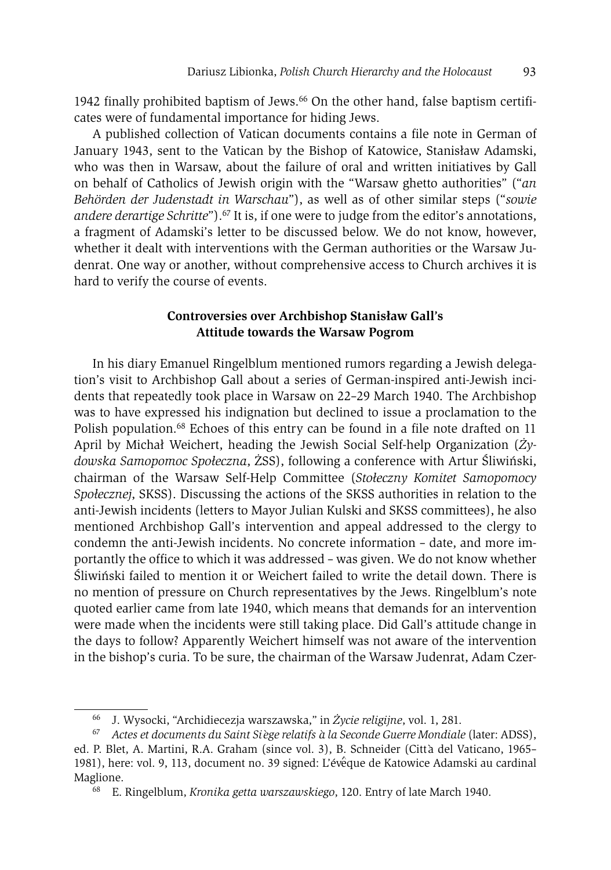1942 finally prohibited baptism of Jews.66 On the other hand, false baptism certificates were of fundamental importance for hiding Jews.

A published collection of Vatican documents contains a file note in German of January 1943, sent to the Vatican by the Bishop of Katowice, Stanisław Adamski, who was then in Warsaw, about the failure of oral and written initiatives by Gall on behalf of Catholics of Jewish origin with the "Warsaw ghetto authorities" ("*an Behörden der Judenstadt in War schau*"), as well as of other similar steps ("*sowie andere derartige Schritte*").<sup>67</sup> It is, if one were to judge from the editor's annotations, a fragment of Adamski's letter to be discussed below. We do not know, however, whether it dealt with interventions with the German authorities or the Warsaw Judenrat. One way or another, without comprehensive access to Church archives it is hard to verify the course of events.

# **Controversies over Archbishop Stanisław Gall's Attitude towards the Warsaw Pogrom**

In his diary Emanuel Ringelblum mentioned rumors regarding a Jewish delegation's visit to Archbishop Gall about a series of German-inspired anti-Jewish incidents that repeatedly took place in Warsaw on 22–29 March 1940. The Archbishop was to have expressed his indignation but declined to issue a proclamation to the Polish population.<sup>68</sup> Echoes of this entry can be found in a file note drafted on 11 April by Michał Weichert, heading the Jewish Social Self-help Organization (*Żydowska Samopomoc Społeczna*, ŻSS), following a conference with Artur Śliwiński, chairman of the Warsaw Self-Help Committee (*Stołeczny Komitet Samopomocy Społecznej*, SKSS). Discussing the actions of the SKSS authorities in relation to the anti-Jewish incidents (letters to Mayor Julian Kulski and SKSS committees), he also mentioned Archbishop Gall's intervention and appeal addressed to the clergy to condemn the anti-Jewish incidents. No concrete information – date, and more importantly the office to which it was addressed – was given. We do not know whether Śliwiński failed to mention it or Weichert failed to write the detail down. There is no mention of pressure on Church representatives by the Jews. Ringelblum's note quoted earlier came from late 1940, which means that demands for an intervention were made when the incidents were still taking place. Did Gall's attitude change in the days to follow? Apparently Weichert himself was not aware of the intervention in the bishop's curia. To be sure, the chairman of the Warsaw Judenrat, Adam Czer-

<sup>66</sup> J. Wysocki, "Archidiecezja warszawska," in *Życie religijne*, vol. 1, 281.

<sup>67</sup> *Actes et documents du Saint Si`ege relatifs `a la Seconde Guerre Mondiale* (later: ADSS), ed. P. Blet, A. Martini, R.A. Graham (since vol. 3), B. Schneider (Città del Vaticano, 1965– 1981), here: vol. 9, 113, document no. 39 signed: L'évêque de Katowice Adamski au cardinal Maglione. 68 E. Ringelblum, *Kronika getta warszawskiego*, 120. Entry of late March 1940.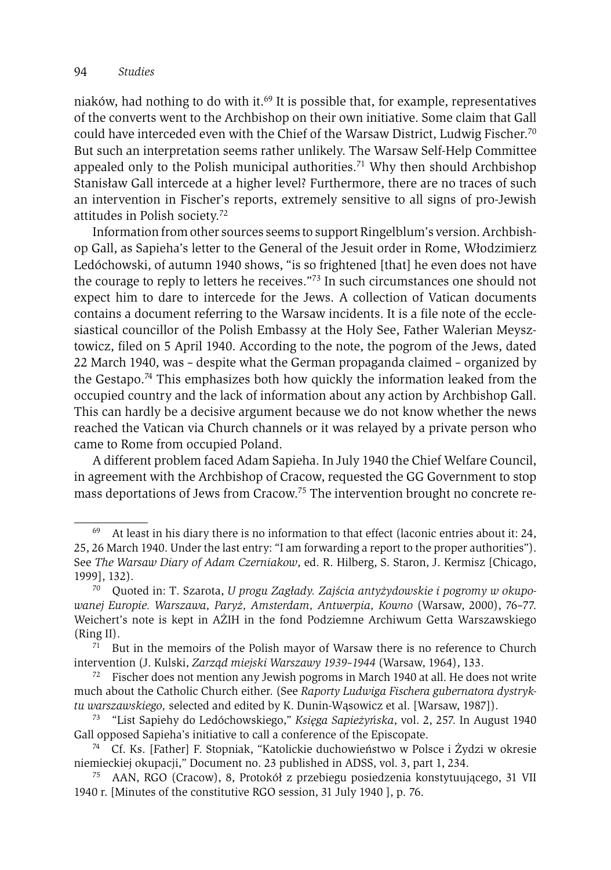niaków, had nothing to do with it.69 It is possible that, for example, representatives of the converts went to the Archbishop on their own initiative. Some claim that Gall could have interceded even with the Chief of the Warsaw District, Ludwig Fischer.70 But such an interpretation seems rather unlikely. The Warsaw Self-Help Committee appealed only to the Polish municipal authorities.<sup>71</sup> Why then should Archbishop Stanisław Gall intercede at a higher level? Furthermore, there are no traces of such an intervention in Fischer's reports, extremely sensitive to all signs of pro-Jewish attitudes in Polish society.72

Information from other sources seems to support Ringelblum's version. Archbishop Gall, as Sapieha's letter to the General of the Jesuit order in Rome, Włodzimierz Ledóchowski, of autumn 1940 shows, "is so frightened [that] he even does not have the courage to reply to letters he receives."73 In such circumstances one should not expect him to dare to intercede for the Jews. A collection of Vatican documents contains a document referring to the Warsaw incidents. It is a file note of the ecclesiastical councillor of the Polish Embassy at the Holy See, Father Walerian Meysztowicz, filed on 5 April 1940. According to the note, the pogrom of the Jews, dated 22 March 1940, was – despite what the German propaganda claimed – organized by the Gestapo.<sup>74</sup> This emphasizes both how quickly the information leaked from the occupied country and the lack of information about any action by Archbishop Gall. This can hardly be a decisive argument because we do not know whether the news reached the Vatican via Church channels or it was relayed by a private person who came to Rome from occupied Poland.

A different problem faced Adam Sapieha. In July 1940 the Chief Welfare Council, in agreement with the Archbishop of Cracow, requested the GG Government to stop mass deportations of Jews from Cracow.75 The intervention brought no concrete re-

<sup>69</sup> At least in his diary there is no information to that effect (laconic entries about it: 24, 25, 26 March 1940. Under the last entry: "I am forwarding a report to the proper authorities"). See *The Warsaw Diary of Adam Czerniakow*, ed. R. Hilberg, S. Staron, J. Kermisz [Chicago, 1999], 132).

<sup>70</sup> Quoted in: T. Szarota, *U progu Zagłady. Zajścia antyżydowskie i pogromy w okupowanej Europie. Warszawa, Paryż, Amsterdam, Antwerpia, Kowno* (Warsaw, 2000), 76–77. Weichert's note is kept in AŻIH in the fond Podziemne Archiwum Getta Warszawskiego (Ring II).

<sup>&</sup>lt;sup>71</sup> But in the memoirs of the Polish mayor of Warsaw there is no reference to Church intervention (J. Kulski, *Zarząd miejski Warszawy 1939–1944* (Warsaw, 1964), 133. 72 Fischer does not mention any Jewish pogroms in March 1940 at all. He does not write

much about the Catholic Church either. (See *Raporty Ludwiga Fischera gubernatora dystryktu warszawskiego,* selected and edited by K. Dunin-Wąsowicz et al. [Warsaw, 1987]).

<sup>73 &</sup>quot;List Sapiehy do Ledóchowskiego," *Księga Sapieżyńska*, vol. 2, 257. In August 1940 Gall opposed Sapieha's initiative to call a conference of the Episcopate. 74 Cf. Ks. [Father] F. Stopniak, "Katolickie duchowieństwo w Polsce i Żydzi w okresie

niemieckiej okupacji," Document no. 23 published in ADSS, vol. 3, part 1, 234. 75 AAN, RGO (Cracow), 8, Protokół z przebiegu posiedzenia konstytuującego, 31 VII

<sup>1940</sup> r. [Minutes of the constitutive RGO session, 31 July 1940 ], p. 76.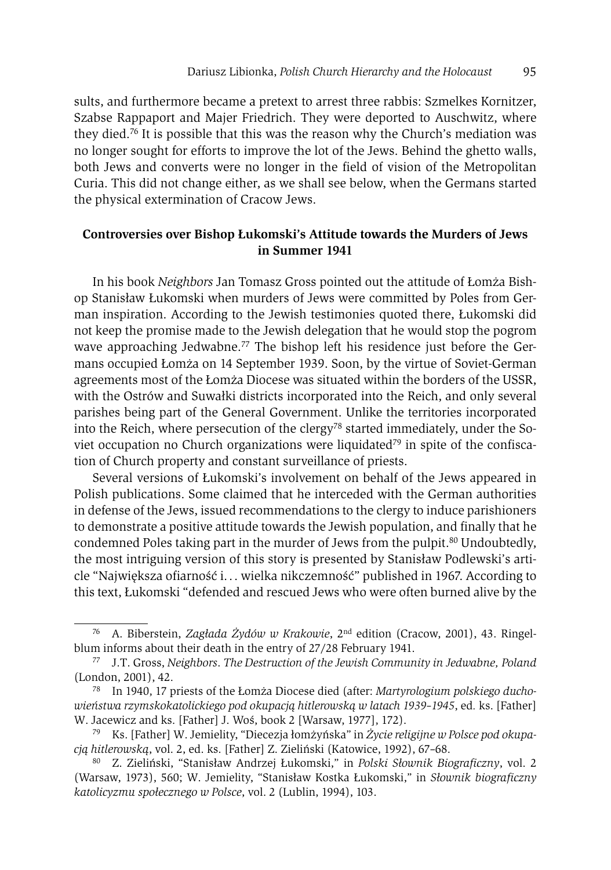sults, and furthermore became a pretext to arrest three rabbis: Szmelkes Kornitzer, Szabse Rappaport and Majer Friedrich. They were deported to Auschwitz, where they died.76 It is possible that this was the reason why the Church's mediation was no longer sought for efforts to improve the lot of the Jews. Behind the ghetto walls, both Jews and converts were no longer in the field of vision of the Metropolitan Curia. This did not change either, as we shall see below, when the Germans started the physical extermination of Cracow Jews.

# **Controversies over Bishop Łukomski's Attitude towards the Murders of Jews in Summer 1941**

In his book *Neighbors* Jan Tomasz Gross pointed out the attitude of Łomża Bishop Stanisław Łukomski when murders of Jews were committed by Poles from German inspiration. According to the Jewish testimonies quoted there, Łukomski did not keep the promise made to the Jewish delegation that he would stop the pogrom wave approaching Jedwabne.<sup>77</sup> The bishop left his residence just before the Germans occupied Łomża on 14 September 1939. Soon, by the virtue of Soviet-German agreements most of the Łomża Diocese was situated within the borders of the USSR, with the Ostrów and Suwałki districts incorporated into the Reich, and only several parishes being part of the General Government. Unlike the territories incorporated into the Reich, where persecution of the clergy<sup>78</sup> started immediately, under the Soviet occupation no Church organizations were liquidated<sup>79</sup> in spite of the confiscation of Church property and constant surveillance of priests.

Several versions of Łukomski's involvement on behalf of the Jews appeared in Polish publications. Some claimed that he interceded with the German authorities in defense of the Jews, issued recommendations to the clergy to induce parishioners to demonstrate a positive attitude towards the Jewish population, and finally that he condemned Poles taking part in the murder of Jews from the pulpit. $80$  Undoubtedly, the most intriguing version of this story is presented by Stanisław Podlewski's article "Największa ofiarność i. . . wielka nikczemność" published in 1967. According to this text, Łukomski "defended and rescued Jews who were often burned alive by the

<sup>76</sup> A. Biberstein, *Zagłada Żydów w Krakowie*, 2nd edition (Cracow, 2001), 43. Ringelblum informs about their death in the entry of 27/28 February 1941. 77 J.T. Gross, *Neighbors*. *The Destruction of the Jewish Community in Jedwabne, Poland*

<sup>(</sup>London, 2001), 42.

<sup>78</sup> In 1940, 17 priests of the Łomża Diocese died (after: *Martyrologium polskiego duchowieństwa rzymskokatolickiego pod okupacją hitlerowską w latach 1939–1945*, ed*.* ks. [Father] W. Jacewicz and ks. [Father] J. Woś, book 2 [Warsaw, 1977], 172).

<sup>79</sup> Ks. [Father] W. Jemielity, "Diecezja łomżyńska" in *Życie religijne w Polsce pod okupacją hitlerowską*, vol. 2, ed. ks. [Father] Z. Zieliński (Katowice, 1992), 67–68.

<sup>80</sup> Z. Zieliński, "Stanisław Andrzej Łukomski," in *Polski Słownik Biograficzny*, vol. 2 (Warsaw, 1973), 560; W. Jemielity, "Stanisław Kostka Łukomski," in *Słownik biograficzny katolicyzmu społecznego w Polsce*, vol. 2 (Lublin, 1994), 103.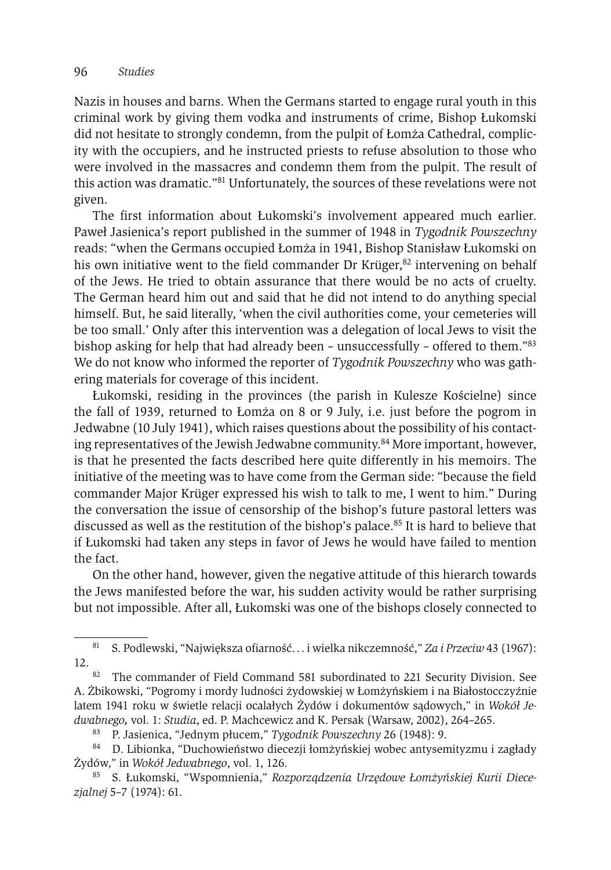Nazis in houses and barns. When the Germans started to engage rural youth in this criminal work by giving them vodka and instruments of crime, Bishop Łukomski did not hesitate to strongly condemn, from the pulpit of Łomża Cathedral, complicity with the occupiers, and he instructed priests to refuse absolution to those who were involved in the massacres and condemn them from the pulpit. The result of this action was dramatic."81 Unfortunately, the sources of these revelations were not given.

The first information about Łukomski's involvement appeared much earlier. Paweł Jasienica's report published in the summer of 1948 in *Tygodnik Powszechny* reads: "when the Germans occupied Łomża in 1941, Bishop Stanisław Łukomski on his own initiative went to the field commander Dr Krüger, $82$  intervening on behalf of the Jews. He tried to obtain assurance that there would be no acts of cruelty. The German heard him out and said that he did not intend to do anything special himself. But, he said literally, 'when the civil authorities come, your cemeteries will be too small.' Only after this intervention was a delegation of local Jews to visit the bishop asking for help that had already been – unsuccessfully – offered to them."83 We do not know who informed the reporter of *Tygodnik Powszechny* who was gathering materials for coverage of this incident.

Łukomski, residing in the provinces (the parish in Kulesze Kościelne) since the fall of 1939, returned to Łomża on 8 or 9 July, i.e. just before the pogrom in Jedwabne (10 July 1941), which raises questions about the possibility of his contacting representatives of the Jewish Jedwabne community.<sup>84</sup> More important, however, is that he presented the facts described here quite differently in his memoirs. The initiative of the meeting was to have come from the German side: "because the field commander Major Krüger expressed his wish to talk to me, I went to him." During the conversation the issue of censorship of the bishop's future pastoral letters was discussed as well as the restitution of the bishop's palace.<sup>85</sup> It is hard to believe that if Łukomski had taken any steps in favor of Jews he would have failed to mention the fact.

On the other hand, however, given the negative attitude of this hierarch towards the Jews manifested before the war, his sudden activity would be rather surprising but not impossible. After all, Łukomski was one of the bishops closely connected to

83 P. Jasienica, "Jednym płucem," *Tygodnik Powszechny* 26 (1948): 9.

<sup>81</sup> S. Podlewski, "Największa ofiarność. . . i wielka nikczemność," *Za i Przeciw* 43 (1967): 12. 82 The commander of Field Command 581 subordinated to 221 Security Division. See

A. Żbikowski, "Pogromy i mordy ludności żydowskiej w Łomżyńskiem i na Białostocczyźnie latem 1941 roku w świetle relacji ocalałych Żydów i dokumentów sądowych," in *Wokół Jedwabnego,* vol. 1: *Studia*, ed. P. Machcewicz and K. Persak (Warsaw, 2002), 264–265.

<sup>84</sup> D. Libionka, "Duchowieństwo diecezji łomżyńskiej wobec antysemityzmu i zagłady Żydów," in *Wokół Jedwabnego*, vol. 1, 126.

<sup>85</sup> S. Łukomski, "Wspomnienia," *Rozporządzenia Urzędowe Łomżyńskiej Kurii Diecezjalnej* 5–7 (1974): 61.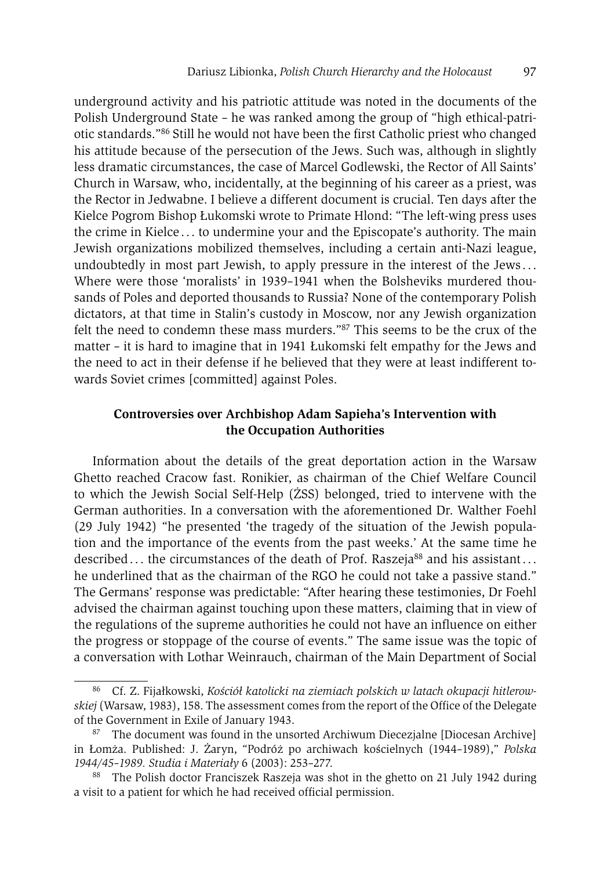underground activity and his patriotic attitude was noted in the documents of the Polish Underground State – he was ranked among the group of "high ethical-patriotic standards."86 Still he would not have been the first Catholic priest who changed his attitude because of the persecution of the Jews. Such was, although in slightly less dramatic circumstances, the case of Marcel Godlewski, the Rector of All Saints' Church in Warsaw, who, incidentally, at the beginning of his career as a priest, was the Rector in Jedwabne. I believe a different document is crucial. Ten days after the Kielce Pogrom Bishop Łukomski wrote to Primate Hlond: "The left-wing press uses the crime in Kielce . . . to undermine your and the Episcopate's authority. The main Jewish organizations mobilized themselves, including a certain anti-Nazi league, undoubtedly in most part Jewish, to apply pressure in the interest of the Jews . . . Where were those 'moralists' in 1939–1941 when the Bolsheviks murdered thousands of Poles and deported thousands to Russia? None of the contemporary Polish dictators, at that time in Stalin's custody in Moscow, nor any Jewish organization felt the need to condemn these mass murders."87 This seems to be the crux of the matter – it is hard to imagine that in 1941 Łukomski felt empathy for the Jews and the need to act in their defense if he believed that they were at least indifferent towards Soviet crimes [committed] against Poles.

# **Controversies over Archbishop Adam Sapieha's Intervention with the Occupation Authorities**

Information about the details of the great deportation action in the Warsaw Ghetto reached Cracow fast. Ronikier, as chairman of the Chief Welfare Council to which the Jewish Social Self-Help (ŻSS) belonged, tried to intervene with the German authorities. In a conversation with the aforementioned Dr. Walther Foehl (29 July 1942) "he presented 'the tragedy of the situation of the Jewish population and the importance of the events from the past weeks.' At the same time he described ... the circumstances of the death of Prof. Raszeja<sup>88</sup> and his assistant... he underlined that as the chairman of the RGO he could not take a passive stand." The Germans' response was predictable: "After hearing these testimonies, Dr Foehl advised the chairman against touching upon these matters, claiming that in view of the regulations of the supreme authorities he could not have an influence on either the progress or stoppage of the course of events." The same issue was the topic of a conversation with Lothar Weinrauch, chairman of the Main Department of Social

<sup>86</sup> Cf. Z. Fijałkowski, *Kościół katolicki na ziemiach polskich w latach okupacji hitlerowskiej* (Warsaw, 1983), 158. The assessment comes from the report of the Office of the Delegate of the Government in Exile of January 1943.<br><sup>87</sup> The document was found in the unsorted Archiwum Diecezjalne [Diocesan Archive]

in Łomża. Published: J. Żaryn, "Podróż po archiwach kościelnych (1944–1989)," *Polska 1944/45–1989. Studia i Materiały* 6 (2003): 253–277.

<sup>&</sup>lt;sup>88</sup> The Polish doctor Franciszek Raszeja was shot in the ghetto on 21 July 1942 during a visit to a patient for which he had received official permission.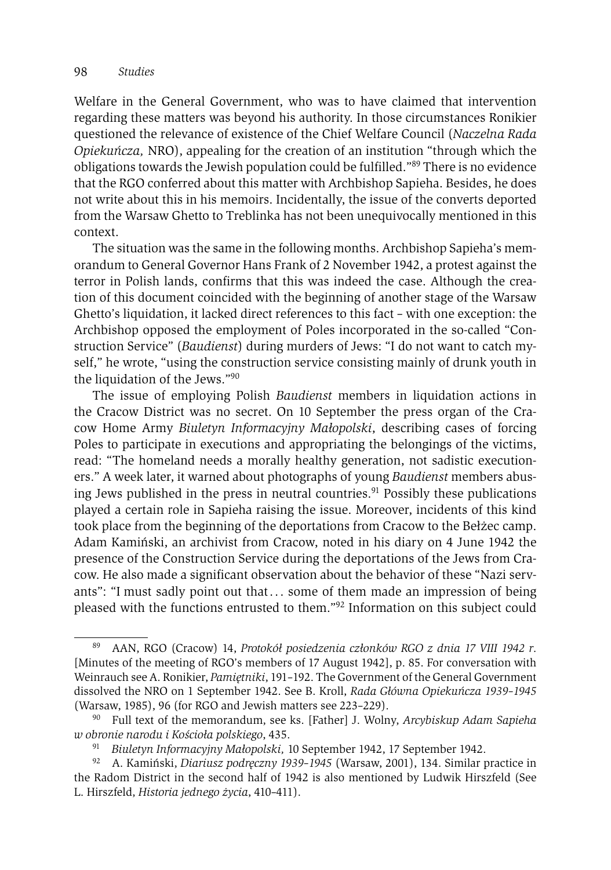Welfare in the General Government, who was to have claimed that intervention regarding these matters was beyond his authority. In those circumstances Ronikier questioned the relevance of existence of the Chief Welfare Council (*Naczelna Rada Opiekuńcza,* NRO), appealing for the creation of an institution "through which the obligations towards the Jewish population could be fulfilled."89 There is no evidence that the RGO conferred about this matter with Archbishop Sapieha. Besides, he does not write about this in his memoirs. Incidentally, the issue of the converts deported from the Warsaw Ghetto to Treblinka has not been unequivocally mentioned in this context.

The situation was the same in the following months. Archbishop Sapieha's memorandum to General Governor Hans Frank of 2 November 1942, a protest against the terror in Polish lands, confirms that this was indeed the case. Although the creation of this document coincided with the beginning of another stage of the Warsaw Ghetto's liquidation, it lacked direct references to this fact – with one exception: the Archbishop opposed the employment of Poles incorporated in the so-called "Construction Service" (*Baudienst*) during murders of Jews: "I do not want to catch myself," he wrote, "using the construction service consisting mainly of drunk youth in the liquidation of the Jews."90

The issue of employing Polish *Baudienst* members in liquidation actions in the Cracow District was no secret. On 10 September the press organ of the Cracow Home Army *Biuletyn Informacyjny Małopolski*, describing cases of forcing Poles to participate in executions and appropriating the belongings of the victims, read: "The homeland needs a morally healthy generation, not sadistic executioners." A week later, it warned about photographs of young *Baudienst* members abusing Jews published in the press in neutral countries.<sup>91</sup> Possibly these publications played a certain role in Sapieha raising the issue. Moreover, incidents of this kind took place from the beginning of the deportations from Cracow to the Bełżec camp. Adam Kamiński, an archivist from Cracow, noted in his diary on 4 June 1942 the presence of the Construction Service during the deportations of the Jews from Cracow. He also made a significant observation about the behavior of these "Nazi servants": "I must sadly point out that  $\dots$  some of them made an impression of being pleased with the functions entrusted to them."92 Information on this subject could

<sup>89</sup> AAN, RGO (Cracow) 14, *Protokół posiedzenia członków RGO z dnia 17 VIII 1942 r*. [Minutes of the meeting of RGO's members of 17 August 1942], p. 85. For conversation with Weinrauch see A. Ronikier, *Pamiętniki*, 191–192. The Government of the General Government dissolved the NRO on 1 September 1942. See B. Kroll, *Rada Główna Opiekuńcza 1939–1945* (Warsaw, 1985), 96 (for RGO and Jewish matters see 223–229).

<sup>90</sup> Full text of the memorandum, see ks. [Father] J. Wolny, *Arcybiskup Adam Sapieha w obronie narodu i Kościoła polskiego*, 435.

<sup>91</sup> *Biuletyn Informacyjny Małopolski,* 10 September 1942, 17 September 1942.

<sup>92</sup> A. Kamiński, *Diariusz podręczny 1939–1945* (Warsaw, 2001), 134. Similar practice in the Radom District in the second half of 1942 is also mentioned by Ludwik Hirszfeld (See L. Hirszfeld, *Historia jednego życia*, 410–411).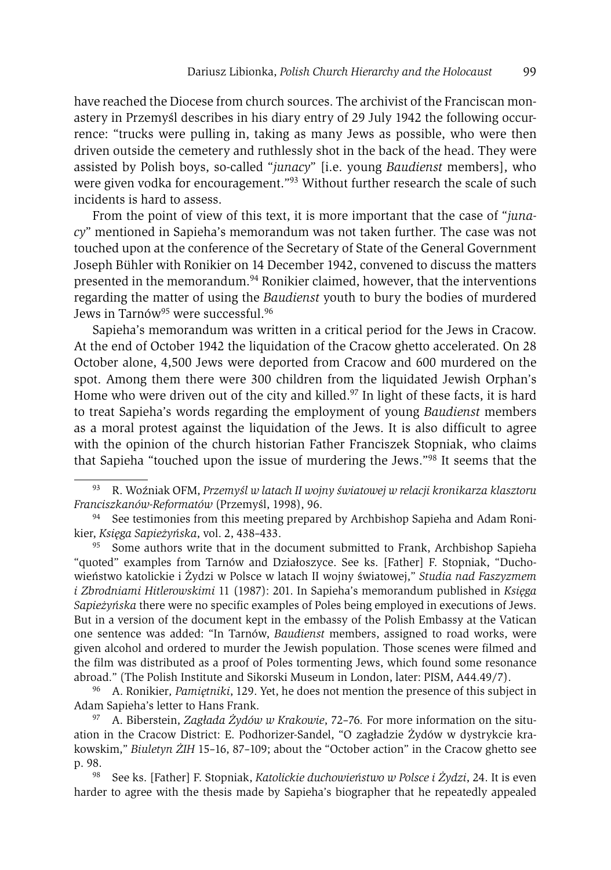have reached the Diocese from church sources. The archivist of the Franciscan monastery in Przemyśl describes in his diary entry of 29 July 1942 the following occurrence: "trucks were pulling in, taking as many Jews as possible, who were then driven outside the cemetery and ruthlessly shot in the back of the head. They were assisted by Polish boys, so-called "*junacy*" [i.e. young *Baudienst* members], who were given vodka for encouragement."<sup>93</sup> Without further research the scale of such incidents is hard to assess.

From the point of view of this text, it is more important that the case of "*junacy*" mentioned in Sapieha's memorandum was not taken further. The case was not touched upon at the conference of the Secretary of State of the General Government Joseph Bühler with Ronikier on 14 December 1942, convened to discuss the matters presented in the memorandum.<sup>94</sup> Ronikier claimed, however, that the interventions regarding the matter of using the *Baudienst* youth to bury the bodies of murdered Jews in Tarnów<sup>95</sup> were successful.<sup>96</sup>

Sapieha's memorandum was written in a critical period for the Jews in Cracow. At the end of October 1942 the liquidation of the Cracow ghetto accelerated. On 28 October alone, 4,500 Jews were deported from Cracow and 600 murdered on the spot. Among them there were 300 children from the liquidated Jewish Orphan's Home who were driven out of the city and killed. $97$  In light of these facts, it is hard to treat Sapieha's words regarding the employment of young *Baudienst* members as a moral protest against the liquidation of the Jews. It is also difficult to agree with the opinion of the church historian Father Franciszek Stopniak, who claims that Sapieha "touched upon the issue of murdering the Jews."98 It seems that the

<sup>93</sup> R. Woźniak OFM, *Przemyśl w latach II wojny światowej w relacji kronikarza klasztoru Franciszkanów-Reformatów* (Przemyśl, 1998), 96.

 $94$  See testimonies from this meeting prepared by Archbishop Sapieha and Adam Ronikier, *Księga Sapieżyńska*, vol. 2, 438–433.

<sup>&</sup>lt;sup>95</sup> Some authors write that in the document submitted to Frank, Archbishop Sapieha "quoted" examples from Tarnów and Działoszyce. See ks. [Father] F. Stopniak, "Duchowieństwo katolickie i Żydzi w Polsce w latach II wojny światowej," *Studia nad Faszyzmem i Zbrodniami Hitlerowskimi* 11 (1987): 201. In Sapieha's memorandum published in *Księga Sapieżyńska* there were no specific examples of Poles being employed in executions of Jews. But in a version of the document kept in the embassy of the Polish Embassy at the Vatican one sentence was added: "In Tarnów, *Baudienst* members, assigned to road works, were given alcohol and ordered to murder the Jewish population. Those scenes were filmed and the film was distributed as a proof of Poles tormenting Jews, which found some resonance abroad." (The Polish Institute and Sikorski Museum in London, later: PISM, A44.49/7).

<sup>96</sup> A. Ronikier*, Pamiętniki*, 129. Yet, he does not mention the presence of this subject in Adam Sapieha's letter to Hans Frank.

<sup>97</sup> A. Biberstein, *Zagłada Żydów w Krakowie*, 72–76*.* For more information on the situation in the Cracow District: E. Podhorizer-Sandel, "O zagładzie Żydów w dystrykcie krakowskim," *Biuletyn ŻIH* 15–16, 87–109; about the "October action" in the Cracow ghetto see p. 98. 98 See ks. [Father] F. Stopniak, *Katolickie duchowieństwo w Polsce i Żydzi*, 24. It is even

harder to agree with the thesis made by Sapieha's biographer that he repeatedly appealed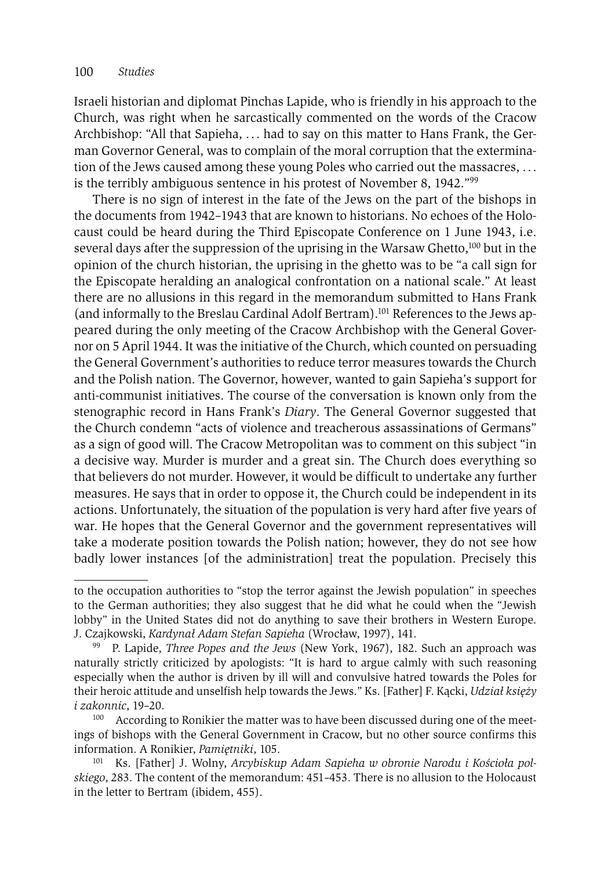Israeli historian and diplomat Pinchas Lapide, who is friendly in his approach to the Church, was right when he sarcastically commented on the words of the Cracow Archbishop: "All that Sapieha, . . . had to say on this matter to Hans Frank, the German Governor General, was to complain of the moral corruption that the extermination of the Jews caused among these young Poles who carried out the massacres, . . . is the terribly ambiguous sentence in his protest of November 8, 1942."99

There is no sign of interest in the fate of the Jews on the part of the bishops in the documents from 1942–1943 that are known to historians. No echoes of the Holocaust could be heard during the Third Episcopate Conference on 1 June 1943, i.e. several days after the suppression of the uprising in the Warsaw Ghetto,<sup>100</sup> but in the opinion of the church historian, the uprising in the ghetto was to be "a call sign for the Episcopate heralding an analogical confrontation on a national scale." At least there are no allusions in this regard in the memorandum submitted to Hans Frank (and informally to the Breslau Cardinal Adolf Bertram).101 References to the Jews appeared during the only meeting of the Cracow Archbishop with the General Governor on 5 April 1944. It was the initiative of the Church, which counted on persuading the General Government's authorities to reduce terror measures towards the Church and the Polish nation. The Governor, however, wanted to gain Sapieha's support for anti-communist initiatives. The course of the conversation is known only from the stenographic record in Hans Frank's *Diary*. The General Governor suggested that the Church condemn "acts of violence and treacherous assassinations of Germans" as a sign of good will. The Cracow Metropolitan was to comment on this subject "in a decisive way. Murder is murder and a great sin. The Church does everything so that believers do not murder. However, it would be difficult to undertake any further measures. He says that in order to oppose it, the Church could be independent in its actions. Unfortunately, the situation of the population is very hard after five years of war. He hopes that the General Governor and the government representatives will take a moderate position towards the Polish nation; however, they do not see how badly lower instances [of the administration] treat the population. Precisely this

to the occupation authorities to "stop the terror against the Jewish population" in speeches to the German authorities; they also suggest that he did what he could when the "Jewish lobby" in the United States did not do anything to save their brothers in Western Europe. J. Czajkowski, *Kardynał Adam Stefan Sapieha* (Wrocław, 1997), 141.

<sup>99</sup> P. Lapide, *Three Popes and the Jews* (New York, 1967), 182. Such an approach was naturally strictly criticized by apologists: "It is hard to argue calmly with such reasoning especially when the author is driven by ill will and convulsive hatred towards the Poles for their heroic attitude and unselfish help towards the Jews." Ks. [Father] F. Kącki, *Udział księży i zakonnic*, 19–20.

According to Ronikier the matter was to have been discussed during one of the meetings of bishops with the General Government in Cracow, but no other source confirms this information. A Ronikier, *Pamiętniki*, 105.

Ks. [Father] J. Wolny, *Arcybiskup Adam Sapieha w obronie Narodu i Kościoła polskiego*, 283. The content of the memorandum: 451–453. There is no allusion to the Holocaust in the letter to Bertram (ibidem, 455).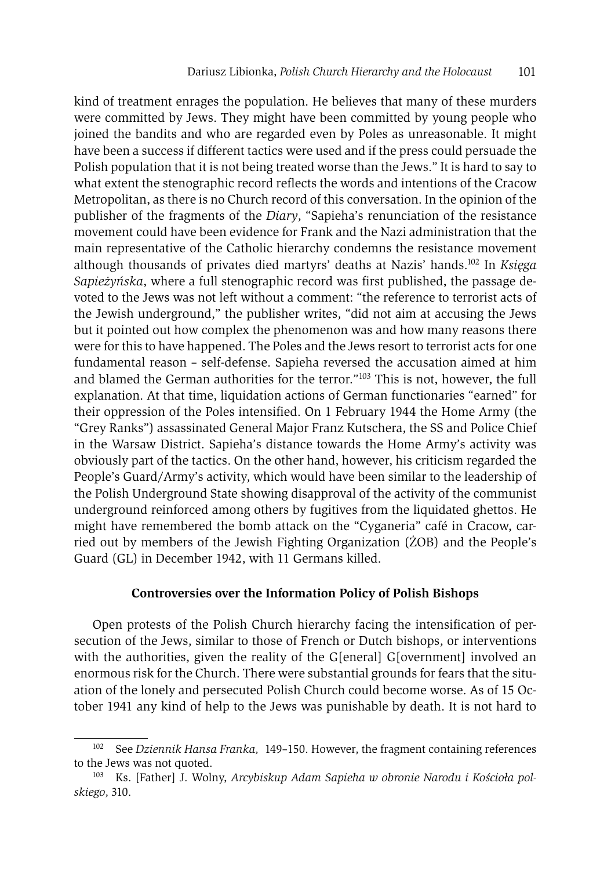kind of treatment enrages the population. He believes that many of these murders were committed by Jews. They might have been committed by young people who joined the bandits and who are regarded even by Poles as unreasonable. It might have been a success if different tactics were used and if the press could persuade the Polish population that it is not being treated worse than the Jews." It is hard to say to what extent the stenographic record reflects the words and intentions of the Cracow Metropolitan, as there is no Church record of this conversation. In the opinion of the publisher of the fragments of the *Diary*, "Sapieha's renunciation of the resistance movement could have been evidence for Frank and the Nazi administration that the main representative of the Catholic hierarchy condemns the resistance movement although thousands of privates died martyrs' deaths at Nazis' hands.102 In *Księga Sapieżyńska*, where a full stenographic record was first published, the passage devoted to the Jews was not left without a comment: "the reference to terrorist acts of the Jewish underground," the publisher writes, "did not aim at accusing the Jews but it pointed out how complex the phenomenon was and how many reasons there were for this to have happened. The Poles and the Jews resort to terrorist acts for one fundamental reason – self-defense. Sapieha reversed the accusation aimed at him and blamed the German authorities for the terror."103 This is not, however, the full explanation. At that time, liquidation actions of German functionaries "earned" for their oppression of the Poles intensified. On 1 February 1944 the Home Army (the "Grey Ranks") assassinated General Major Franz Kutschera, the SS and Police Chief in the Warsaw District. Sapieha's distance towards the Home Army's activity was obviously part of the tactics. On the other hand, however, his criticism regarded the People's Guard/Army's activity, which would have been similar to the leadership of the Polish Underground State showing disapproval of the activity of the communist underground reinforced among others by fugitives from the liquidated ghettos. He might have remembered the bomb attack on the "Cyganeria" café in Cracow, carried out by members of the Jewish Fighting Organization (ŻOB) and the People's Guard (GL) in December 1942, with 11 Germans killed.

# **Controversies over the Information Policy of Polish Bishops**

Open protests of the Polish Church hierarchy facing the intensification of persecution of the Jews, similar to those of French or Dutch bishops, or interventions with the authorities, given the reality of the G[eneral] G[overnment] involved an enormous risk for the Church. There were substantial grounds for fears that the situation of the lonely and persecuted Polish Church could become worse. As of 15 October 1941 any kind of help to the Jews was punishable by death. It is not hard to

<sup>102</sup> See *Dziennik Hansa Franka,* 149–150. However, the fragment containing references to the Jews was not quoted.

<sup>103</sup> Ks. [Father] J. Wolny, *Arcybiskup Adam Sapieha w obronie Narodu i Kościoła polskiego*, 310.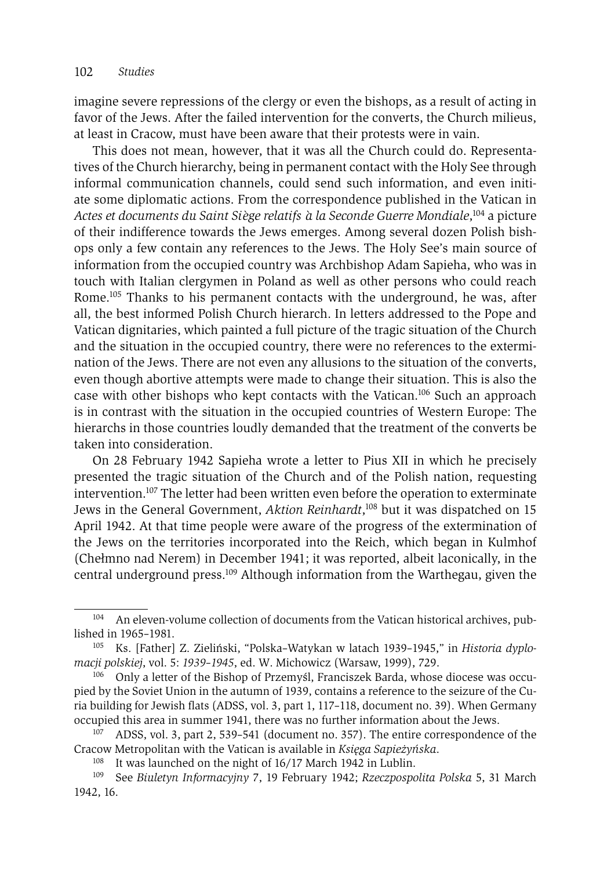imagine severe repressions of the clergy or even the bishops, as a result of acting in favor of the Jews. After the failed intervention for the converts, the Church milieus, at least in Cracow, must have been aware that their protests were in vain.

This does not mean, however, that it was all the Church could do. Representatives of the Church hierarchy, being in permanent contact with the Holy See through informal communication channels, could send such information, and even initiate some diplomatic actions. From the correspondence published in the Vatican in *Actes et documents du Saint Si`ege relatifs `a la Seconde Guerre Mondiale*, <sup>104</sup> a picture of their indifference towards the Jews emerges. Among several dozen Polish bishops only a few contain any references to the Jews. The Holy See's main source of information from the occupied country was Archbishop Adam Sapieha, who was in touch with Italian clergymen in Poland as well as other persons who could reach Rome.105 Thanks to his permanent contacts with the underground, he was, after all, the best informed Polish Church hierarch. In letters addressed to the Pope and Vatican dignitaries, which painted a full picture of the tragic situation of the Church and the situation in the occupied country, there were no references to the extermination of the Jews. There are not even any allusions to the situation of the converts, even though abortive attempts were made to change their situation. This is also the case with other bishops who kept contacts with the Vatican.106 Such an approach is in contrast with the situation in the occupied countries of Western Europe: The hierarchs in those countries loudly demanded that the treatment of the converts be taken into consideration.

On 28 February 1942 Sapieha wrote a letter to Pius XII in which he precisely presented the tragic situation of the Church and of the Polish nation, requesting intervention.107 The letter had been written even before the operation to exterminate Jews in the General Government, *Aktion Reinhardt*, <sup>108</sup> but it was dispatched on 15 April 1942. At that time people were aware of the progress of the extermination of the Jews on the territories incorporated into the Reich, which began in Kulmhof (Chełmno nad Nerem) in December 1941; it was reported, albeit laconically, in the central underground press.109 Although information from the Warthegau, given the

<sup>&</sup>lt;sup>104</sup> An eleven-volume collection of documents from the Vatican historical archives, published in 1965–1981.

<sup>105</sup> Ks. [Father] Z. Zieliński, "Polska–Watykan w latach 1939–1945," in *Historia dyplomacji polskiej*, vol. 5: *1939–1945*, ed. W. Michowicz (Warsaw, 1999), 729.<br><sup>106</sup> Only a letter of the Bishop of Przemyśl, Franciszek Barda, whose diocese was occu-

pied by the Soviet Union in the autumn of 1939, contains a reference to the seizure of the Curia building for Jewish flats (ADSS, vol. 3, part 1, 117–118, document no. 39). When Germany occupied this area in summer 1941, there was no further information about the Jews.<br><sup>107</sup> ADSS, vol. 3, part 2, 539–541 (document no. 357). The entire correspondence of the

Cracow Metropolitan with the Vatican is available in *Księga Sapieżyńska*.<br><sup>108</sup> It was launched on the night of 16/17 March 1942 in Lublin.<br><sup>109</sup> See *Biuletyn Informacyjny* 7, 19 February 1942; *Rzeczpospolita Polska* 5,

<sup>1942, 16.</sup>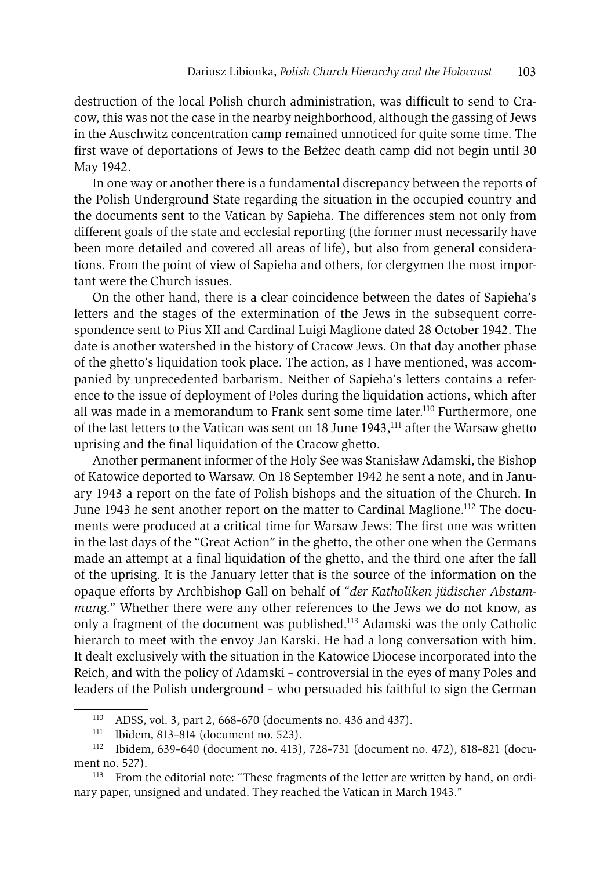destruction of the local Polish church administration, was difficult to send to Cracow, this was not the case in the nearby neighborhood, although the gassing of Jews in the Auschwitz concentration camp remained unnoticed for quite some time. The first wave of deportations of Jews to the Bełżec death camp did not begin until 30 May 1942.

In one way or another there is a fundamental discrepancy between the reports of the Polish Underground State regarding the situation in the occupied country and the documents sent to the Vatican by Sapieha. The differences stem not only from different goals of the state and ecclesial reporting (the former must necessarily have been more detailed and covered all areas of life), but also from general considerations. From the point of view of Sapieha and others, for clergymen the most important were the Church issues.

On the other hand, there is a clear coincidence between the dates of Sapieha's letters and the stages of the extermination of the Jews in the subsequent correspondence sent to Pius XII and Cardinal Luigi Maglione dated 28 October 1942. The date is another watershed in the history of Cracow Jews. On that day another phase of the ghetto's liquidation took place. The action, as I have mentioned, was accompanied by unprecedented barbarism. Neither of Sapieha's letters contains a reference to the issue of deployment of Poles during the liquidation actions, which after all was made in a memorandum to Frank sent some time later.<sup>110</sup> Furthermore, one of the last letters to the Vatican was sent on 18 June 1943,<sup>111</sup> after the Warsaw ghetto uprising and the final liquidation of the Cracow ghetto.

Another permanent informer of the Holy See was Stanisław Adamski, the Bishop of Katowice deported to Warsaw. On 18 September 1942 he sent a note, and in January 1943 a report on the fate of Polish bishops and the situation of the Church. In June 1943 he sent another report on the matter to Cardinal Maglione.112 The documents were produced at a critical time for Warsaw Jews: The first one was written in the last days of the "Great Action" in the ghetto, the other one when the Germans made an attempt at a final liquidation of the ghetto, and the third one after the fall of the uprising. It is the January letter that is the source of the information on the opaque efforts by Archbishop Gall on behalf of "*der Katholiken jüdischer Abstammung*." Whether there were any other references to the Jews we do not know, as only a fragment of the document was published.113 Adamski was the only Catholic hierarch to meet with the envoy Jan Karski. He had a long conversation with him. It dealt exclusively with the situation in the Katowice Diocese incorporated into the Reich, and with the policy of Adamski – controversial in the eyes of many Poles and leaders of the Polish underground – who persuaded his faithful to sign the German

<sup>&</sup>lt;sup>110</sup> ADSS, vol. 3, part 2, 668–670 (documents no. 436 and 437).<br><sup>111</sup> Ibidem 813–814 (document no. 523)

<sup>111</sup> Ibidem, 813–814 (document no. 523).

<sup>112</sup> Ibidem, 639–640 (document no. 413), 728–731 (document no. 472), 818–821 (document no. 527).<br><sup>113</sup> From the editorial note: "These fragments of the letter are written by hand, on ordi-

nary paper, unsigned and undated. They reached the Vatican in March 1943."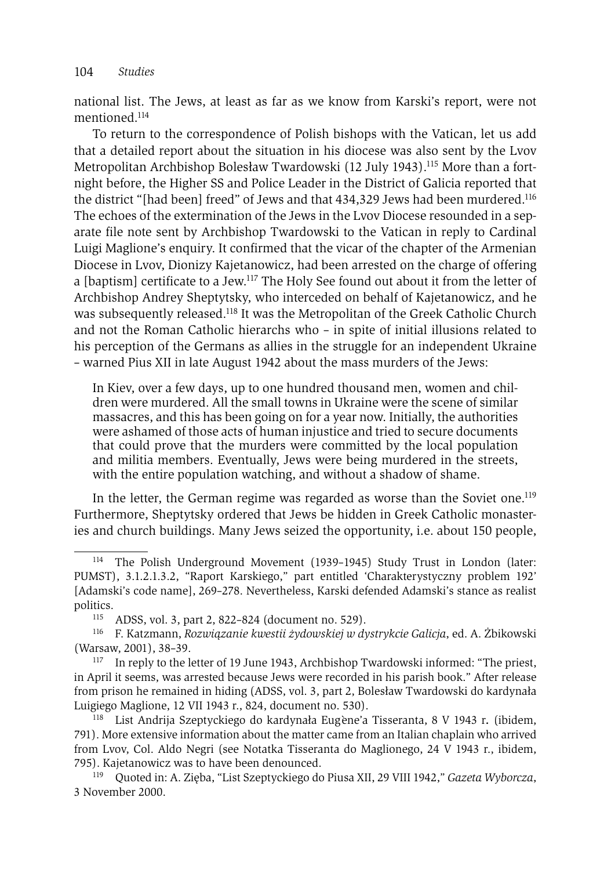national list. The Jews, at least as far as we know from Karski's report, were not mentioned.114

To return to the correspondence of Polish bishops with the Vatican, let us add that a detailed report about the situation in his diocese was also sent by the Lvov Metropolitan Archbishop Bolesław Twardowski (12 July 1943).115 More than a fortnight before, the Higher SS and Police Leader in the District of Galicia reported that the district "[had been] freed" of Jews and that 434,329 Jews had been murdered.116 The echoes of the extermination of the Jews in the Lvov Diocese resounded in a separate file note sent by Archbishop Twardowski to the Vatican in reply to Cardinal Luigi Maglione's enquiry. It confirmed that the vicar of the chapter of the Armenian Diocese in Lvov, Dionizy Kajetanowicz, had been arrested on the charge of offering a [baptism] certificate to a Jew.<sup>117</sup> The Holy See found out about it from the letter of Archbishop Andrey Sheptytsky, who interceded on behalf of Kajetanowicz, and he was subsequently released.118 It was the Metropolitan of the Greek Catholic Church and not the Roman Catholic hierarchs who – in spite of initial illusions related to his perception of the Germans as allies in the struggle for an independent Ukraine – warned Pius XII in late August 1942 about the mass murders of the Jews:

In Kiev, over a few days, up to one hundred thousand men, women and children were murdered. All the small towns in Ukraine were the scene of similar massacres, and this has been going on for a year now. Initially, the authorities were ashamed of those acts of human injustice and tried to secure documents that could prove that the murders were committed by the local population and militia members. Eventually, Jews were being murdered in the streets, with the entire population watching, and without a shadow of shame.

In the letter, the German regime was regarded as worse than the Soviet one.<sup>119</sup> Furthermore, Sheptytsky ordered that Jews be hidden in Greek Catholic monasteries and church buildings. Many Jews seized the opportunity, i.e. about 150 people,

<sup>114</sup> The Polish Underground Movement (1939–1945) Study Trust in London (later: PUMST), 3.1.2.1.3.2, "Raport Karskiego," part entitled 'Charakterystyczny problem 192' [Adamski's code name], 269–278. Nevertheless, Karski defended Adamski's stance as realist

<sup>&</sup>lt;sup>115</sup> ADSS, vol. 3, part 2, 822–824 (document no. 529).<br><sup>116</sup> E Katzmann, *Bozwiazanie kwestii żydowskiej w d*o

<sup>116</sup> F. Katzmann, *Rozwiązanie kwestii żydowskiej w dystrykcie Galicja*, ed. A. Żbikowski (Warsaw, 2001), 38–39. 117 In reply to the letter of 19 June 1943, Archbishop Twardowski informed: "The priest,

in April it seems, was arrested because Jews were recorded in his parish book." After release from prison he remained in hiding (ADSS, vol. 3, part 2, Bolesław Twardowski do kardynała Luigiego Maglione, 12 VII 1943 r., 824, document no. 530). 118 List Andrija Szeptyckiego do kardynała Eug`ene'a Tisseranta, 8 V 1943 r*.* (ibidem,

<sup>791).</sup> More extensive information about the matter came from an Italian chaplain who arrived from Lvov, Col. Aldo Negri (see Notatka Tisseranta do Maglionego, 24 V 1943 r., ibidem, 795). Kajetanowicz was to have been denounced. 119 Quoted in: A. Zięba, "List Szeptyckiego do Piusa XII, 29 VIII 1942," *Gazeta Wyborcza*,

<sup>3</sup> November 2000.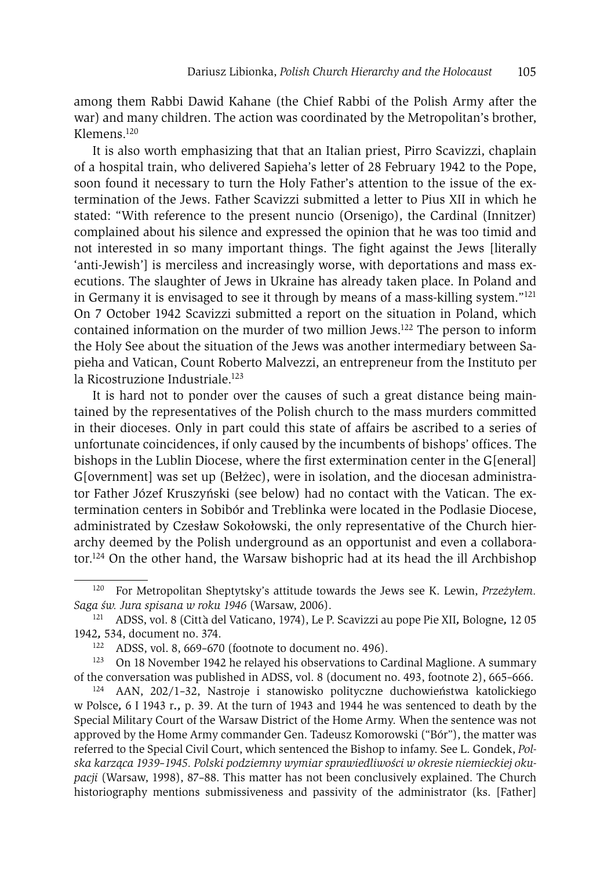among them Rabbi Dawid Kahane (the Chief Rabbi of the Polish Army after the war) and many children. The action was coordinated by the Metropolitan's brother, Klemens.120

It is also worth emphasizing that that an Italian priest, Pirro Scavizzi, chaplain of a hospital train, who delivered Sapieha's letter of 28 February 1942 to the Pope, soon found it necessary to turn the Holy Father's attention to the issue of the extermination of the Jews. Father Scavizzi submitted a letter to Pius XII in which he stated: "With reference to the present nuncio (Orsenigo), the Cardinal (Innitzer) complained about his silence and expressed the opinion that he was too timid and not interested in so many important things. The fight against the Jews [literally 'anti-Jewish'] is merciless and increasingly worse, with deportations and mass executions. The slaughter of Jews in Ukraine has already taken place. In Poland and in Germany it is envisaged to see it through by means of a mass-killing system."121 On 7 October 1942 Scavizzi submitted a report on the situation in Poland, which contained information on the murder of two million Jews.122 The person to inform the Holy See about the situation of the Jews was another intermediary between Sapieha and Vatican, Count Roberto Malvezzi, an entrepreneur from the Instituto per la Ricostruzione Industriale.<sup>123</sup>

It is hard not to ponder over the causes of such a great distance being maintained by the representatives of the Polish church to the mass murders committed in their dioceses. Only in part could this state of affairs be ascribed to a series of unfortunate coincidences, if only caused by the incumbents of bishops' offices. The bishops in the Lublin Diocese, where the first extermination center in the G[eneral] G[overnment] was set up (Bełżec), were in isolation, and the diocesan administrator Father Józef Kruszyński (see below) had no contact with the Vatican. The extermination centers in Sobibór and Treblinka were located in the Podlasie Diocese, administrated by Czesław Sokołowski, the only representative of the Church hierarchy deemed by the Polish underground as an opportunist and even a collaborator.124 On the other hand, the Warsaw bishopric had at its head the ill Archbishop

<sup>120</sup> For Metropolitan Sheptytsky's attitude towards the Jews see K. Lewin, *Przeżyłem.* 

*Saga św. Jura spisana w roku 1946* (Warsaw, 2006). 121 ADSS, vol. 8 (Citt`a del Vaticano, 1974), Le P. Scavizzi au pope Pie XII*,* Bologne*,* 12 05 <sup>1942</sup>*,* 534, document no. 374. 122 ADSS, vol. 8, 669–670 (footnote to document no. 496).

<sup>&</sup>lt;sup>123</sup> On 18 November 1942 he relayed his observations to Cardinal Maglione. A summary of the conversation was published in ADSS, vol. 8 (document no. 493, footnote 2), 665–666. 124 AAN, 202/1–32, Nastroje i stanowisko polityczne duchowieństwa katolickiego

w Polsce*,* 6 I 1943 r*.,* p. 39. At the turn of 1943 and 1944 he was sentenced to death by the Special Military Court of the Warsaw District of the Home Army. When the sentence was not approved by the Home Army commander Gen. Tadeusz Komorowski ("Bór"), the matter was referred to the Special Civil Court, which sentenced the Bishop to infamy. See L. Gondek, *Polska karząca 1939–1945. Polski podziemny wymiar sprawiedliwości w okresie niemieckiej okupacji* (Warsaw, 1998), 87–88. This matter has not been conclusively explained. The Church historiography mentions submissiveness and passivity of the administrator (ks. [Father]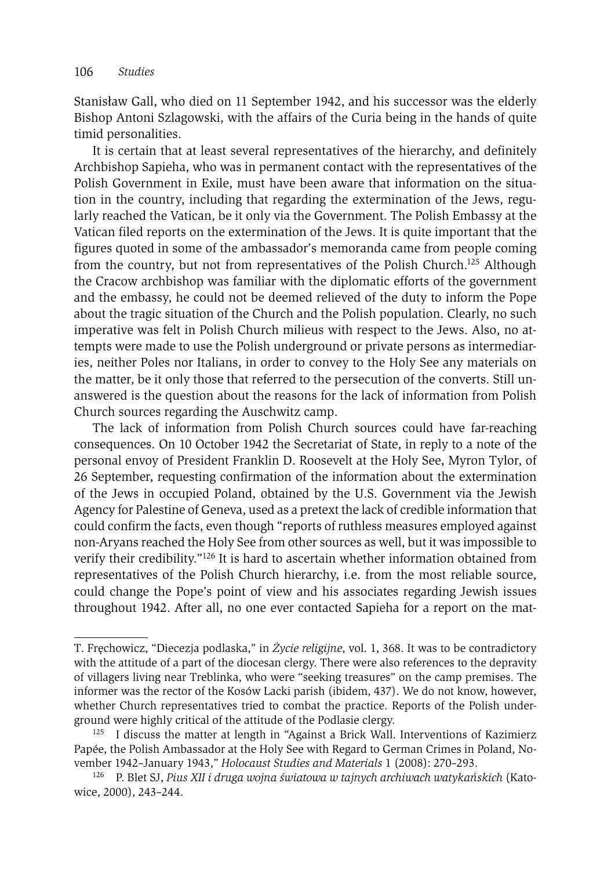Stanisław Gall, who died on 11 September 1942, and his successor was the elderly Bishop Antoni Szlagowski, with the affairs of the Curia being in the hands of quite timid personalities.

It is certain that at least several representatives of the hierarchy, and definitely Archbishop Sapieha, who was in permanent contact with the representatives of the Polish Government in Exile, must have been aware that information on the situation in the country, including that regarding the extermination of the Jews, regularly reached the Vatican, be it only via the Government. The Polish Embassy at the Vatican filed reports on the extermination of the Jews. It is quite important that the figures quoted in some of the ambassador's memoranda came from people coming from the country, but not from representatives of the Polish Church.125 Although the Cracow archbishop was familiar with the diplomatic efforts of the government and the embassy, he could not be deemed relieved of the duty to inform the Pope about the tragic situation of the Church and the Polish population. Clearly, no such imperative was felt in Polish Church milieus with respect to the Jews. Also, no attempts were made to use the Polish underground or private persons as intermediaries, neither Poles nor Italians, in order to convey to the Holy See any materials on the matter, be it only those that referred to the persecution of the converts. Still unanswered is the question about the reasons for the lack of information from Polish Church sources regarding the Auschwitz camp.

The lack of information from Polish Church sources could have far-reaching consequences. On 10 October 1942 the Secretariat of State, in reply to a note of the personal envoy of President Franklin D. Roosevelt at the Holy See, Myron Tylor, of 26 September, requesting confirmation of the information about the extermination of the Jews in occupied Poland, obtained by the U.S. Government via the Jewish Agency for Palestine of Geneva, used as a pretext the lack of credible information that could confirm the facts, even though "reports of ruthless measures employed against non-Aryans reached the Holy See from other sources as well, but it was impossible to verify their credibility."126 It is hard to ascertain whether information obtained from representatives of the Polish Church hierarchy, i.e. from the most reliable source, could change the Pope's point of view and his associates regarding Jewish issues throughout 1942. After all, no one ever contacted Sapieha for a report on the mat-

T. Fręchowicz, "Diecezja podlaska," in *Życie religijne*, vol. 1, 368. It was to be contradictory with the attitude of a part of the diocesan clergy. There were also references to the depravity of villagers living near Treblinka, who were "seeking treasures" on the camp premises. The informer was the rector of the Kosów Lacki parish (ibidem, 437). We do not know, however, whether Church representatives tried to combat the practice. Reports of the Polish underground were highly critical of the attitude of the Podlasie clergy.<br><sup>125</sup> I discuss the matter at length in "Against a Brick Wall. Interventions of Kazimierz

Papée, the Polish Ambassador at the Holy See with Regard to German Crimes in Poland, November 1942–January 1943," *Holocaust Studies and Materials* 1 (2008): 270–293. 126 P. Blet SJ, *Pius XII i druga wojna światowa w tajnych archiwach watykańskich* (Kato-

wice, 2000), 243–244.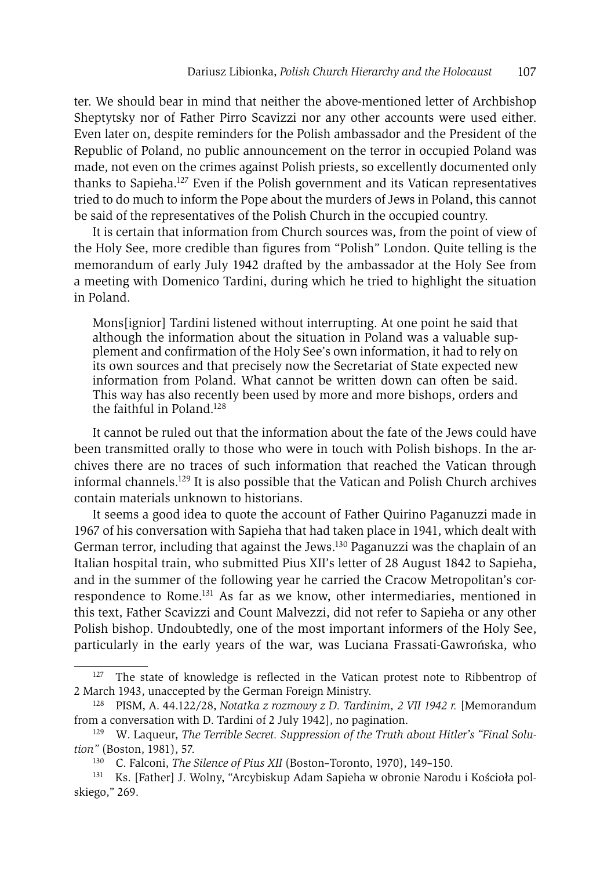ter. We should bear in mind that neither the above-mentioned letter of Archbishop Sheptytsky nor of Father Pirro Scavizzi nor any other accounts were used either. Even later on, despite reminders for the Polish ambassador and the President of the Republic of Poland, no public announcement on the terror in occupied Poland was made, not even on the crimes against Polish priests, so excellently documented only thanks to Sapieha.127 Even if the Polish government and its Vatican representatives tried to do much to inform the Pope about the murders of Jews in Poland, this cannot be said of the representatives of the Polish Church in the occupied country.

It is certain that information from Church sources was, from the point of view of the Holy See, more credible than figures from "Polish" London. Quite telling is the memorandum of early July 1942 drafted by the ambassador at the Holy See from a meeting with Domenico Tardini, during which he tried to highlight the situation in Poland.

Mons[ignior] Tardini listened without interrupting. At one point he said that although the information about the situation in Poland was a valuable supplement and confirmation of the Holy See's own information, it had to rely on its own sources and that precisely now the Secretariat of State expected new information from Poland. What cannot be written down can often be said. This way has also recently been used by more and more bishops, orders and the faithful in Poland.<sup>128</sup>

It cannot be ruled out that the information about the fate of the Jews could have been transmitted orally to those who were in touch with Polish bishops. In the archives there are no traces of such information that reached the Vatican through informal channels.129 It is also possible that the Vatican and Polish Church archives contain materials unknown to historians.

It seems a good idea to quote the account of Father Quirino Paganuzzi made in 1967 of his conversation with Sapieha that had taken place in 1941, which dealt with German terror, including that against the Jews.130 Paganuzzi was the chaplain of an Italian hospital train, who submitted Pius XII's letter of 28 August 1842 to Sapieha, and in the summer of the following year he carried the Cracow Metropolitan's correspondence to Rome.131 As far as we know, other intermediaries, mentioned in this text, Father Scavizzi and Count Malvezzi, did not refer to Sapieha or any other Polish bishop. Undoubtedly, one of the most important informers of the Holy See, particularly in the early years of the war, was Luciana Frassati-Gawrońska, who

<sup>&</sup>lt;sup>127</sup> The state of knowledge is reflected in the Vatican protest note to Ribbentrop of 2 March 1943, unaccepted by the German Foreign Ministry. 128 PISM, A. 44.122/28, *Notatka z rozmowy z D. Tardinim, 2 VII 1942 r.* [Memorandum

from a conversation with D. Tardini of 2 July 1942], no pagination.

<sup>&</sup>lt;sup>129</sup> W. Laqueur, *The Terrible Secret. Suppression of the Truth about Hitler's "Final Solution"* (Boston, 1981), 57.

<sup>130</sup> C. Falconi, *The Silence of Pius XII* (Boston–Toronto, 1970), 149–150.

<sup>131</sup> Ks. [Father] J. Wolny, "Arcybiskup Adam Sapieha w obronie Narodu i Kościoła polskiego," 269.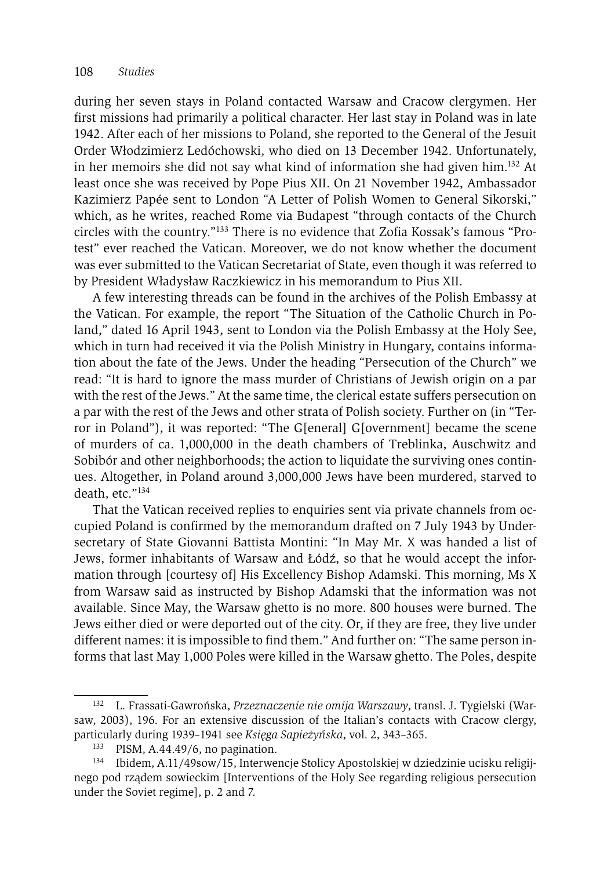during her seven stays in Poland contacted Warsaw and Cracow clergymen. Her first missions had primarily a political character. Her last stay in Poland was in late 1942. After each of her missions to Poland, she reported to the General of the Jesuit Order Włodzimierz Ledóchowski, who died on 13 December 1942. Unfortunately, in her memoirs she did not say what kind of information she had given  $\lim_{n \to \infty} 132$  At least once she was received by Pope Pius XII. On 21 November 1942, Ambassador Kazimierz Papée sent to London "A Letter of Polish Women to General Sikorski," which, as he writes, reached Rome via Budapest "through contacts of the Church circles with the country."133 There is no evidence that Zofia Kossak's famous "Protest" ever reached the Vatican. Moreover, we do not know whether the document was ever submitted to the Vatican Secretariat of State, even though it was referred to by President Władysław Raczkiewicz in his memorandum to Pius XII.

A few interesting threads can be found in the archives of the Polish Embassy at the Vatican. For example, the report "The Situation of the Catholic Church in Poland," dated 16 April 1943, sent to London via the Polish Embassy at the Holy See, which in turn had received it via the Polish Ministry in Hungary, contains information about the fate of the Jews. Under the heading "Persecution of the Church" we read: "It is hard to ignore the mass murder of Christians of Jewish origin on a par with the rest of the Jews." At the same time, the clerical estate suffers persecution on a par with the rest of the Jews and other strata of Polish society. Further on (in "Terror in Poland"), it was reported: "The G[eneral] G[overnment] became the scene of murders of ca. 1,000,000 in the death chambers of Treblinka, Auschwitz and Sobibór and other neighborhoods; the action to liquidate the surviving ones continues. Altogether, in Poland around 3,000,000 Jews have been murdered, starved to death, etc."134

That the Vatican received replies to enquiries sent via private channels from occupied Poland is confirmed by the memorandum drafted on 7 July 1943 by Undersecretary of State Giovanni Battista Montini: "In May Mr. X was handed a list of Jews, former inhabitants of Warsaw and Łódź, so that he would accept the information through [courtesy of] His Excellency Bishop Adamski. This morning, Ms X from Warsaw said as instructed by Bishop Adamski that the information was not available. Since May, the Warsaw ghetto is no more. 800 houses were burned. The Jews either died or were deported out of the city. Or, if they are free, they live under different names: it is impossible to find them." And further on: "The same person informs that last May 1,000 Poles were killed in the Warsaw ghetto. The Poles, despite

<sup>132</sup> L. Frassati-Gawrońska, *Przeznaczenie nie omija Warszawy*, transl. J. Tygielski (Warsaw, 2003), 196. For an extensive discussion of the Italian's contacts with Cracow clergy, particularly during 1939–1941 see *Księga Sapieżyńska*, vol. 2, 343–365.<br><sup>133</sup> PISM, A.44.49/6, no pagination.<br><sup>134</sup> Ibidem, A.11/49sow/15, Interwencje Stolicy Apostolskiej w dziedzinie ucisku religij-

nego pod rządem sowieckim [Interventions of the Holy See regarding religious persecution under the Soviet regime], p. 2 and 7.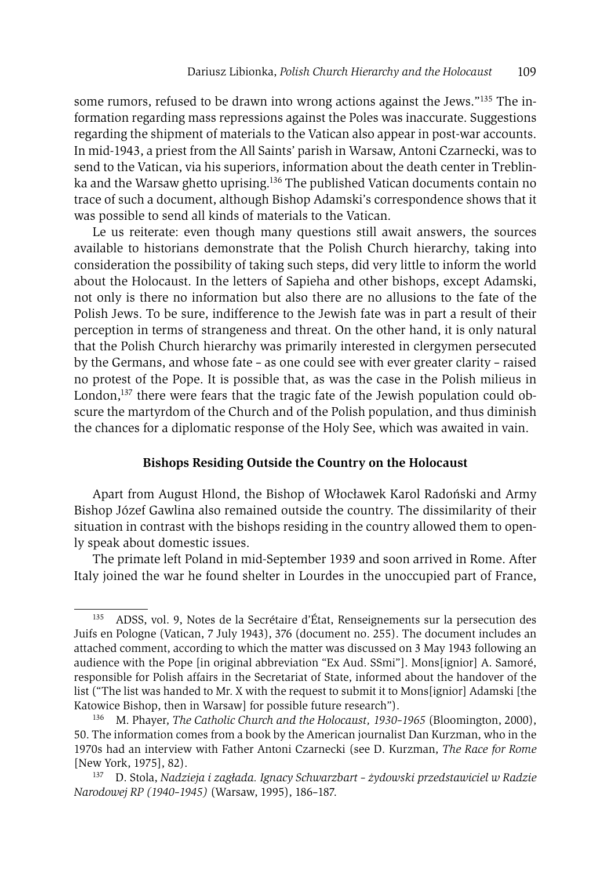some rumors, refused to be drawn into wrong actions against the Jews."135 The information regarding mass repressions against the Poles was inaccurate. Suggestions regarding the shipment of materials to the Vatican also appear in post-war accounts. In mid-1943, a priest from the All Saints' parish in Warsaw, Antoni Czarnecki, was to send to the Vatican, via his superiors, information about the death center in Treblinka and the Warsaw ghetto uprising.<sup>136</sup> The published Vatican documents contain no trace of such a document, although Bishop Adamski's correspondence shows that it was possible to send all kinds of materials to the Vatican.

Le us reiterate: even though many questions still await answers, the sources available to historians demonstrate that the Polish Church hierarchy, taking into consideration the possibility of taking such steps, did very little to inform the world about the Holocaust. In the letters of Sapieha and other bishops, except Adamski, not only is there no information but also there are no allusions to the fate of the Polish Jews. To be sure, indifference to the Jewish fate was in part a result of their perception in terms of strangeness and threat. On the other hand, it is only natural that the Polish Church hierarchy was primarily interested in clergymen persecuted by the Germans, and whose fate – as one could see with ever greater clarity – raised no protest of the Pope. It is possible that, as was the case in the Polish milieus in London, $137$  there were fears that the tragic fate of the Jewish population could obscure the martyrdom of the Church and of the Polish population, and thus diminish the chances for a diplomatic response of the Holy See, which was awaited in vain.

### **Bishops Residing Outside the Country on the Holocaust**

Apart from August Hlond, the Bishop of Włocławek Karol Radoński and Army Bishop Józef Gawlina also remained outside the country. The dissimilarity of their situation in contrast with the bishops residing in the country allowed them to openly speak about domestic issues.

The primate left Poland in mid-September 1939 and soon arrived in Rome. After Italy joined the war he found shelter in Lourdes in the unoccupied part of France,

<sup>135</sup> ADSS, vol. 9, Notes de la Secrétaire d'État, Renseignements sur la persecution des Juifs en Pologne (Vatican, 7 July 1943), 376 (document no. 255). The document includes an attached comment, according to which the matter was discussed on 3 May 1943 following an audience with the Pope [in original abbreviation "Ex Aud. SSmi"]. Mons[ignior] A. Samoré, responsible for Polish affairs in the Secretariat of State, informed about the handover of the list ("The list was handed to Mr. X with the request to submit it to Mons[ignior] Adamski [the Katowice Bishop, then in Warsaw] for possible future research"). 136 M. Phayer, *The Catholic Church and the Holocaust, 1930–1965* (Bloomington, 2000),

<sup>50.</sup> The information comes from a book by the American journalist Dan Kurzman, who in the 1970s had an interview with Father Antoni Czarnecki (see D. Kurzman, *The Race for Rome* [New York, 1975], 82).

<sup>137</sup> D. Stola, *Nadzieja i zagłada. Ignacy Schwarzbart – żydowski przedstawiciel w Radzie Narodowej RP (1940–1945)* (Warsaw, 1995), 186–187.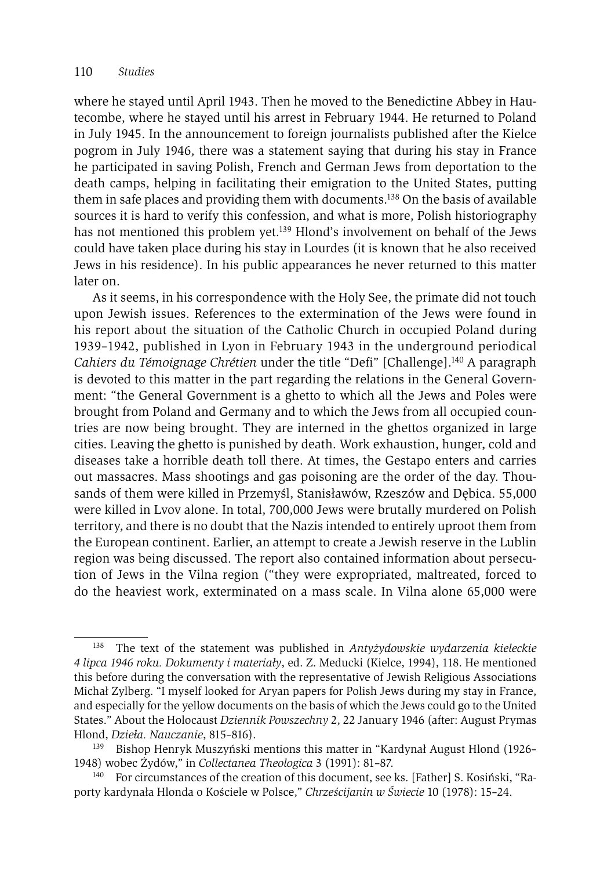where he stayed until April 1943. Then he moved to the Benedictine Abbey in Hautecombe, where he stayed until his arrest in February 1944. He returned to Poland in July 1945. In the announcement to foreign journalists published after the Kielce pogrom in July 1946, there was a statement saying that during his stay in France he participated in saving Polish, French and German Jews from deportation to the death camps, helping in facilitating their emigration to the United States, putting them in safe places and providing them with documents.138 On the basis of available sources it is hard to verify this confession, and what is more, Polish historiography has not mentioned this problem yet.<sup>139</sup> Hlond's involvement on behalf of the Jews could have taken place during his stay in Lourdes (it is known that he also received Jews in his residence). In his public appearances he never returned to this matter later on.

As it seems, in his correspondence with the Holy See, the primate did not touch upon Jewish issues. References to the extermination of the Jews were found in his report about the situation of the Catholic Church in occupied Poland during 1939–1942, published in Lyon in February 1943 in the underground periodical *Cahiers du Témoignage Chrétien* under the title "Defi" [Challenge].140 A paragraph is devoted to this matter in the part regarding the relations in the General Government: "the General Government is a ghetto to which all the Jews and Poles were brought from Poland and Germany and to which the Jews from all occupied countries are now being brought. They are interned in the ghettos organized in large cities. Leaving the ghetto is punished by death. Work exhaustion, hunger, cold and diseases take a horrible death toll there. At times, the Gestapo enters and carries out massacres. Mass shootings and gas poisoning are the order of the day. Thousands of them were killed in Przemyśl, Stanisławów, Rzeszów and Dębica. 55,000 were killed in Lvov alone. In total, 700,000 Jews were brutally murdered on Polish territory, and there is no doubt that the Nazis intended to entirely uproot them from the European continent. Earlier, an attempt to create a Jewish reserve in the Lublin region was being discussed. The report also contained information about persecution of Jews in the Vilna region ("they were expropriated, maltreated, forced to do the heaviest work, exterminated on a mass scale. In Vilna alone 65,000 were

<sup>138</sup> The text of the statement was published in *Antyżydowskie wydarzenia kieleckie 4 lipca 1946 roku. Dokumenty i materiały*, ed. Z. Meducki (Kielce, 1994), 118. He mentioned this before during the conversation with the representative of Jewish Religious Associations Michał Zylberg. "I myself looked for Aryan papers for Polish Jews during my stay in France, and especially for the yellow documents on the basis of which the Jews could go to the United States." About the Holocaust *Dziennik Powszechny* 2, 22 January 1946 (after: August Prymas Hlond, *Dzieła. Nauczanie*, 815–816). 139 Bishop Henryk Muszyński mentions this matter in "Kardynał August Hlond (1926–

<sup>1948)</sup> wobec Żydów," in *Collectanea Theologica* 3 (1991): 81–87.

<sup>140</sup> For circumstances of the creation of this document, see ks. [Father] S. Kosiński, "Raporty kardynała Hlonda o Kościele w Polsce," *Chrześcijanin w Świecie* 10 (1978): 15–24.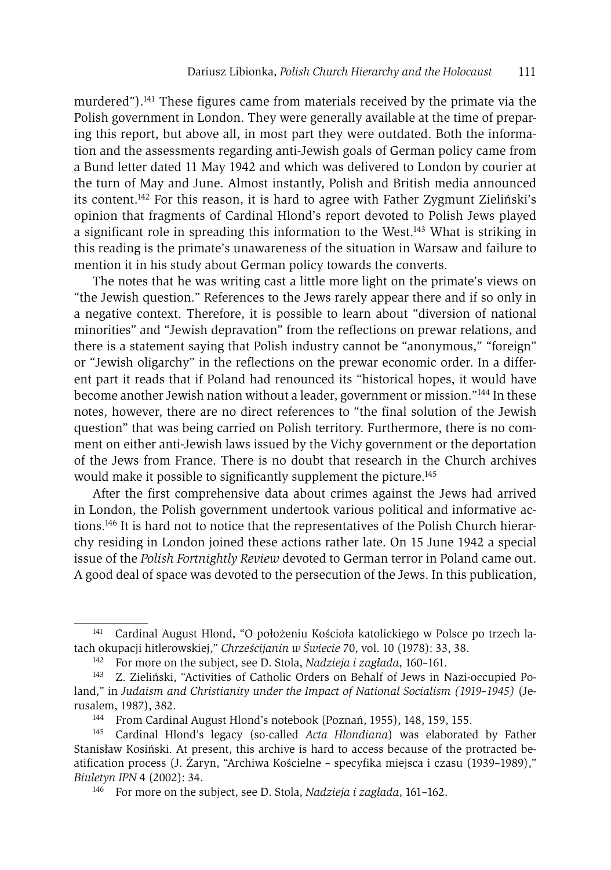murdered").141 These figures came from materials received by the primate via the Polish government in London. They were generally available at the time of preparing this report, but above all, in most part they were outdated. Both the information and the assessments regarding anti-Jewish goals of German policy came from a Bund letter dated 11 May 1942 and which was delivered to London by courier at the turn of May and June. Almost instantly, Polish and British media announced its content.142 For this reason, it is hard to agree with Father Zygmunt Zieliński's opinion that fragments of Cardinal Hlond's report devoted to Polish Jews played a significant role in spreading this information to the West.143 What is striking in this reading is the primate's unawareness of the situation in Warsaw and failure to mention it in his study about German policy towards the converts.

The notes that he was writing cast a little more light on the primate's views on "the Jewish question." References to the Jews rarely appear there and if so only in a negative context. Therefore, it is possible to learn about "diversion of national minorities" and "Jewish depravation" from the reflections on prewar relations, and there is a statement saying that Polish industry cannot be "anonymous," "foreign" or "Jewish oligarchy" in the reflections on the prewar economic order. In a different part it reads that if Poland had renounced its "historical hopes, it would have become another Jewish nation without a leader, government or mission."144 In these notes, however, there are no direct references to "the final solution of the Jewish question" that was being carried on Polish territory. Furthermore, there is no comment on either anti-Jewish laws issued by the Vichy government or the deportation of the Jews from France. There is no doubt that research in the Church archives would make it possible to significantly supplement the picture.<sup>145</sup>

After the first comprehensive data about crimes against the Jews had arrived in London, the Polish government undertook various political and informative actions.146 It is hard not to notice that the representatives of the Polish Church hierarchy residing in London joined these actions rather late. On 15 June 1942 a special issue of the *Polish Fortnightly Review* devoted to German terror in Poland came out. A good deal of space was devoted to the persecution of the Jews. In this publication,

<sup>141</sup> Cardinal August Hlond, "O położeniu Kościoła katolickiego w Polsce po trzech latach okupacji hitlerowskiej," *Chrześcijanin w Świecie* 70, vol. 10 (1978): 33, 38.

<sup>142</sup> For more on the subject, see D. Stola, *Nadzieja i zagłada*, 160–161.

<sup>143</sup> Z. Zieliński, "Activities of Catholic Orders on Behalf of Jews in Nazi-occupied Poland," in *Judaism and Christianity under the Impact of National Socialism (1919–1945)* (Jerusalem, 1987), 382.

<sup>144</sup> From Cardinal August Hlond's notebook (Poznań, 1955), 148, 159, 155.

<sup>145</sup> Cardinal Hlond's legacy (so-called *Acta Hlondiana*) was elaborated by Father Stanisław Kosiński. At present, this archive is hard to access because of the protracted beatification process (J. Żaryn, "Archiwa Kościelne – specyfika miejsca i czasu (1939–1989)," *Biuletyn IPN* 4 (2002): 34.

<sup>146</sup> For more on the subject, see D. Stola, *Nadzieja i zagłada*, 161–162.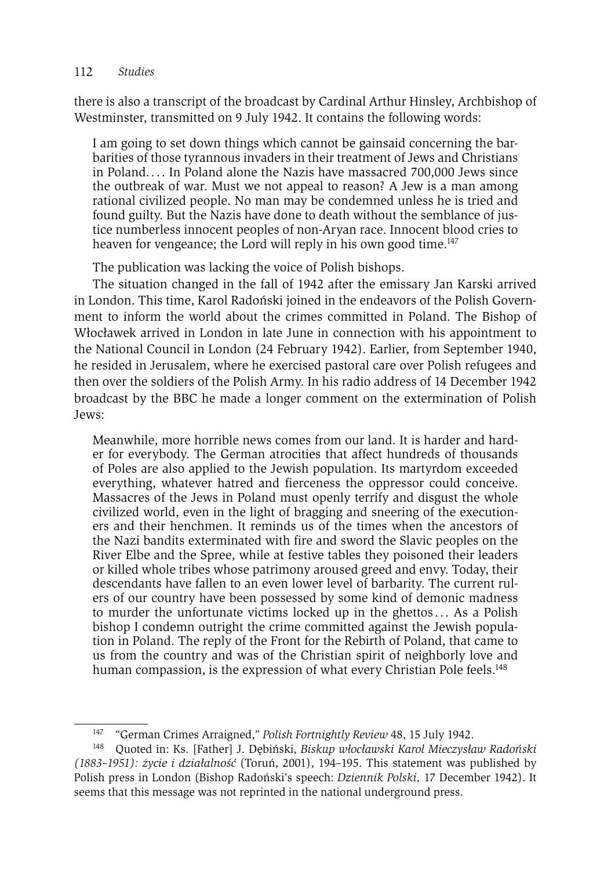### 112 *Studies*

there is also a transcript of the broadcast by Cardinal Arthur Hinsley, Archbishop of Westminster, transmitted on 9 July 1942. It contains the following words:

I am going to set down things which cannot be gainsaid concerning the barbarities of those tyrannous invaders in their treatment of Jews and Christians in Poland. . . . In Poland alone the Nazis have massacred 700,000 Jews since the outbreak of war. Must we not appeal to reason? A Jew is a man among rational civilized people. No man may be condemned unless he is tried and found guilty. But the Nazis have done to death without the semblance of justice numberless innocent peoples of non-Aryan race. Innocent blood cries to heaven for vengeance; the Lord will reply in his own good time.<sup>147</sup>

The publication was lacking the voice of Polish bishops.

The situation changed in the fall of 1942 after the emissary Jan Karski arrived in London. This time, Karol Radoński joined in the endeavors of the Polish Government to inform the world about the crimes committed in Poland. The Bishop of Włocławek arrived in London in late June in connection with his appointment to the National Council in London (24 February 1942). Earlier, from September 1940, he resided in Jerusalem, where he exercised pastoral care over Polish refugees and then over the soldiers of the Polish Army. In his radio address of 14 December 1942 broadcast by the BBC he made a longer comment on the extermination of Polish Jews:

Meanwhile, more horrible news comes from our land. It is harder and harder for everybody. The German atrocities that affect hundreds of thousands of Poles are also applied to the Jewish population. Its martyrdom exceeded everything, whatever hatred and fierceness the oppressor could conceive. Massacres of the Jews in Poland must openly terrify and disgust the whole civilized world, even in the light of bragging and sneering of the executioners and their henchmen. It reminds us of the times when the ancestors of the Nazi bandits exterminated with fire and sword the Slavic peoples on the River Elbe and the Spree, while at festive tables they poisoned their leaders or killed whole tribes whose patrimony aroused greed and envy. Today, their descendants have fallen to an even lower level of barbarity. The current rulers of our country have been possessed by some kind of demonic madness to murder the unfortunate victims locked up in the ghettos . . . As a Polish bishop I condemn outright the crime committed against the Jewish population in Poland. The reply of the Front for the Rebirth of Poland, that came to us from the country and was of the Christian spirit of neighborly love and human compassion, is the expression of what every Christian Pole feels.<sup>148</sup>

<sup>147 &</sup>quot;German Crimes Arraigned," *Polish Fortnightly Review* 48, 15 July 1942.

<sup>148</sup> Quoted in: Ks. [Father] J. Dębiński, *Biskup włocławski Karol Mieczysław Radoński (1883–1951): życie i działalność* (Toruń, 2001), 194–195. This statement was published by Polish press in London (Bishop Radoński's speech: *Dziennik Polski,* 17 December 1942). It seems that this message was not reprinted in the national underground press.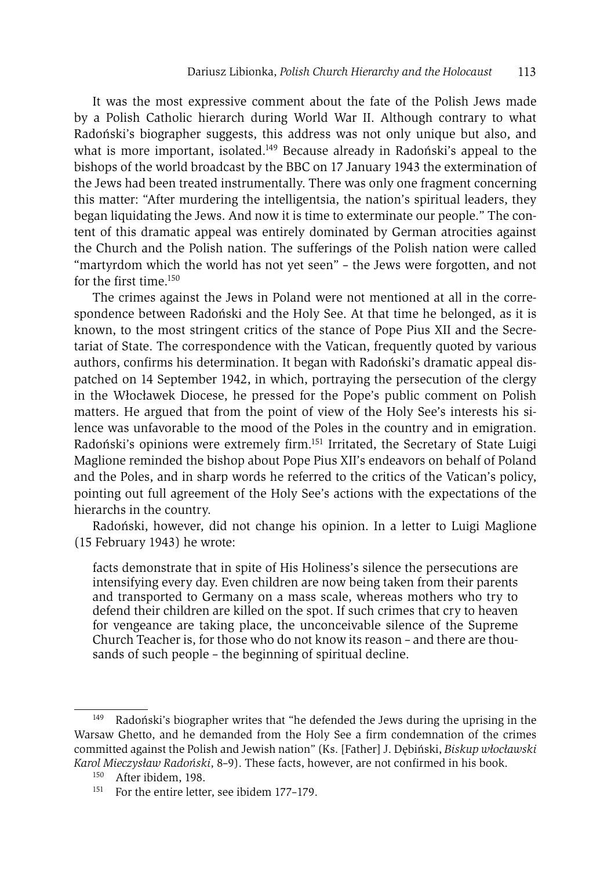It was the most expressive comment about the fate of the Polish Jews made by a Polish Catholic hierarch during World War II. Although contrary to what Radoński's biographer suggests, this address was not only unique but also, and what is more important, isolated.<sup>149</sup> Because already in Radoński's appeal to the bishops of the world broadcast by the BBC on 17 January 1943 the extermination of the Jews had been treated instrumentally. There was only one fragment concerning this matter: "After murdering the intelligentsia, the nation's spiritual leaders, they began liquidating the Jews. And now it is time to exterminate our people." The content of this dramatic appeal was entirely dominated by German atrocities against the Church and the Polish nation. The sufferings of the Polish nation were called "martyrdom which the world has not yet seen" – the Jews were forgotten, and not for the first time.150

The crimes against the Jews in Poland were not mentioned at all in the correspondence between Radoński and the Holy See. At that time he belonged, as it is known, to the most stringent critics of the stance of Pope Pius XII and the Secretariat of State. The correspondence with the Vatican, frequently quoted by various authors, confirms his determination. It began with Radoński's dramatic appeal dispatched on 14 September 1942, in which, portraying the persecution of the clergy in the Włocławek Diocese, he pressed for the Pope's public comment on Polish matters. He argued that from the point of view of the Holy See's interests his silence was unfavorable to the mood of the Poles in the country and in emigration. Radoński's opinions were extremely firm.151 Irritated, the Secretary of State Luigi Maglione reminded the bishop about Pope Pius XII's endeavors on behalf of Poland and the Poles, and in sharp words he referred to the critics of the Vatican's policy, pointing out full agreement of the Holy See's actions with the expectations of the hierarchs in the country.

Radoński, however, did not change his opinion. In a letter to Luigi Maglione (15 February 1943) he wrote:

facts demonstrate that in spite of His Holiness's silence the persecutions are intensifying every day. Even children are now being taken from their parents and transported to Germany on a mass scale, whereas mothers who try to defend their children are killed on the spot. If such crimes that cry to heaven for vengeance are taking place, the unconceivable silence of the Supreme Church Teacher is, for those who do not know its reason – and there are thousands of such people – the beginning of spiritual decline.

Radoński's biographer writes that "he defended the Jews during the uprising in the Warsaw Ghetto, and he demanded from the Holy See a firm condemnation of the crimes committed against the Polish and Jewish nation" (Ks. [Father] J. Dębiński, *Biskup włocławski Karol Mieczysław Radoński*, 8–9). These facts, however, are not confirmed in his book.

<sup>150</sup> After ibidem, 198.

<sup>&</sup>lt;sup>151</sup> For the entire letter, see ibidem 177-179.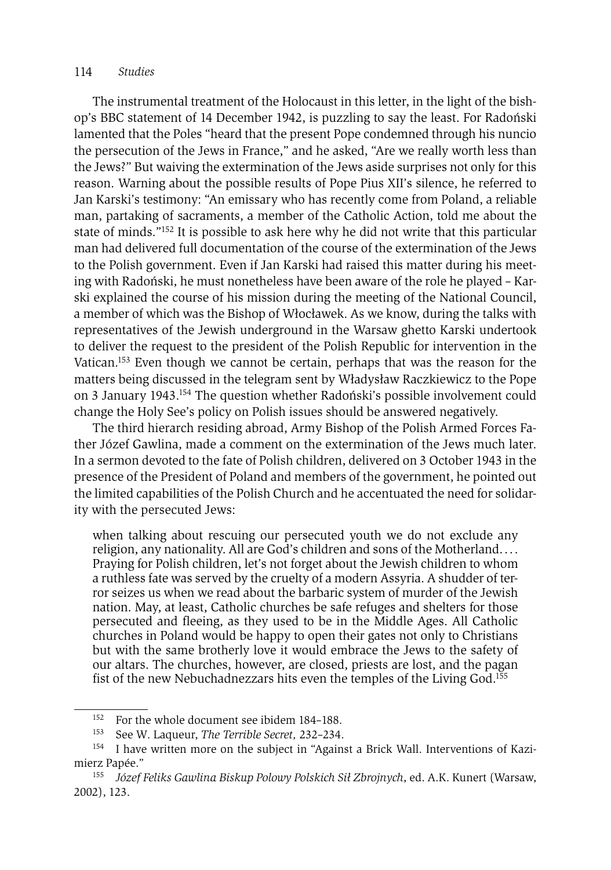#### 114 *Studies*

The instrumental treatment of the Holocaust in this letter, in the light of the bishop's BBC statement of 14 December 1942, is puzzling to say the least. For Radoński lamented that the Poles "heard that the present Pope condemned through his nuncio the persecution of the Jews in France," and he asked, "Are we really worth less than the Jews?" But waiving the extermination of the Jews aside surprises not only for this reason. Warning about the possible results of Pope Pius XII's silence, he referred to Jan Karski's testimony: "An emissary who has recently come from Poland, a reliable man, partaking of sacraments, a member of the Catholic Action, told me about the state of minds."152 It is possible to ask here why he did not write that this particular man had delivered full documentation of the course of the extermination of the Jews to the Polish government. Even if Jan Karski had raised this matter during his meeting with Radoński, he must nonetheless have been aware of the role he played – Karski explained the course of his mission during the meeting of the National Council, a member of which was the Bishop of Włocławek. As we know, during the talks with representatives of the Jewish underground in the Warsaw ghetto Karski undertook to deliver the request to the president of the Polish Republic for intervention in the Vatican.153 Even though we cannot be certain, perhaps that was the reason for the matters being discussed in the telegram sent by Władysław Raczkiewicz to the Pope on 3 January 1943.154 The question whether Radoński's possible involvement could change the Holy See's policy on Polish issues should be answered negatively.

The third hierarch residing abroad, Army Bishop of the Polish Armed Forces Father Józef Gawlina, made a comment on the extermination of the Jews much later. In a sermon devoted to the fate of Polish children, delivered on 3 October 1943 in the presence of the President of Poland and members of the government, he pointed out the limited capabilities of the Polish Church and he accentuated the need for solidarity with the persecuted Jews:

when talking about rescuing our persecuted youth we do not exclude any religion, any nationality. All are God's children and sons of the Motherland. . . . Praying for Polish children, let's not forget about the Jewish children to whom a ruthless fate was served by the cruelty of a modern Assyria. A shudder of terror seizes us when we read about the barbaric system of murder of the Jewish nation. May, at least, Catholic churches be safe refuges and shelters for those persecuted and fleeing, as they used to be in the Middle Ages. All Catholic churches in Poland would be happy to open their gates not only to Christians but with the same brotherly love it would embrace the Jews to the safety of our altars. The churches, however, are closed, priests are lost, and the pagan fist of the new Nebuchadnezzars hits even the temples of the Living God.155

<sup>&</sup>lt;sup>152</sup> For the whole document see ibidem 184–188.<br><sup>153</sup> See W. Laqueur, *The Terrible Secret*, 232–234.<br><sup>154</sup> I have written more on the subject in "Against a Brick Wall. Interventions of Kazimierz Papée."

<sup>155</sup> *Józef Feliks Gawlina Biskup Polowy Polskich Sił Zbrojnych*, ed. A.K. Kunert (Warsaw, 2002), 123.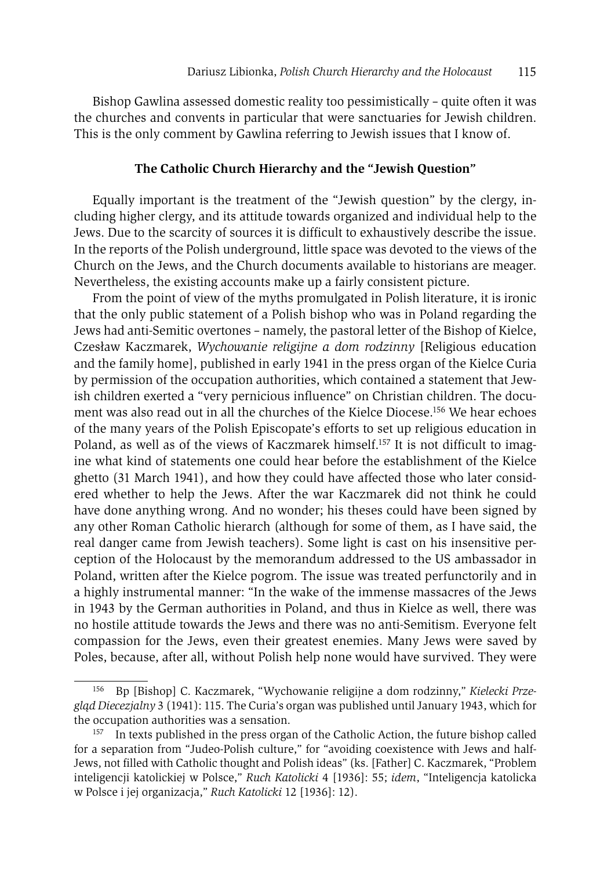Bishop Gawlina assessed domestic reality too pessimistically – quite often it was the churches and convents in particular that were sanctuaries for Jewish children. This is the only comment by Gawlina referring to Jewish issues that I know of.

# **The Catholic Church Hierarchy and the "Jewish Question"**

Equally important is the treatment of the "Jewish question" by the clergy, including higher clergy, and its attitude towards organized and individual help to the Jews. Due to the scarcity of sources it is difficult to exhaustively describe the issue. In the reports of the Polish underground, little space was devoted to the views of the Church on the Jews, and the Church documents available to historians are meager. Nevertheless, the existing accounts make up a fairly consistent picture.

From the point of view of the myths promulgated in Polish literature, it is ironic that the only public statement of a Polish bishop who was in Poland regarding the Jews had anti-Semitic overtones – namely, the pastoral letter of the Bishop of Kielce, Czesław Kaczmarek, *Wychowanie religijne a dom rodzinny* [Religious education and the family home], published in early 1941 in the press organ of the Kielce Curia by permission of the occupation authorities, which contained a statement that Jewish children exerted a "very pernicious influence" on Christian children. The document was also read out in all the churches of the Kielce Diocese.156 We hear echoes of the many years of the Polish Episcopate's efforts to set up religious education in Poland, as well as of the views of Kaczmarek himself.<sup>157</sup> It is not difficult to imagine what kind of statements one could hear before the establishment of the Kielce ghetto (31 March 1941), and how they could have affected those who later considered whether to help the Jews. After the war Kaczmarek did not think he could have done anything wrong. And no wonder; his theses could have been signed by any other Roman Catholic hierarch (although for some of them, as I have said, the real danger came from Jewish teachers). Some light is cast on his insensitive perception of the Holocaust by the memorandum addressed to the US ambassador in Poland, written after the Kielce pogrom. The issue was treated perfunctorily and in a highly instrumental manner: "In the wake of the immense massacres of the Jews in 1943 by the German authorities in Poland, and thus in Kielce as well, there was no hostile attitude towards the Jews and there was no anti-Semitism. Everyone felt compassion for the Jews, even their greatest enemies. Many Jews were saved by Poles, because, after all, without Polish help none would have survived. They were

<sup>156</sup> Bp [Bishop] C. Kaczmarek, "Wychowanie religijne a dom rodzinny," *Kielecki Przegląd Diecezjalny* 3 (1941): 115. The Curia's organ was published until January 1943, which for the occupation authorities was a sensation.<br><sup>157</sup> In texts published in the press organ of the Catholic Action, the future bishop called

for a separation from "Judeo-Polish culture," for "avoiding coexistence with Jews and half-Jews, not filled with Catholic thought and Polish ideas" (ks. [Father] C. Kaczmarek, "Problem inteligencji katolickiej w Polsce," *Ruch Katolicki* 4 [1936]: 55; *idem*, "Inteligencja katolicka w Polsce i jej organizacja," *Ruch Katolicki* 12 [1936]: 12).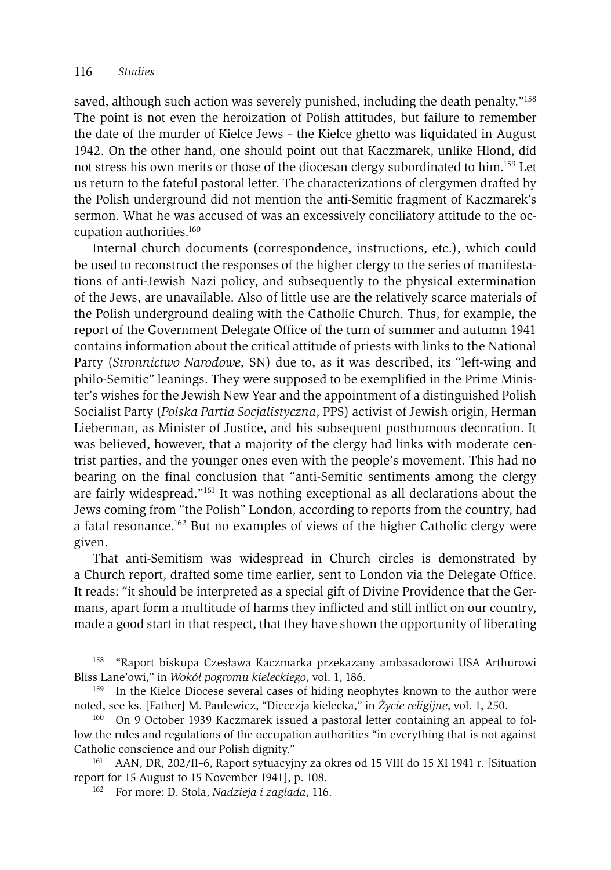saved, although such action was severely punished, including the death penalty."158 The point is not even the heroization of Polish attitudes, but failure to remember the date of the murder of Kielce Jews – the Kielce ghetto was liquidated in August 1942. On the other hand, one should point out that Kaczmarek, unlike Hlond, did not stress his own merits or those of the diocesan clergy subordinated to him.159 Let us return to the fateful pastoral letter. The characterizations of clergymen drafted by the Polish underground did not mention the anti-Semitic fragment of Kaczmarek's sermon. What he was accused of was an excessively conciliatory attitude to the occupation authorities.160

Internal church documents (correspondence, instructions, etc.), which could be used to reconstruct the responses of the higher clergy to the series of manifestations of anti-Jewish Nazi policy, and subsequently to the physical extermination of the Jews, are unavailable. Also of little use are the relatively scarce materials of the Polish underground dealing with the Catholic Church. Thus, for example, the report of the Government Delegate Office of the turn of summer and autumn 1941 contains information about the critical attitude of priests with links to the National Party (*Stronnictwo Narodowe,* SN) due to, as it was described, its "left-wing and philo-Semitic" leanings. They were supposed to be exemplified in the Prime Minister's wishes for the Jewish New Year and the appointment of a distinguished Polish Socialist Party (*Polska Partia Socjalistyczna*, PPS) activist of Jewish origin, Herman Lieberman, as Minister of Justice, and his subsequent posthumous decoration. It was believed, however, that a majority of the clergy had links with moderate centrist parties, and the younger ones even with the people's movement. This had no bearing on the final conclusion that "anti-Semitic sentiments among the clergy are fairly widespread."161 It was nothing exceptional as all declarations about the Jews coming from "the Polish" London, according to reports from the country, had a fatal resonance.162 But no examples of views of the higher Catholic clergy were given.

That anti-Semitism was widespread in Church circles is demonstrated by a Church report, drafted some time earlier, sent to London via the Delegate Office. It reads: "it should be interpreted as a special gift of Divine Providence that the Germans, apart form a multitude of harms they inflicted and still inflict on our country, made a good start in that respect, that they have shown the opportunity of liberating

<sup>158 &</sup>quot;Raport biskupa Czesława Kaczmarka przekazany ambasadorowi USA Arthurowi Bliss Lane'owi," in *Wokół pogromu kieleckiego*, vol. 1, 186.

In the Kielce Diocese several cases of hiding neophytes known to the author were noted, see ks. [Father] M. Paulewicz, "Diecezja kielecka," in *Życie religijne*, vol. 1, 250.

<sup>160</sup> On 9 October 1939 Kaczmarek issued a pastoral letter containing an appeal to follow the rules and regulations of the occupation authorities "in everything that is not against

Catholic conscience and our Polish dignity."<br><sup>161</sup> AAN, DR, 202/II–6, Raport sytuacyjny za okres od 15 VIII do 15 XI 1941 r. [Situation<br>report for 15 August to 15 November 1941], p. 108.

<sup>&</sup>lt;sup>162</sup> For more: D. Stola, *Nadzieja i zagłada*, 116.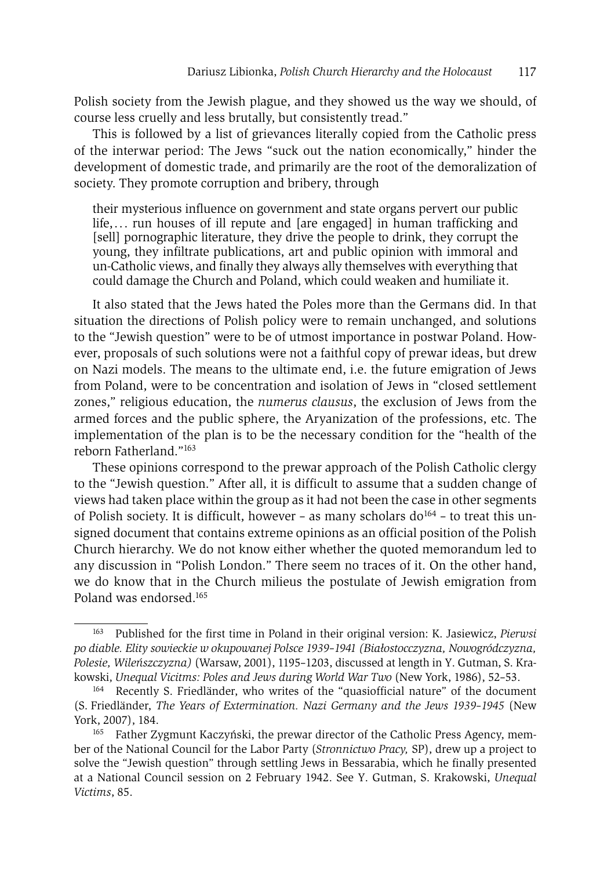Polish society from the Jewish plague, and they showed us the way we should, of course less cruelly and less brutally, but consistently tread."

This is followed by a list of grievances literally copied from the Catholic press of the interwar period: The Jews "suck out the nation economically," hinder the development of domestic trade, and primarily are the root of the demoralization of society. They promote corruption and bribery, through

their mysterious influence on government and state organs pervert our public life,... run houses of ill repute and [are engaged] in human trafficking and [sell] pornographic literature, they drive the people to drink, they corrupt the young, they infiltrate publications, art and public opinion with immoral and un-Catholic views, and finally they always ally themselves with everything that could damage the Church and Poland, which could weaken and humiliate it.

It also stated that the Jews hated the Poles more than the Germans did. In that situation the directions of Polish policy were to remain unchanged, and solutions to the "Jewish question" were to be of utmost importance in postwar Poland. However, proposals of such solutions were not a faithful copy of prewar ideas, but drew on Nazi models. The means to the ultimate end, i.e. the future emigration of Jews from Poland, were to be concentration and isolation of Jews in "closed settlement zones," religious education, the *numerus clausus*, the exclusion of Jews from the armed forces and the public sphere, the Aryanization of the professions, etc. The implementation of the plan is to be the necessary condition for the "health of the reborn Fatherland."163

These opinions correspond to the prewar approach of the Polish Catholic clergy to the "Jewish question." After all, it is difficult to assume that a sudden change of views had taken place within the group as it had not been the case in other segments of Polish society. It is difficult, however – as many scholars do<sup>164</sup> – to treat this unsigned document that contains extreme opinions as an official position of the Polish Church hierarchy. We do not know either whether the quoted memorandum led to any discussion in "Polish London." There seem no traces of it. On the other hand, we do know that in the Church milieus the postulate of Jewish emigration from Poland was endorsed<sup>165</sup>

<sup>163</sup> Published for the first time in Poland in their original version: K. Jasiewicz, *Pierwsi po diable. Elity sowieckie w okupowanej Polsce 1939–1941 (Białostocczyzna, Nowogródczyzna, Polesie, Wileńszczyzna)* (Warsaw, 2001), 1195–1203, discussed at length in Y. Gutman, S. Krakowski, *Unequal Vicitms: Poles and Jews during World War Two* (New York, 1986), 52–53.<br><sup>164</sup> Recently S. Friedländer, who writes of the "quasiofficial nature" of the document

<sup>(</sup>S. Friedländer, *The Years of Extermination. Nazi Germany and the Jews 1939–1945* (New York, 2007), 184.

<sup>&</sup>lt;sup>165</sup> Father Zygmunt Kaczyński, the prewar director of the Catholic Press Agency, member of the National Council for the Labor Party (*Stronnictwo Pracy,* SP), drew up a project to solve the "Jewish question" through settling Jews in Bessarabia, which he finally presented at a National Council session on 2 February 1942. See Y. Gutman, S. Krakowski, *Unequal Victims*, 85.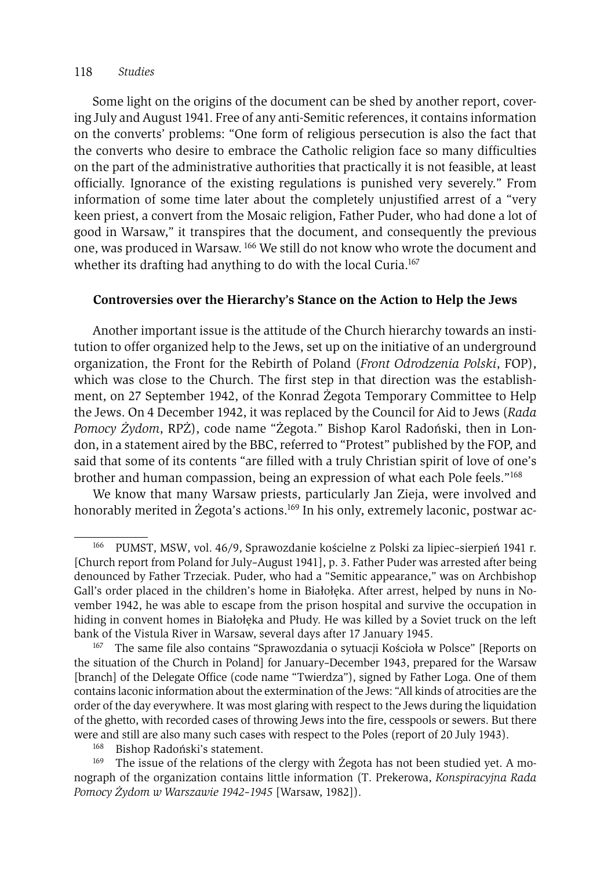#### 118 *Studies*

Some light on the origins of the document can be shed by another report, covering July and August 1941. Free of any anti-Semitic references, it contains information on the converts' problems: "One form of religious persecution is also the fact that the converts who desire to embrace the Catholic religion face so many difficulties on the part of the administrative authorities that practically it is not feasible, at least officially. Ignorance of the existing regulations is punished very severely." From information of some time later about the completely unjustified arrest of a "very keen priest, a convert from the Mosaic religion, Father Puder, who had done a lot of good in Warsaw," it transpires that the document, and consequently the previous one, was produced in Warsaw. 166 We still do not know who wrote the document and whether its drafting had anything to do with the local Curia.<sup>167</sup>

# **Controversies over the Hierarchy's Stance on the Action to Help the Jews**

Another important issue is the attitude of the Church hierarchy towards an institution to offer organized help to the Jews, set up on the initiative of an underground organization, the Front for the Rebirth of Poland (*Front Odrodzenia Polski*, FOP), which was close to the Church. The first step in that direction was the establishment, on 27 September 1942, of the Konrad Żegota Temporary Committee to Help the Jews. On 4 December 1942, it was replaced by the Council for Aid to Jews (*Rada Pomocy Żydom*, RPŻ), code name "Żegota." Bishop Karol Radoński, then in London, in a statement aired by the BBC, referred to "Protest" published by the FOP, and said that some of its contents "are filled with a truly Christian spirit of love of one's brother and human compassion, being an expression of what each Pole feels."168

We know that many Warsaw priests, particularly Jan Zieja, were involved and honorably merited in Żegota's actions.<sup>169</sup> In his only, extremely laconic, postwar ac-

<sup>166</sup> PUMST, MSW, vol. 46/9, Sprawozdanie kościelne z Polski za lipiec–sierpień 1941 r. [Church report from Poland for July–August 1941], p. 3. Father Puder was arrested after being denounced by Father Trzeciak. Puder, who had a "Semitic appearance," was on Archbishop Gall's order placed in the children's home in Białołęka. After arrest, helped by nuns in November 1942, he was able to escape from the prison hospital and survive the occupation in hiding in convent homes in Białołęka and Płudy. He was killed by a Soviet truck on the left bank of the Vistula River in Warsaw, several days after 17 January 1945.<br><sup>167</sup> The same file also contains "Sprawozdania o sytuacji Kościoła w Polsce" [Reports on

the situation of the Church in Poland] for January–December 1943, prepared for the Warsaw [branch] of the Delegate Office (code name "Twierdza"), signed by Father Loga. One of them contains laconic information about the extermination of the Jews: "All kinds of atrocities are the order of the day everywhere. It was most glaring with respect to the Jews during the liquidation of the ghetto, with recorded cases of throwing Jews into the fire, cesspools or sewers. But there were and still are also many such cases with respect to the Poles (report of 20 July 1943).<br><sup>168</sup> Bishop Radoński's statement.

<sup>&</sup>lt;sup>169</sup> The issue of the relations of the clergy with Żegota has not been studied yet. A monograph of the organization contains little information (T. Prekerowa, *Konspiracyjna Rada Pomocy Żydom w Warszawie 1942–1945* [Warsaw, 1982]).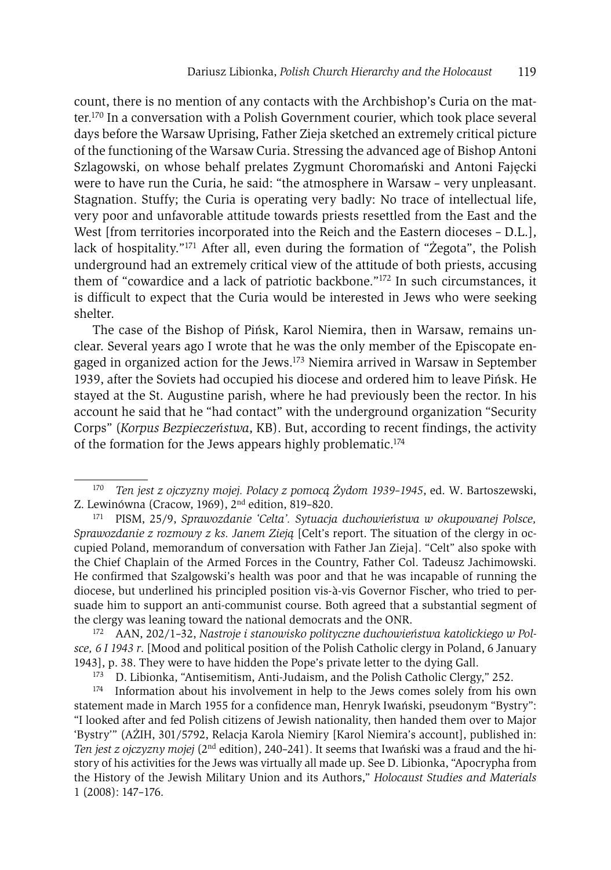count, there is no mention of any contacts with the Archbishop's Curia on the matter.170 In a conversation with a Polish Government courier, which took place several days before the Warsaw Uprising, Father Zieja sketched an extremely critical picture of the functioning of the Warsaw Curia. Stressing the advanced age of Bishop Antoni Szlagowski, on whose behalf prelates Zygmunt Choromański and Antoni Fajęcki were to have run the Curia, he said: "the atmosphere in Warsaw – very unpleasant. Stagnation. Stuffy; the Curia is operating very badly: No trace of intellectual life, very poor and unfavorable attitude towards priests resettled from the East and the West [from territories incorporated into the Reich and the Eastern dioceses – D.L.], lack of hospitality."171 After all, even during the formation of "Żegota", the Polish underground had an extremely critical view of the attitude of both priests, accusing them of "cowardice and a lack of patriotic backbone."172 In such circumstances, it is difficult to expect that the Curia would be interested in Jews who were seeking shelter.

The case of the Bishop of Pińsk, Karol Niemira, then in Warsaw, remains unclear. Several years ago I wrote that he was the only member of the Episcopate engaged in organized action for the Jews.173 Niemira arrived in Warsaw in September 1939, after the Soviets had occupied his diocese and ordered him to leave Pińsk. He stayed at the St. Augustine parish, where he had previously been the rector. In his account he said that he "had contact" with the underground organization "Security Corps" (*Korpus Bezpieczeństwa*, KB). But, according to recent findings, the activity of the formation for the Jews appears highly problematic.174

<sup>170</sup> *Ten jest z ojczyzny mojej. Polacy z pomocą Żydom 1939–1945*, ed. W. Bartoszewski, Z. Lewinówna (Cracow, 1969), 2nd edition, 819–820.

<sup>171</sup> PISM, 25/9, *Sprawozdanie 'Celta'. Sytuacja duchowieństwa w okupowanej Polsce, Sprawozdanie z rozmowy z ks. Janem Zieją* [Celt's report. The situation of the clergy in occupied Poland, memorandum of conversation with Father Jan Zieja]. "Celt" also spoke with the Chief Chaplain of the Armed Forces in the Country, Father Col. Tadeusz Jachimowski. He confirmed that Szalgowski's health was poor and that he was incapable of running the diocese, but underlined his principled position vis-à-vis Governor Fischer, who tried to persuade him to support an anti-communist course. Both agreed that a substantial segment of the clergy was leaning toward the national democrats and the ONR. 172 AAN, 202/1–32, *Nastroje i stanowisko polityczne duchowieństwa katolickiego w Pol-*

*sce, 6 I 1943 r*. [Mood and political position of the Polish Catholic clergy in Poland, 6 January 1943], p. 38. They were to have hidden the Pope's private letter to the dying Gall.<br><sup>173</sup> D. Libionka, "Antisemitism, Anti-Judaism, and the Polish Catholic Clergy," 252.<br><sup>174</sup> Information about his involvement in help to

statement made in March 1955 for a confidence man, Henryk Iwański, pseudonym "Bystry": "I looked after and fed Polish citizens of Jewish nationality, then handed them over to Major 'Bystry'" (AŻIH, 301/5792, Relacja Karola Niemiry [Karol Niemira's account], published in: *Ten jest z ojczyzny mojej* (2nd edition), 240–241). It seems that Iwański was a fraud and the history of his activities for the Jews was virtually all made up. See D. Libionka, "Apocrypha from the History of the Jewish Military Union and its Authors," *Holocaust Studies and Materials* 1 (2008): 147–176.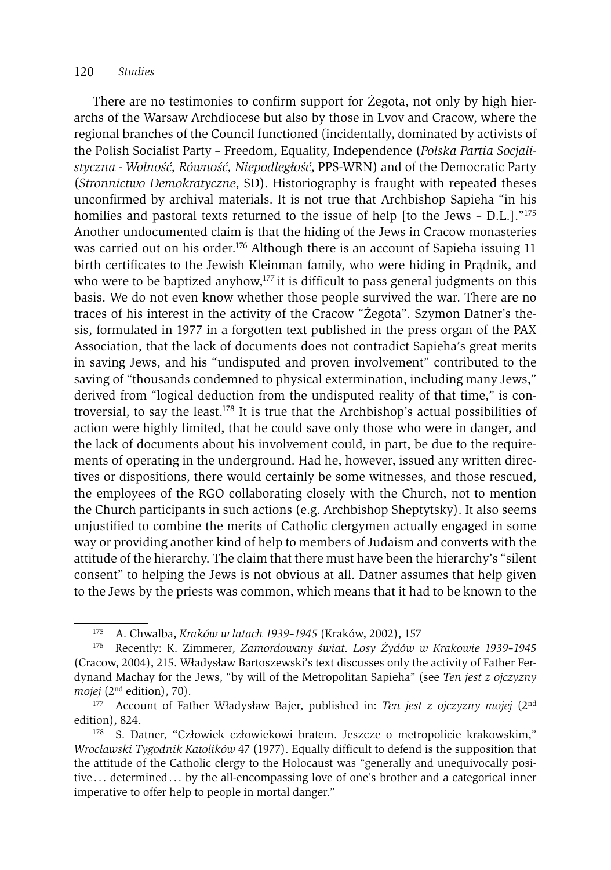#### 120 *Studies*

There are no testimonies to confirm support for Żegota, not only by high hierarchs of the Warsaw Archdiocese but also by those in Lvov and Cracow, where the regional branches of the Council functioned (incidentally, dominated by activists of the Polish Socialist Party – Freedom, Equality, Independence (*Polska Partia Socjalistyczna - Wolność, Równość, Niepodległość*, PPS-WRN) and of the Democratic Party (*Stronnictwo Demokratyczne*, SD). Historiography is fraught with repeated theses unconfirmed by archival materials. It is not true that Archbishop Sapieha "in his homilies and pastoral texts returned to the issue of help [to the Jews - D.L.]."<sup>175</sup> Another undocumented claim is that the hiding of the Jews in Cracow monasteries was carried out on his order.<sup>176</sup> Although there is an account of Sapieha issuing 11 birth certificates to the Jewish Kleinman family, who were hiding in Prądnik, and who were to be baptized anyhow,<sup>177</sup> it is difficult to pass general judgments on this basis. We do not even know whether those people survived the war. There are no traces of his interest in the activity of the Cracow "Żegota". Szymon Datner's thesis, formulated in 1977 in a forgotten text published in the press organ of the PAX Association, that the lack of documents does not contradict Sapieha's great merits in saving Jews, and his "undisputed and proven involvement" contributed to the saving of "thousands condemned to physical extermination, including many Jews," derived from "logical deduction from the undisputed reality of that time," is controversial, to say the least.<sup>178</sup> It is true that the Archbishop's actual possibilities of action were highly limited, that he could save only those who were in danger, and the lack of documents about his involvement could, in part, be due to the requirements of operating in the underground. Had he, however, issued any written directives or dispositions, there would certainly be some witnesses, and those rescued, the employees of the RGO collaborating closely with the Church, not to mention the Church participants in such actions (e.g. Archbishop Sheptytsky). It also seems unjustified to combine the merits of Catholic clergymen actually engaged in some way or providing another kind of help to members of Judaism and converts with the attitude of the hierarchy. The claim that there must have been the hierarchy's "silent consent" to helping the Jews is not obvious at all. Datner assumes that help given to the Jews by the priests was common, which means that it had to be known to the

<sup>175</sup> A. Chwalba, *Kraków w latach 1939–1945* (Kraków, 2002), 157

<sup>176</sup> Recently: K. Zimmerer, *Zamordowany świat. Losy Żydów w Krakowie 1939–1945* (Cracow, 2004), 215. Władysław Bartoszewski's text discusses only the activity of Father Ferdynand Machay for the Jews, "by will of the Metropolitan Sapieha" (see *Ten jest z ojczyzny mojej* (2nd edition), 70). 177 Account of Father Władysław Bajer, published in: *Ten jest z ojczyzny mojej* (2nd

edition), 824.

<sup>178</sup> S. Datner, "Człowiek człowiekowi bratem. Jeszcze o metropolicie krakowskim," *Wrocławski Tygodnik Katolików* 47 (1977). Equally difficult to defend is the supposition that the attitude of the Catholic clergy to the Holocaust was "generally and unequivocally positive ... determined ... by the all-encompassing love of one's brother and a categorical inner imperative to offer help to people in mortal danger."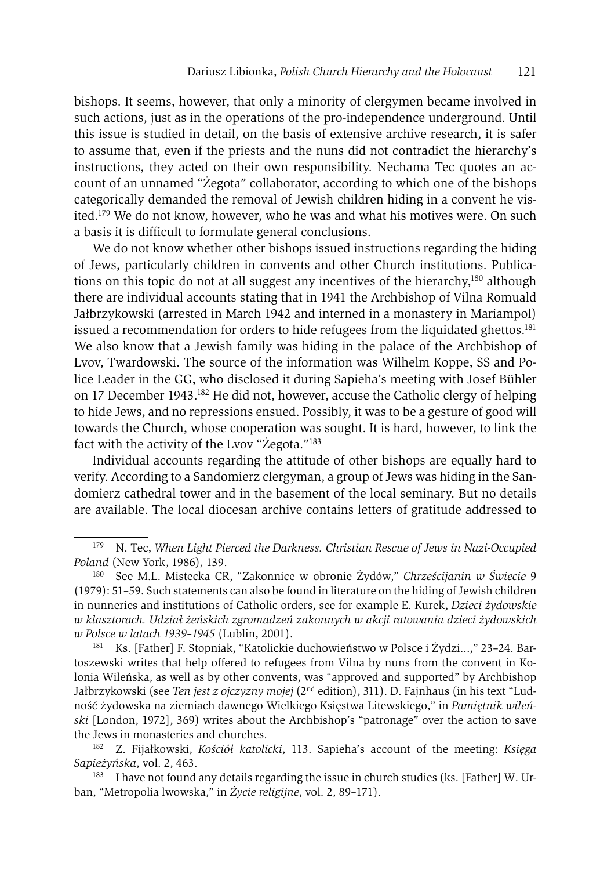bishops. It seems, however, that only a minority of clergymen became involved in such actions, just as in the operations of the pro-independence underground. Until this issue is studied in detail, on the basis of extensive archive research, it is safer to assume that, even if the priests and the nuns did not contradict the hierarchy's instructions, they acted on their own responsibility. Nechama Tec quotes an account of an unnamed "Żegota" collaborator, according to which one of the bishops categorically demanded the removal of Jewish children hiding in a convent he visited.179 We do not know, however, who he was and what his motives were. On such a basis it is difficult to formulate general conclusions.

We do not know whether other bishops issued instructions regarding the hiding of Jews, particularly children in convents and other Church institutions. Publications on this topic do not at all suggest any incentives of the hierarchy,<sup>180</sup> although there are individual accounts stating that in 1941 the Archbishop of Vilna Romuald Jałbrzykowski (arrested in March 1942 and interned in a monastery in Mariampol) issued a recommendation for orders to hide refugees from the liquidated ghettos.<sup>181</sup> We also know that a Jewish family was hiding in the palace of the Archbishop of Lvov, Twardowski. The source of the information was Wilhelm Koppe, SS and Police Leader in the GG, who disclosed it during Sapieha's meeting with Josef Bühler on 17 December 1943.182 He did not, however, accuse the Catholic clergy of helping to hide Jews, and no repressions ensued. Possibly, it was to be a gesture of good will towards the Church, whose cooperation was sought. It is hard, however, to link the fact with the activity of the Lvov "Żegota."183

Individual accounts regarding the attitude of other bishops are equally hard to verify. According to a Sandomierz clergyman, a group of Jews was hiding in the Sandomierz cathedral tower and in the basement of the local seminary. But no details are available. The local diocesan archive contains letters of gratitude addressed to

181 Ks. [Father] F. Stopniak, "Katolickie duchowieństwo w Polsce i Żydzi...," 23–24. Bartoszewski writes that help offered to refugees from Vilna by nuns from the convent in Kolonia Wileńska, as well as by other convents, was "approved and supported" by Archbishop Jałbrzykowski (see *Ten jest z ojczyzny mojej* (2nd edition), 311). D. Fajnhaus (in his text "Ludność żydowska na ziemiach dawnego Wielkiego Księstwa Litewskiego," in *Pamiętnik wileński* [London, 1972], 369) writes about the Archbishop's "patronage" over the action to save the Jews in monasteries and churches. 182 Z. Fijałkowski, *Kościół katolicki*, 113. Sapieha's account of the meeting: *Księga* 

*Sapieżyńska*, vol. 2, 463.

<sup>183</sup> I have not found any details regarding the issue in church studies (ks. [Father] W. Urban, "Metropolia lwowska," in *Życie religijne*, vol. 2, 89–171).

<sup>179</sup> N. Tec, *When Light Pierced the Darkness. Christian Rescue of Jews in Nazi-Occupied* 

<sup>&</sup>lt;sup>180</sup> See M.L. Mistecka CR, "Zakonnice w obronie Żydów," *Chrześcijanin w Świecie* 9 (1979): 51–59. Such statements can also be found in literature on the hiding of Jewish children in nunneries and institutions of Catholic orders, see for example E. Kurek, *Dzieci żydowskie w klasztorach. Udział żeńskich zgromadzeń zakonnych w akcji ratowania dzieci żydowskich w Polsce w latach 1939–1945* (Lublin, 2001).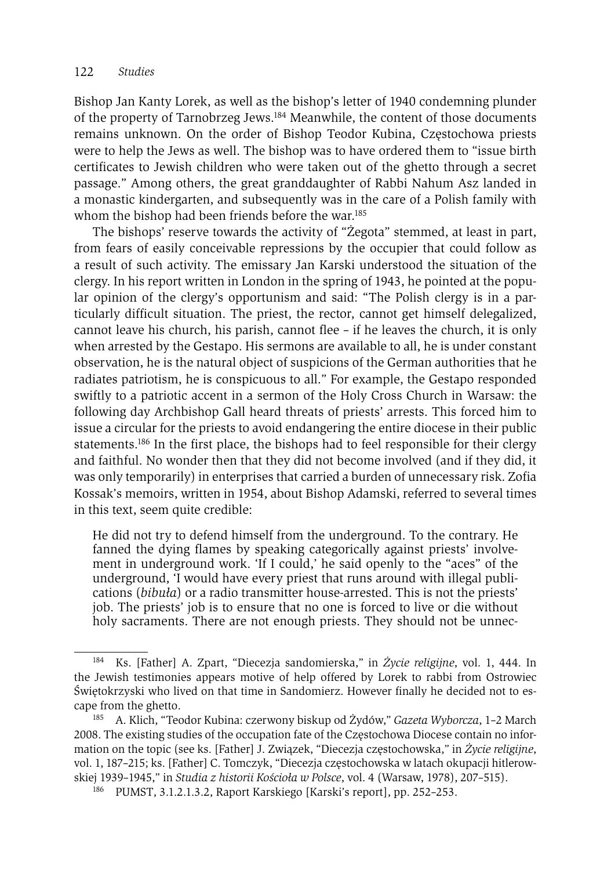Bishop Jan Kanty Lorek, as well as the bishop's letter of 1940 condemning plunder of the property of Tarnobrzeg Jews.184 Meanwhile, the content of those documents remains unknown. On the order of Bishop Teodor Kubina, Częstochowa priests were to help the Jews as well. The bishop was to have ordered them to "issue birth certificates to Jewish children who were taken out of the ghetto through a secret passage." Among others, the great granddaughter of Rabbi Nahum Asz landed in a monastic kindergarten, and subsequently was in the care of a Polish family with whom the bishop had been friends before the war.<sup>185</sup>

The bishops' reserve towards the activity of "Żegota" stemmed, at least in part, from fears of easily conceivable repressions by the occupier that could follow as a result of such activity. The emissary Jan Karski understood the situation of the clergy. In his report written in London in the spring of 1943, he pointed at the popular opinion of the clergy's opportunism and said: "The Polish clergy is in a particularly difficult situation. The priest, the rector, cannot get himself delegalized, cannot leave his church, his parish, cannot flee – if he leaves the church, it is only when arrested by the Gestapo. His sermons are available to all, he is under constant observation, he is the natural object of suspicions of the German authorities that he radiates patriotism, he is conspicuous to all." For example, the Gestapo responded swiftly to a patriotic accent in a sermon of the Holy Cross Church in Warsaw: the following day Archbishop Gall heard threats of priests' arrests. This forced him to issue a circular for the priests to avoid endangering the entire diocese in their public statements.<sup>186</sup> In the first place, the bishops had to feel responsible for their clergy and faithful. No wonder then that they did not become involved (and if they did, it was only temporarily) in enterprises that carried a burden of unnecessary risk. Zofia Kossak's memoirs, written in 1954, about Bishop Adamski, referred to several times in this text, seem quite credible:

He did not try to defend himself from the underground. To the contrary. He fanned the dying flames by speaking categorically against priests' involvement in underground work. 'If I could,' he said openly to the "aces" of the underground, 'I would have every priest that runs around with illegal publications (*bibuła*) or a radio transmitter house-arrested. This is not the priests' job. The priests' job is to ensure that no one is forced to live or die without holy sacraments. There are not enough priests. They should not be unnec-

<sup>184</sup> Ks. [Father] A. Zpart, "Diecezja sandomierska," in *Życie religijne*, vol. 1, 444. In the Jewish testimonies appears motive of help offered by Lorek to rabbi from Ostrowiec Świętokrzyski who lived on that time in Sandomierz. However finally he decided not to escape from the ghetto. 185 A. Klich, "Teodor Kubina: czerwony biskup od Żydów," *Gazeta Wyborcza*, 1–2 March

<sup>2008.</sup> The existing studies of the occupation fate of the Częstochowa Diocese contain no information on the topic (see ks. [Father] J. Związek, "Diecezja częstochowska," in *Życie religijne*, vol. 1, 187–215; ks. [Father] C. Tomczyk, "Diecezja częstochowska w latach okupacji hitlerowskiej 1939–1945," in *Studia z historii Kościoła w Polsce*, vol. 4 (Warsaw, 1978), 207–515). 186 PUMST, 3.1.2.1.3.2, Raport Karskiego [Karski's report], pp. 252–253.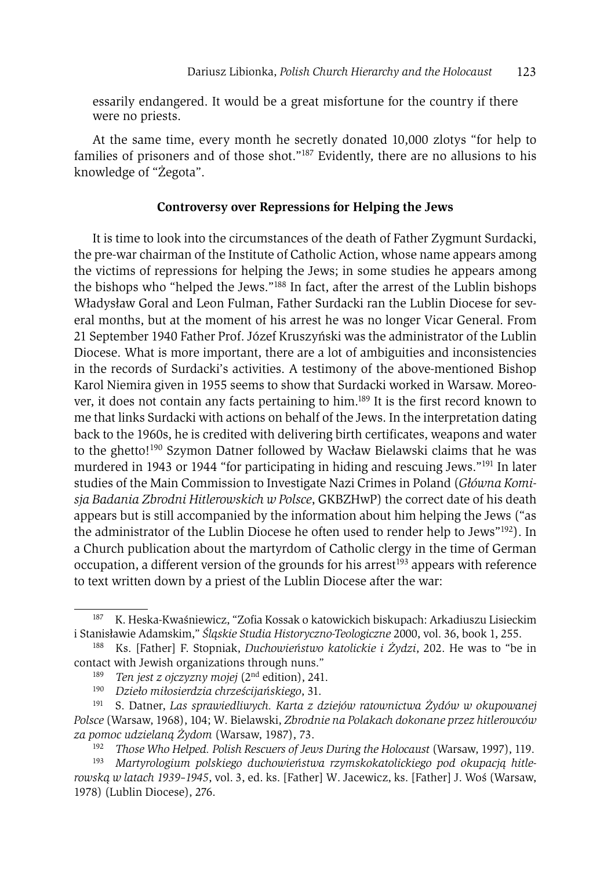essarily endangered. It would be a great misfortune for the country if there were no priests.

At the same time, every month he secretly donated 10,000 zlotys "for help to families of prisoners and of those shot."187 Evidently, there are no allusions to his knowledge of "Żegota".

# **Controversy over Repressions for Helping the Jews**

It is time to look into the circumstances of the death of Father Zygmunt Surdacki, the pre-war chairman of the Institute of Catholic Action, whose name appears among the victims of repressions for helping the Jews; in some studies he appears among the bishops who "helped the Jews."188 In fact, after the arrest of the Lublin bishops Władysław Goral and Leon Fulman, Father Surdacki ran the Lublin Diocese for several months, but at the moment of his arrest he was no longer Vicar General. From 21 September 1940 Father Prof. Józef Kruszyński was the administrator of the Lublin Diocese. What is more important, there are a lot of ambiguities and inconsistencies in the records of Surdacki's activities. A testimony of the above-mentioned Bishop Karol Niemira given in 1955 seems to show that Surdacki worked in Warsaw. Moreover, it does not contain any facts pertaining to him.189 It is the first record known to me that links Surdacki with actions on behalf of the Jews. In the interpretation dating back to the 1960s, he is credited with delivering birth certificates, weapons and water to the ghetto!<sup>190</sup> Szymon Datner followed by Wacław Bielawski claims that he was murdered in 1943 or 1944 "for participating in hiding and rescuing Jews."191 In later studies of the Main Commission to Investigate Nazi Crimes in Poland (*Główna Komisja Badania Zbrodni Hitlerowskich w Polsce*, GKBZHwP) the correct date of his death appears but is still accompanied by the information about him helping the Jews ("as the administrator of the Lublin Diocese he often used to render help to Jews"192). In a Church publication about the martyrdom of Catholic clergy in the time of German occupation, a different version of the grounds for his arrest<sup>193</sup> appears with reference to text written down by a priest of the Lublin Diocese after the war:

<sup>192</sup> *Those Who Helped. Polish Rescuers of Jews During the Holocaust* (Warsaw, 1997), 119.

<sup>187</sup> K. Heska-Kwaśniewicz, "Zofia Kossak o katowickich biskupach: Arkadiuszu Lisieckim <sup>i</sup> Stanisławie Adamskim," *Śląskie Studia Historyczno-Teologiczne* 2000, vol. 36, book 1, 255. 188 Ks. [Father] F. Stopniak, *Duchowieństwo katolickie i Żydzi*, 202. He was to "be in

contact with Jewish organizations through nuns."

<sup>189</sup> *Ten jest z ojczyzny mojej* (2nd edition), 241.

<sup>190</sup> *Dzieło miłosierdzia chrześcijańskiego*, 31.

<sup>191</sup> S. Datner, *Las sprawiedliwych. Karta z dziejów ratownictwa Żydów w okupowanej Polsce* (Warsaw, 1968), 104; W. Bielawski, *Zbrodnie na Polakach dokonane przez hitlerowców za pomoc udzielaną Żydom* (Warsaw, 1987), 73.

<sup>193</sup> *Martyrologium polskiego duchowieństwa rzymskokatolickiego pod okupacją hitlerowską w latach 1939–1945*, vol. 3, ed. ks. [Father] W. Jacewicz, ks. [Father] J. Woś (Warsaw, 1978) (Lublin Diocese), 276.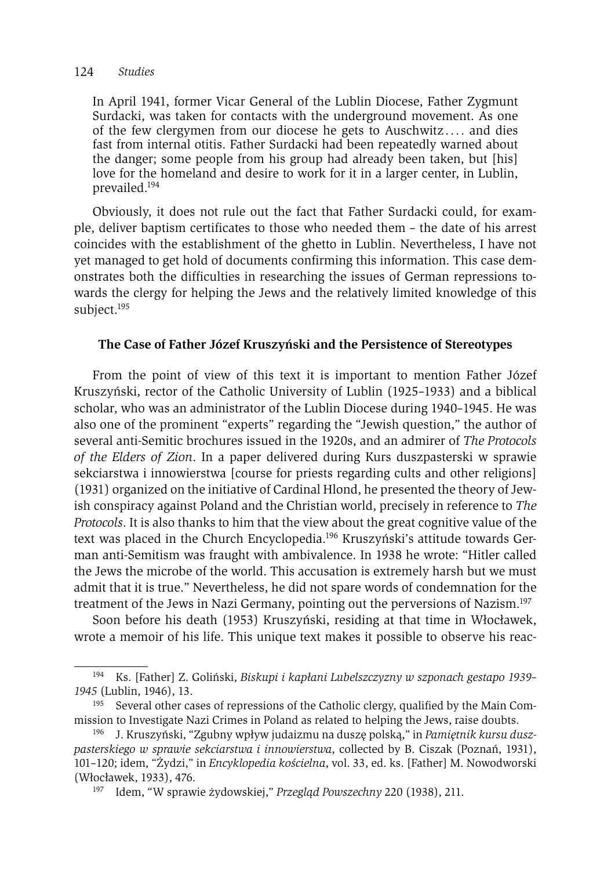#### 124 *Studies*

In April 1941, former Vicar General of the Lublin Diocese, Father Zygmunt Surdacki, was taken for contacts with the underground movement. As one of the few clergymen from our diocese he gets to Auschwitz.... and dies fast from internal otitis. Father Surdacki had been repeatedly warned about the danger; some people from his group had already been taken, but [his] love for the homeland and desire to work for it in a larger center, in Lublin, prevailed.194

Obviously, it does not rule out the fact that Father Surdacki could, for example, deliver baptism certificates to those who needed them – the date of his arrest coincides with the establishment of the ghetto in Lublin. Nevertheless, I have not yet managed to get hold of documents confirming this information. This case demonstrates both the difficulties in researching the issues of German repressions towards the clergy for helping the Jews and the relatively limited knowledge of this subject.<sup>195</sup>

# **The Case of Father Józef Kruszyński and the Persistence of Stereotypes**

From the point of view of this text it is important to mention Father Józef Kruszyński, rector of the Catholic University of Lublin (1925–1933) and a biblical scholar, who was an administrator of the Lublin Diocese during 1940–1945. He was also one of the prominent "experts" regarding the "Jewish question," the author of several anti-Semitic brochures issued in the 1920s, and an admirer of *The Protocols of the Elders of Zion*. In a paper delivered during Kurs duszpasterski w sprawie sekciarstwa i innowierstwa [course for priests regarding cults and other religions] (1931) organized on the initiative of Cardinal Hlond, he presented the theory of Jewish conspiracy against Poland and the Christian world, precisely in reference to *The Protocols*. It is also thanks to him that the view about the great cognitive value of the text was placed in the Church Encyclopedia.196 Kruszyński's attitude towards German anti-Semitism was fraught with ambivalence. In 1938 he wrote: "Hitler called the Jews the microbe of the world. This accusation is extremely harsh but we must admit that it is true." Nevertheless, he did not spare words of condemnation for the treatment of the Jews in Nazi Germany, pointing out the perversions of Nazism.<sup>197</sup>

Soon before his death (1953) Kruszyński, residing at that time in Włocławek, wrote a memoir of his life. This unique text makes it possible to observe his reac-

<sup>194</sup> Ks. [Father] Z. Goliński, *Biskupi i kapłani Lubelszczyzny w szponach gestapo 1939– 1945* (Lublin, 1946), 13.

<sup>&</sup>lt;sup>195</sup> Several other cases of repressions of the Catholic clergy, qualified by the Main Commission to Investigate Nazi Crimes in Poland as related to helping the Jews, raise doubts. 196 J. Kruszyński, "Zgubny wpływ judaizmu na duszę polską," in *Pamiętnik kursu dusz-*

*pasterskiego w sprawie sekciarstwa i innowierstwa*, collected by B. Ciszak (Poznań, 1931), 101–120; idem, "Żydzi," in *Encyklopedia kościelna*, vol. 33, ed. ks. [Father] M. Nowodworski (Włocławek, 1933), 476.

<sup>197</sup> Idem, "W sprawie żydowskiej," *Przegląd Powszechny* 220 (1938), 211.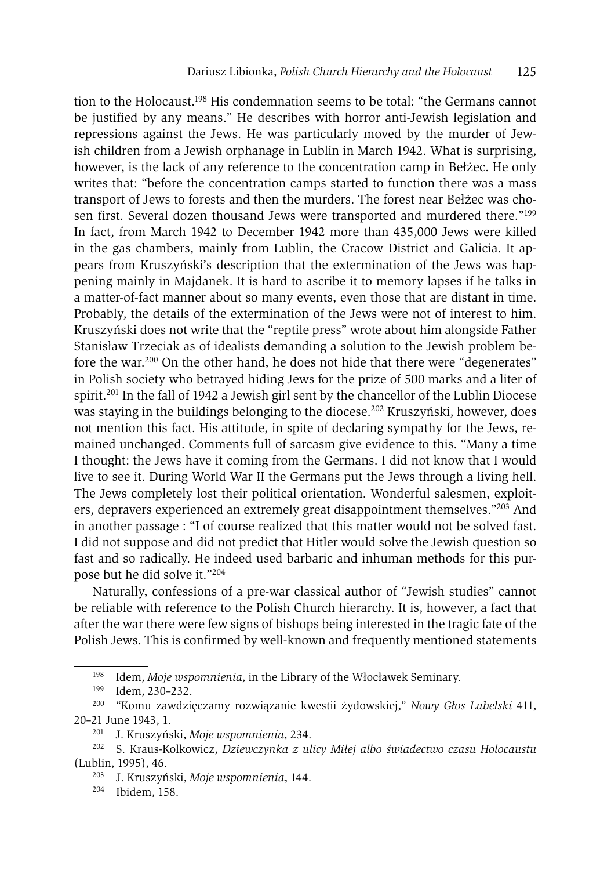tion to the Holocaust.198 His condemnation seems to be total: "the Germans cannot be justified by any means." He describes with horror anti-Jewish legislation and repressions against the Jews. He was particularly moved by the murder of Jewish children from a Jewish orphanage in Lublin in March 1942. What is surprising, however, is the lack of any reference to the concentration camp in Bełżec. He only writes that: "before the concentration camps started to function there was a mass transport of Jews to forests and then the murders. The forest near Bełżec was chosen first. Several dozen thousand Jews were transported and murdered there."199 In fact, from March 1942 to December 1942 more than 435,000 Jews were killed in the gas chambers, mainly from Lublin, the Cracow District and Galicia. It appears from Kruszyński's description that the extermination of the Jews was happening mainly in Majdanek. It is hard to ascribe it to memory lapses if he talks in a matter-of-fact manner about so many events, even those that are distant in time. Probably, the details of the extermination of the Jews were not of interest to him. Kruszyński does not write that the "reptile press" wrote about him alongside Father Stanisław Trzeciak as of idealists demanding a solution to the Jewish problem before the war.200 On the other hand, he does not hide that there were "degenerates" in Polish society who betrayed hiding Jews for the prize of 500 marks and a liter of spirit.<sup>201</sup> In the fall of 1942 a Jewish girl sent by the chancellor of the Lublin Diocese was staying in the buildings belonging to the diocese.<sup>202</sup> Kruszyński, however, does not mention this fact. His attitude, in spite of declaring sympathy for the Jews, remained unchanged. Comments full of sarcasm give evidence to this. "Many a time I thought: the Jews have it coming from the Germans. I did not know that I would live to see it. During World War II the Germans put the Jews through a living hell. The Jews completely lost their political orientation. Wonderful salesmen, exploiters, depravers experienced an extremely great disappointment themselves."203 And in another passage : "I of course realized that this matter would not be solved fast. I did not suppose and did not predict that Hitler would solve the Jewish question so fast and so radically. He indeed used barbaric and inhuman methods for this purpose but he did solve it."204

Naturally, confessions of a pre-war classical author of "Jewish studies" cannot be reliable with reference to the Polish Church hierarchy. It is, however, a fact that after the war there were few signs of bishops being interested in the tragic fate of the Polish Jews. This is confirmed by well-known and frequently mentioned statements

<sup>198</sup> Idem, *Moje wspomnienia*, in the Library of the Włocławek Seminary.<br>
199 Idem, 230–232.<br>
<sup>200</sup> "*Lomy regulaioszamy regulazania lywestii żydemskiej*." Mayn Clea

<sup>200 &</sup>quot;Komu zawdzięczamy rozwiązanie kwestii żydowskiej," *Nowy Głos Lubelski* 411, 20–21 June 1943, 1.

<sup>201</sup> J. Kruszyński, *Moje wspomnienia*, 234. 202 S. Kraus-Kolkowicz, *Dziewczynka z ulicy Miłej albo świadectwo czasu Holocaustu*  $(Lublin, 1995), 46.$ <br> $203 \t Kriuszv$ ń

<sup>203</sup> J. Kruszyński, *Moje wspomnienia*, 144.

<sup>204</sup> Ibidem, 158.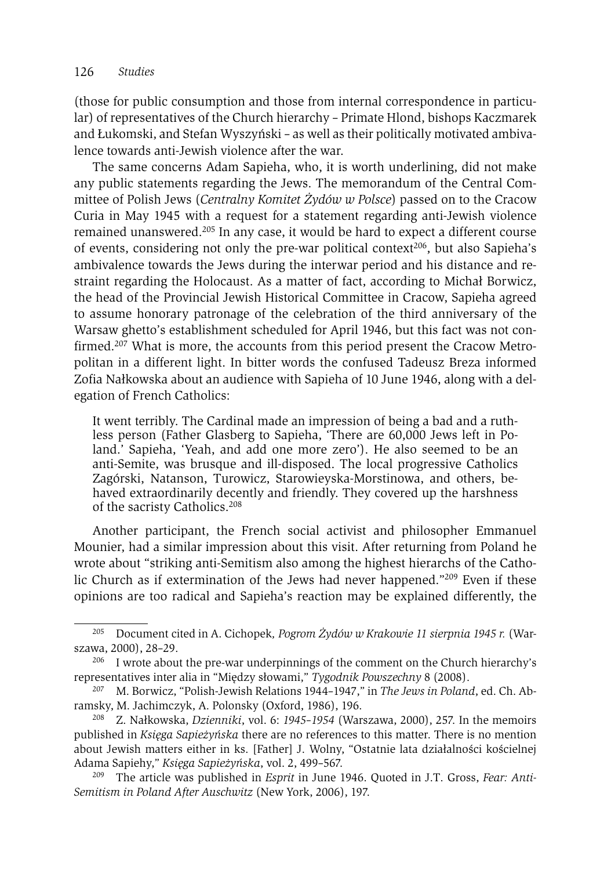(those for public consumption and those from internal correspondence in particular) of representatives of the Church hierarchy – Primate Hlond, bishops Kaczmarek and Łukomski, and Stefan Wyszyński – as well as their politically motivated ambivalence towards anti-Jewish violence after the war.

The same concerns Adam Sapieha, who, it is worth underlining, did not make any public statements regarding the Jews. The memorandum of the Central Committee of Polish Jews (*Centralny Komitet Żydów w Polsce*) passed on to the Cracow Curia in May 1945 with a request for a statement regarding anti-Jewish violence remained unanswered.205 In any case, it would be hard to expect a different course of events, considering not only the pre-war political context<sup>206</sup>, but also Sapieha's ambivalence towards the Jews during the interwar period and his distance and restraint regarding the Holocaust. As a matter of fact, according to Michał Borwicz, the head of the Provincial Jewish Historical Committee in Cracow, Sapieha agreed to assume honorary patronage of the celebration of the third anniversary of the Warsaw ghetto's establishment scheduled for April 1946, but this fact was not confirmed.<sup>207</sup> What is more, the accounts from this period present the Cracow Metropolitan in a different light. In bitter words the confused Tadeusz Breza informed Zofia Nałkowska about an audience with Sapieha of 10 June 1946, along with a delegation of French Catholics:

It went terribly. The Cardinal made an impression of being a bad and a ruthless person (Father Glasberg to Sapieha, 'There are 60,000 Jews left in Poland.' Sapieha, 'Yeah, and add one more zero'). He also seemed to be an anti-Semite, was brusque and ill-disposed. The local progressive Catholics Zagórski, Natanson, Turowicz, Starowieyska-Morstinowa, and others, behaved extraordinarily decently and friendly. They covered up the harshness of the sacristy Catholics.208

Another participant, the French social activist and philosopher Emmanuel Mounier, had a similar impression about this visit. After returning from Poland he wrote about "striking anti-Semitism also among the highest hierarchs of the Catholic Church as if extermination of the Jews had never happened."209 Even if these opinions are too radical and Sapieha's reaction may be explained differently, the

<sup>205</sup> Document cited in A. Cichopek*, Pogrom Żydów w Krakowie 11 sierpnia 1945 r.* (Warszawa, 2000), 28–29.

<sup>&</sup>lt;sup>206</sup> I wrote about the pre-war underpinnings of the comment on the Church hierarchy's representatives inter alia in "Między słowami," *Tygodnik Powszechny* 8 (2008).

<sup>207</sup> M. Borwicz, "Polish-Jewish Relations 1944–1947," in *The Jews in Poland*, ed. Ch. Abramsky, M. Jachimczyk, A. Polonsky (Oxford, 1986), 196.

<sup>208</sup> Z. Nałkowska, *Dzienniki*, vol. 6: *1945–1954* (Warszawa, 2000), 257. In the memoirs published in *Księga Sapieżyńska* there are no references to this matter. There is no mention about Jewish matters either in ks. [Father] J. Wolny, "Ostatnie lata działalności kościelnej Adama Sapiehy," *Księga Sapieżyńska*, vol. 2, 499–567. 209 The article was published in *Esprit* in June 1946. Quoted in J.T. Gross, *Fear: Anti-*

*Semitism in Poland After Auschwitz* (New York, 2006), 197.